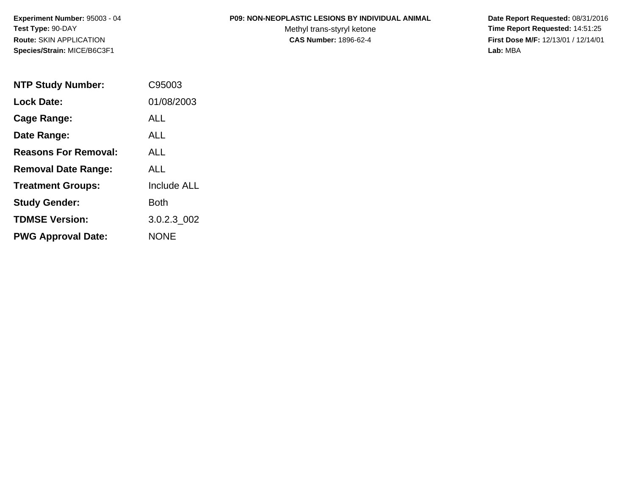#### **P09: NON-NEOPLASTIC LESIONS BY INDIVIDUAL ANIMAL**

Methyl trans-styryl ketone<br>CAS Number: 1896-62-4

| <b>NTP Study Number:</b>    | C95003             |
|-----------------------------|--------------------|
| <b>Lock Date:</b>           | 01/08/2003         |
| <b>Cage Range:</b>          | ALL                |
| Date Range:                 | ALL                |
| <b>Reasons For Removal:</b> | AI I               |
| <b>Removal Date Range:</b>  | ALL                |
| <b>Treatment Groups:</b>    | <b>Include ALL</b> |
| <b>Study Gender:</b>        | Both               |
| <b>TDMSE Version:</b>       | 3.0.2.3 002        |
| <b>PWG Approval Date:</b>   | <b>NONE</b>        |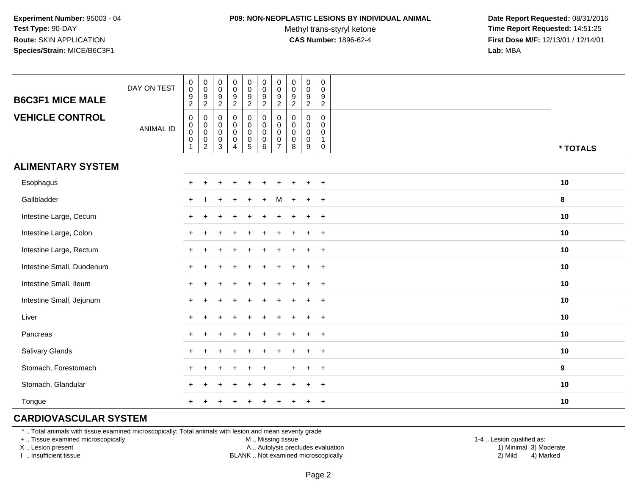#### **P09: NON-NEOPLASTIC LESIONS BY INDIVIDUAL ANIMAL**

Methyl trans-styryl ketone<br>CAS Number: 1896-62-4

 **Date Report Requested:** 08/31/2016 **Time Report Requested:** 14:51:25 **First Dose M/F:** 12/13/01 / 12/14/01<br>**Lab:** MBA **Lab:** MBA

| <b>B6C3F1 MICE MALE</b>   | DAY ON TEST      | $\begin{smallmatrix} 0\\0 \end{smallmatrix}$<br>$\frac{9}{2}$ | $\begin{matrix} 0 \\ 0 \\ 9 \\ 2 \end{matrix}$      | 0<br>$\pmb{0}$<br>$\frac{9}{2}$                                | 0<br>$\pmb{0}$<br>$\frac{9}{2}$                                        | 0<br>$\pmb{0}$<br>$\frac{9}{2}$                 | $\begin{smallmatrix}0\0\0\end{smallmatrix}$<br>$\frac{9}{2}$             | $\begin{smallmatrix}0\\0\end{smallmatrix}$<br>$\frac{9}{2}$        | $\mathsf 0$<br>$\mathbf 0$<br>$\frac{9}{2}$ | $\pmb{0}$<br>$\pmb{0}$<br>$\boldsymbol{9}$<br>$\overline{2}$  | $\mathbf 0$<br>$\mathbf 0$<br>$9\,$<br>$\overline{c}$        |          |
|---------------------------|------------------|---------------------------------------------------------------|-----------------------------------------------------|----------------------------------------------------------------|------------------------------------------------------------------------|-------------------------------------------------|--------------------------------------------------------------------------|--------------------------------------------------------------------|---------------------------------------------|---------------------------------------------------------------|--------------------------------------------------------------|----------|
| <b>VEHICLE CONTROL</b>    | <b>ANIMAL ID</b> | $\mathbf 0$<br>0<br>0<br>$\mathbf 0$                          | 0<br>$\begin{matrix} 0 \\ 0 \\ 0 \\ 2 \end{matrix}$ | $\mathbf 0$<br>0<br>$\mathsf 0$<br>$\pmb{0}$<br>$\mathfrak{S}$ | $\mathbf 0$<br>$\mathbf 0$<br>$\pmb{0}$<br>$\pmb{0}$<br>$\overline{4}$ | 0<br>$\mathbf 0$<br>$\pmb{0}$<br>$\pmb{0}$<br>5 | $\mathbf 0$<br>$\mathbf 0$<br>$\pmb{0}$<br>$\mathbf 0$<br>$6\phantom{a}$ | $\pmb{0}$<br>$\pmb{0}$<br>$\pmb{0}$<br>$\pmb{0}$<br>$\overline{7}$ | 0<br>0<br>$\mathbf 0$<br>0<br>8             | $\mathbf 0$<br>$\mathbf 0$<br>$\mathbf 0$<br>$\mathbf 0$<br>9 | 0<br>$\mathbf 0$<br>$\pmb{0}$<br>$\mathbf{1}$<br>$\mathbf 0$ | * TOTALS |
| <b>ALIMENTARY SYSTEM</b>  |                  |                                                               |                                                     |                                                                |                                                                        |                                                 |                                                                          |                                                                    |                                             |                                                               |                                                              |          |
| Esophagus                 |                  | $+$                                                           | $\ddot{}$                                           | +                                                              |                                                                        | $\ddot{}$                                       |                                                                          |                                                                    |                                             | $\pm$                                                         | $+$                                                          | 10       |
| Gallbladder               |                  | $+$                                                           |                                                     | $+$                                                            |                                                                        | $\ddot{}$                                       | $+$                                                                      | м                                                                  |                                             | $+$                                                           | $+$                                                          | 8        |
| Intestine Large, Cecum    |                  |                                                               |                                                     |                                                                |                                                                        |                                                 |                                                                          |                                                                    |                                             |                                                               | $+$                                                          | 10       |
| Intestine Large, Colon    |                  |                                                               |                                                     |                                                                |                                                                        |                                                 |                                                                          |                                                                    |                                             |                                                               | $\overline{+}$                                               | 10       |
| Intestine Large, Rectum   |                  |                                                               |                                                     |                                                                |                                                                        |                                                 |                                                                          |                                                                    |                                             |                                                               | $+$                                                          | 10       |
| Intestine Small, Duodenum |                  |                                                               |                                                     |                                                                |                                                                        |                                                 |                                                                          |                                                                    |                                             | $\pm$                                                         | $+$                                                          | 10       |
| Intestine Small, Ileum    |                  |                                                               |                                                     |                                                                |                                                                        |                                                 |                                                                          |                                                                    |                                             | $\ddot{}$                                                     | $+$                                                          | 10       |
| Intestine Small, Jejunum  |                  |                                                               |                                                     |                                                                |                                                                        |                                                 |                                                                          |                                                                    |                                             |                                                               | $+$                                                          | 10       |
| Liver                     |                  | $+$                                                           |                                                     |                                                                |                                                                        |                                                 |                                                                          |                                                                    |                                             |                                                               | $+$                                                          | 10       |
| Pancreas                  |                  | $+$                                                           |                                                     |                                                                |                                                                        |                                                 |                                                                          |                                                                    |                                             |                                                               | $+$                                                          | 10       |
| Salivary Glands           |                  | $\pm$                                                         |                                                     |                                                                |                                                                        |                                                 |                                                                          |                                                                    |                                             |                                                               | $\ddot{}$                                                    | 10       |
| Stomach, Forestomach      |                  |                                                               |                                                     |                                                                |                                                                        |                                                 |                                                                          |                                                                    |                                             |                                                               | $+$                                                          | 9        |
| Stomach, Glandular        |                  |                                                               |                                                     |                                                                |                                                                        |                                                 |                                                                          |                                                                    |                                             |                                                               | $+$                                                          | 10       |
| Tongue                    |                  |                                                               |                                                     |                                                                |                                                                        |                                                 |                                                                          |                                                                    |                                             |                                                               | $+$                                                          | 10       |

# **CARDIOVASCULAR SYSTEM**

\* .. Total animals with tissue examined microscopically; Total animals with lesion and mean severity grade

+ .. Tissue examined microscopically

X .. Lesion present

I .. Insufficient tissue

M .. Missing tissue

A .. Autolysis precludes evaluation

 1-4 .. Lesion qualified as: BLANK .. Not examined microscopically 2) Mild 4) Marked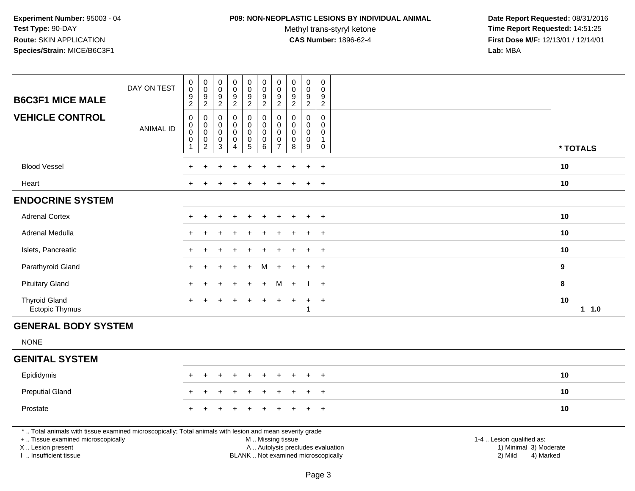### **P09: NON-NEOPLASTIC LESIONS BY INDIVIDUAL ANIMAL**

Methyl trans-styryl ketone<br>CAS Number: 1896-62-4

| <b>B6C3F1 MICE MALE</b>                                                                                                                                                                       | DAY ON TEST      | $_{\rm 0}^{\rm 0}$<br>$\frac{9}{2}$          | $\begin{smallmatrix} 0\\0 \end{smallmatrix}$<br>$\frac{9}{2}$                    | $\pmb{0}$<br>0<br>$\boldsymbol{9}$ | $\mathsf 0$<br>$\ddot{\mathbf{0}}$<br>$\boldsymbol{9}$ | $\pmb{0}$<br>$\pmb{0}$<br>$\boldsymbol{9}$ | $\pmb{0}$<br>$\mathbf 0$<br>$\boldsymbol{9}$           | $\pmb{0}$<br>$\mathbf 0$<br>9        | $\mathbf 0$<br>0<br>$\boldsymbol{9}$                       | $\pmb{0}$<br>$\ddot{\mathbf{0}}$<br>$\boldsymbol{9}$ | $\mathbf 0$<br>$\mathbf 0$<br>9                     |                                                                                                                  |            |
|-----------------------------------------------------------------------------------------------------------------------------------------------------------------------------------------------|------------------|----------------------------------------------|----------------------------------------------------------------------------------|------------------------------------|--------------------------------------------------------|--------------------------------------------|--------------------------------------------------------|--------------------------------------|------------------------------------------------------------|------------------------------------------------------|-----------------------------------------------------|------------------------------------------------------------------------------------------------------------------|------------|
|                                                                                                                                                                                               |                  |                                              |                                                                                  | $\overline{2}$                     | $\overline{2}$                                         | $\overline{2}$                             | $\overline{2}$                                         | $\overline{2}$                       | $\overline{2}$                                             | $\overline{2}$                                       | $\overline{2}$                                      |                                                                                                                  |            |
| <b>VEHICLE CONTROL</b>                                                                                                                                                                        | <b>ANIMAL ID</b> | $\pmb{0}$<br>$_{\rm 0}^{\rm 0}$<br>$\pmb{0}$ | $\mathbf 0$<br>$\mathsf{O}\xspace$<br>$\ddot{\mathbf{0}}$<br>$\mathsf{O}\xspace$ | $\mathbf 0$<br>0<br>0<br>0         | $\mathbf 0$<br>$\pmb{0}$<br>$\pmb{0}$<br>$\mathbf 0$   | 0<br>$\pmb{0}$<br>$\mathsf 0$<br>$\pmb{0}$ | $\pmb{0}$<br>$\mathbf 0$<br>$\mathbf 0$<br>$\mathbf 0$ | 0<br>0<br>$\mathbf 0$<br>$\mathbf 0$ | $\Omega$<br>$\Omega$<br>$\mathbf 0$<br>$\mathsf{O}\xspace$ | $\mathbf 0$<br>0<br>$\mathsf{O}\xspace$<br>$\pmb{0}$ | $\mathbf 0$<br>$\Omega$<br>$\Omega$<br>$\mathbf{1}$ |                                                                                                                  |            |
|                                                                                                                                                                                               |                  | 1                                            | $\overline{2}$                                                                   | 3                                  | $\overline{4}$                                         | 5                                          | 6                                                      | $\overline{7}$                       | 8                                                          | 9                                                    | 0                                                   |                                                                                                                  | * TOTALS   |
| <b>Blood Vessel</b>                                                                                                                                                                           |                  |                                              |                                                                                  |                                    |                                                        |                                            |                                                        |                                      |                                                            |                                                      | $+$                                                 |                                                                                                                  | 10         |
| Heart                                                                                                                                                                                         |                  |                                              |                                                                                  |                                    |                                                        |                                            |                                                        |                                      |                                                            | $\pm$                                                | $+$                                                 |                                                                                                                  | 10         |
| <b>ENDOCRINE SYSTEM</b>                                                                                                                                                                       |                  |                                              |                                                                                  |                                    |                                                        |                                            |                                                        |                                      |                                                            |                                                      |                                                     |                                                                                                                  |            |
| <b>Adrenal Cortex</b>                                                                                                                                                                         |                  |                                              |                                                                                  |                                    |                                                        |                                            |                                                        |                                      |                                                            |                                                      | $\ddot{}$                                           |                                                                                                                  | 10         |
| Adrenal Medulla                                                                                                                                                                               |                  |                                              |                                                                                  |                                    |                                                        |                                            |                                                        |                                      |                                                            | $\ddot{}$                                            | $+$                                                 |                                                                                                                  | 10         |
| Islets, Pancreatic                                                                                                                                                                            |                  |                                              |                                                                                  |                                    |                                                        |                                            |                                                        |                                      |                                                            |                                                      | $+$                                                 |                                                                                                                  | 10         |
| Parathyroid Gland                                                                                                                                                                             |                  |                                              |                                                                                  |                                    |                                                        |                                            | м                                                      |                                      |                                                            |                                                      | $\div$                                              |                                                                                                                  | $\bf{9}$   |
| <b>Pituitary Gland</b>                                                                                                                                                                        |                  |                                              |                                                                                  |                                    |                                                        |                                            | $+$                                                    | М                                    | $+$                                                        |                                                      | $+$                                                 |                                                                                                                  | 8          |
| <b>Thyroid Gland</b><br>Ectopic Thymus                                                                                                                                                        |                  | $+$                                          |                                                                                  |                                    |                                                        | $\div$                                     |                                                        | $\ddot{}$                            | $\pm$                                                      | $\ddot{}$<br>-1                                      | $+$                                                 |                                                                                                                  | 10<br>11.0 |
| <b>GENERAL BODY SYSTEM</b>                                                                                                                                                                    |                  |                                              |                                                                                  |                                    |                                                        |                                            |                                                        |                                      |                                                            |                                                      |                                                     |                                                                                                                  |            |
| <b>NONE</b>                                                                                                                                                                                   |                  |                                              |                                                                                  |                                    |                                                        |                                            |                                                        |                                      |                                                            |                                                      |                                                     |                                                                                                                  |            |
| <b>GENITAL SYSTEM</b>                                                                                                                                                                         |                  |                                              |                                                                                  |                                    |                                                        |                                            |                                                        |                                      |                                                            |                                                      |                                                     |                                                                                                                  |            |
| Epididymis                                                                                                                                                                                    |                  |                                              |                                                                                  |                                    |                                                        |                                            |                                                        |                                      |                                                            |                                                      | $\overline{ }$                                      |                                                                                                                  | 10         |
| <b>Preputial Gland</b>                                                                                                                                                                        |                  |                                              |                                                                                  |                                    |                                                        |                                            |                                                        |                                      |                                                            |                                                      | $+$                                                 |                                                                                                                  | 10         |
| Prostate                                                                                                                                                                                      |                  |                                              |                                                                                  |                                    |                                                        |                                            |                                                        |                                      |                                                            | $\ddot{}$                                            | $+$                                                 |                                                                                                                  | 10         |
| *  Total animals with tissue examined microscopically; Total animals with lesion and mean severity grade<br>+  Tissue examined microscopically<br>X  Lesion present<br>I  Insufficient tissue |                  |                                              |                                                                                  |                                    |                                                        |                                            | M  Missing tissue                                      |                                      | BLANK  Not examined microscopically                        |                                                      |                                                     | 1-4  Lesion qualified as:<br>A  Autolysis precludes evaluation<br>1) Minimal 3) Moderate<br>2) Mild<br>4) Marked |            |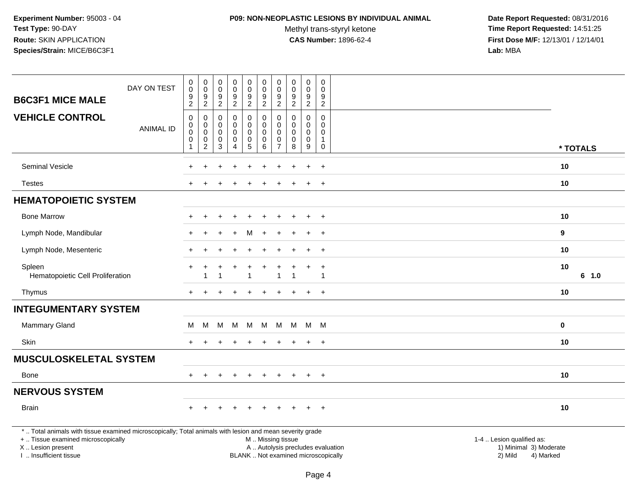### **P09: NON-NEOPLASTIC LESIONS BY INDIVIDUAL ANIMAL**

Methyl trans-styryl ketone<br>CAS Number: 1896-62-4

| <b>B6C3F1 MICE MALE</b>                                                                                                                                                                       | DAY ON TEST      | 0<br>$\pmb{0}$<br>9<br>$\overline{2}$                          | $\pmb{0}$<br>$\boldsymbol{0}$<br>$9\,$<br>$\overline{2}$                   | $\pmb{0}$<br>$\pmb{0}$<br>$9\,$<br>$\overline{2}$         | $\pmb{0}$<br>$\mathsf 0$<br>9<br>$\overline{2}$   | 0<br>$\mathsf{O}\xspace$<br>$\boldsymbol{9}$<br>$\overline{2}$ | $\pmb{0}$<br>$\pmb{0}$<br>$\boldsymbol{9}$<br>$\overline{2}$  | 0<br>$\mathbf 0$<br>9<br>$\overline{2}$                                   | $\mathsf{O}\xspace$<br>$\mathbf 0$<br>9<br>$\overline{2}$  | $\pmb{0}$<br>$\mathsf{O}\xspace$<br>9<br>$\overline{2}$  | $\pmb{0}$<br>$\mathbf 0$<br>9<br>$\overline{2}$                       |                                                                                                                  |          |
|-----------------------------------------------------------------------------------------------------------------------------------------------------------------------------------------------|------------------|----------------------------------------------------------------|----------------------------------------------------------------------------|-----------------------------------------------------------|---------------------------------------------------|----------------------------------------------------------------|---------------------------------------------------------------|---------------------------------------------------------------------------|------------------------------------------------------------|----------------------------------------------------------|-----------------------------------------------------------------------|------------------------------------------------------------------------------------------------------------------|----------|
| <b>VEHICLE CONTROL</b>                                                                                                                                                                        | <b>ANIMAL ID</b> | $\mathsf 0$<br>$\mathbf 0$<br>$\pmb{0}$<br>0<br>$\overline{1}$ | $\mathbf 0$<br>$\mathbf 0$<br>$\pmb{0}$<br>$\mathbf 0$<br>$\boldsymbol{2}$ | $\pmb{0}$<br>$\mathbf 0$<br>$\pmb{0}$<br>$\mathbf 0$<br>3 | $\mathsf 0$<br>0<br>$\pmb{0}$<br>$\mathsf 0$<br>4 | 0<br>0<br>$\mathbf 0$<br>$\mathbf 0$<br>$\overline{5}$         | $\pmb{0}$<br>$\pmb{0}$<br>$\pmb{0}$<br>$\mathbf 0$<br>$\,6\,$ | $\mathbf 0$<br>$\mathbf{0}$<br>$\pmb{0}$<br>$\mathbf 0$<br>$\overline{7}$ | $\mathbf 0$<br>$\Omega$<br>$\mathbf 0$<br>$\mathbf 0$<br>8 | 0<br>$\mathbf 0$<br>$\mathbf 0$<br>0<br>$\boldsymbol{9}$ | $\mathbf 0$<br>$\Omega$<br>$\mathbf 0$<br>$\mathbf{1}$<br>$\mathbf 0$ |                                                                                                                  |          |
|                                                                                                                                                                                               |                  |                                                                |                                                                            |                                                           |                                                   |                                                                |                                                               |                                                                           |                                                            |                                                          |                                                                       |                                                                                                                  | * TOTALS |
| Seminal Vesicle                                                                                                                                                                               |                  |                                                                |                                                                            |                                                           |                                                   |                                                                |                                                               |                                                                           |                                                            |                                                          | $\ddot{}$                                                             | 10                                                                                                               |          |
| <b>Testes</b>                                                                                                                                                                                 |                  |                                                                |                                                                            |                                                           |                                                   |                                                                |                                                               |                                                                           |                                                            | $\ddot{}$                                                | $+$                                                                   | 10                                                                                                               |          |
| <b>HEMATOPOIETIC SYSTEM</b>                                                                                                                                                                   |                  |                                                                |                                                                            |                                                           |                                                   |                                                                |                                                               |                                                                           |                                                            |                                                          |                                                                       |                                                                                                                  |          |
| <b>Bone Marrow</b>                                                                                                                                                                            |                  |                                                                |                                                                            |                                                           |                                                   |                                                                |                                                               |                                                                           |                                                            | $\ddot{}$                                                | $\ddot{}$                                                             | 10                                                                                                               |          |
| Lymph Node, Mandibular                                                                                                                                                                        |                  |                                                                |                                                                            |                                                           | $\ddot{}$                                         | M                                                              |                                                               |                                                                           |                                                            | $\ddot{}$                                                | $+$                                                                   | 9                                                                                                                |          |
| Lymph Node, Mesenteric                                                                                                                                                                        |                  |                                                                |                                                                            |                                                           |                                                   |                                                                |                                                               |                                                                           |                                                            |                                                          | $\ddot{}$                                                             | 10                                                                                                               |          |
| Spleen<br>Hematopoietic Cell Proliferation                                                                                                                                                    |                  | +                                                              | 1                                                                          | 1                                                         |                                                   | $\overline{1}$                                                 |                                                               | 1                                                                         | $\overline{1}$                                             | $\ddot{}$                                                | $\ddot{}$<br>$\mathbf{1}$                                             | 10                                                                                                               | 6 1.0    |
| Thymus                                                                                                                                                                                        |                  |                                                                |                                                                            |                                                           |                                                   |                                                                |                                                               |                                                                           |                                                            |                                                          | $\ddot{}$                                                             | 10                                                                                                               |          |
| <b>INTEGUMENTARY SYSTEM</b>                                                                                                                                                                   |                  |                                                                |                                                                            |                                                           |                                                   |                                                                |                                                               |                                                                           |                                                            |                                                          |                                                                       |                                                                                                                  |          |
| Mammary Gland                                                                                                                                                                                 |                  | М                                                              | M                                                                          | M                                                         | M                                                 | M                                                              | M                                                             | M                                                                         |                                                            | M M M                                                    |                                                                       | 0                                                                                                                |          |
| Skin                                                                                                                                                                                          |                  | $+$                                                            | $\div$                                                                     |                                                           |                                                   |                                                                |                                                               | $+$                                                                       |                                                            | $\ddot{}$                                                | $+$                                                                   | 10                                                                                                               |          |
| <b>MUSCULOSKELETAL SYSTEM</b>                                                                                                                                                                 |                  |                                                                |                                                                            |                                                           |                                                   |                                                                |                                                               |                                                                           |                                                            |                                                          |                                                                       |                                                                                                                  |          |
| Bone                                                                                                                                                                                          |                  | +                                                              |                                                                            |                                                           |                                                   |                                                                |                                                               |                                                                           |                                                            | $\ddot{}$                                                | $\overline{+}$                                                        | 10                                                                                                               |          |
| <b>NERVOUS SYSTEM</b>                                                                                                                                                                         |                  |                                                                |                                                                            |                                                           |                                                   |                                                                |                                                               |                                                                           |                                                            |                                                          |                                                                       |                                                                                                                  |          |
| <b>Brain</b>                                                                                                                                                                                  |                  | $+$                                                            |                                                                            |                                                           | $\ddot{}$                                         |                                                                |                                                               |                                                                           |                                                            | $\ddot{+}$                                               | $+$                                                                   | 10                                                                                                               |          |
| *  Total animals with tissue examined microscopically; Total animals with lesion and mean severity grade<br>+  Tissue examined microscopically<br>X  Lesion present<br>I  Insufficient tissue |                  |                                                                |                                                                            |                                                           |                                                   |                                                                | M  Missing tissue<br>BLANK  Not examined microscopically      |                                                                           |                                                            |                                                          |                                                                       | 1-4  Lesion qualified as:<br>A  Autolysis precludes evaluation<br>1) Minimal 3) Moderate<br>2) Mild<br>4) Marked |          |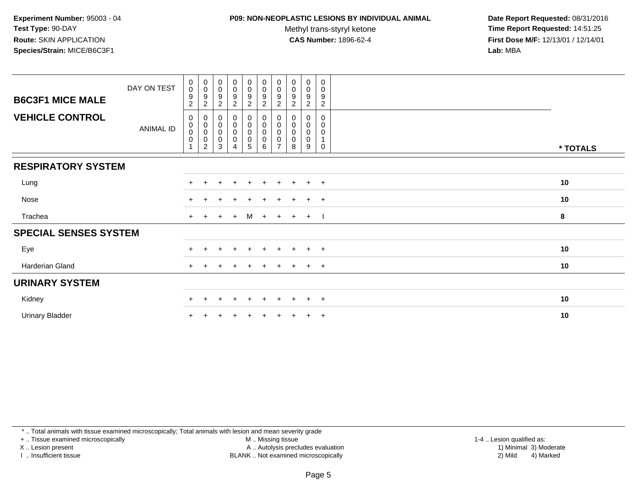## **P09: NON-NEOPLASTIC LESIONS BY INDIVIDUAL ANIMAL**

Methyl trans-styryl ketone<br>CAS Number: 1896-62-4

 **Date Report Requested:** 08/31/2016 **Time Report Requested:** 14:51:25 **First Dose M/F:** 12/13/01 / 12/14/01<br>**Lab:** MBA **Lab:** MBA

| <b>B6C3F1 MICE MALE</b>      | DAY ON TEST | $\mathbf 0$<br>$\pmb{0}$<br>$\boldsymbol{9}$<br>$\overline{c}$    | $_{\rm 0}^{\rm 0}$<br>$\frac{9}{2}$                                              | $_{\rm 0}^{\rm 0}$<br>$\frac{9}{2}$                    | $_{\rm 0}^{\rm 0}$<br>$\frac{9}{2}$                             | $\begin{array}{c} 0 \\ 0 \\ 9 \\ 2 \end{array}$                 | $\begin{array}{c} 0 \\ 0 \\ 9 \\ 2 \end{array}$              | $\begin{smallmatrix}0\0\0\end{smallmatrix}$<br>9<br>$\overline{c}$ | $_{\rm 0}^{\rm 0}$<br>9<br>$\overline{\mathbf{c}}$ | $_{\rm 0}^{\rm 0}$<br>$\boldsymbol{9}$<br>$\sqrt{2}$ | 0<br>0<br>9<br>$\overline{c}$ |          |
|------------------------------|-------------|-------------------------------------------------------------------|----------------------------------------------------------------------------------|--------------------------------------------------------|-----------------------------------------------------------------|-----------------------------------------------------------------|--------------------------------------------------------------|--------------------------------------------------------------------|----------------------------------------------------|------------------------------------------------------|-------------------------------|----------|
| <b>VEHICLE CONTROL</b>       | ANIMAL ID   | 0<br>$\mathbf 0$<br>$\pmb{0}$<br>$\overline{0}$<br>$\overline{1}$ | 0<br>$\begin{smallmatrix} 0\\0 \end{smallmatrix}$<br>$\pmb{0}$<br>$\overline{c}$ | 0<br>$\pmb{0}$<br>$\pmb{0}$<br>$\pmb{0}$<br>$\sqrt{3}$ | $\begin{smallmatrix}0\0\0\0\end{smallmatrix}$<br>$\overline{4}$ | $\begin{smallmatrix}0\0\0\0\end{smallmatrix}$<br>$\overline{5}$ | $\pmb{0}$<br>$\pmb{0}$<br>$\boldsymbol{0}$<br>$\pmb{0}$<br>6 | 0<br>0<br>$\mathbf 0$<br>$\pmb{0}$<br>$\overline{ }$               | 0<br>0<br>0<br>8                                   | 0<br>0<br>$\pmb{0}$<br>$\pmb{0}$<br>9                | 0<br>0<br>0<br>$\mathbf 0$    | * TOTALS |
| <b>RESPIRATORY SYSTEM</b>    |             |                                                                   |                                                                                  |                                                        |                                                                 |                                                                 |                                                              |                                                                    |                                                    |                                                      |                               |          |
| Lung                         |             |                                                                   |                                                                                  | +                                                      | $\div$                                                          | $+$                                                             | $+$                                                          | $\pm$                                                              | $+$                                                | $+$                                                  | $+$                           | 10       |
| Nose                         |             |                                                                   |                                                                                  |                                                        |                                                                 |                                                                 |                                                              |                                                                    |                                                    | $\pm$                                                | $+$                           | 10       |
| Trachea                      |             | $+$                                                               |                                                                                  | $+$                                                    | $+$                                                             | M                                                               | $+$                                                          | $+$                                                                |                                                    | $+$ $+$                                              | $\sim$                        | 8        |
| <b>SPECIAL SENSES SYSTEM</b> |             |                                                                   |                                                                                  |                                                        |                                                                 |                                                                 |                                                              |                                                                    |                                                    |                                                      |                               |          |
| Eye                          |             |                                                                   |                                                                                  | $\pm$                                                  | $\ddot{}$                                                       | $+$                                                             | $+$                                                          | $\pm$                                                              | $+$                                                | $+$ $+$                                              |                               | 10       |
| Harderian Gland              |             | $+$                                                               | $\pm$                                                                            | $+$                                                    | $\ddot{}$                                                       | $+$                                                             | $+$                                                          | $\ddot{}$                                                          | $+$                                                | $+$ $+$                                              |                               | 10       |
| <b>URINARY SYSTEM</b>        |             |                                                                   |                                                                                  |                                                        |                                                                 |                                                                 |                                                              |                                                                    |                                                    |                                                      |                               |          |
| Kidney                       |             | $+$                                                               |                                                                                  | $\pm$                                                  | $\div$                                                          | $+$                                                             | $\pm$                                                        | $\pm$                                                              | $+$                                                | $+$ $+$                                              |                               | 10       |
| <b>Urinary Bladder</b>       |             |                                                                   |                                                                                  |                                                        |                                                                 |                                                                 |                                                              |                                                                    |                                                    | $\ddot{}$                                            | $^{+}$                        | 10       |

\* .. Total animals with tissue examined microscopically; Total animals with lesion and mean severity grade

+ .. Tissue examined microscopically

X .. Lesion present

I .. Insufficient tissue

M .. Missing tissue

Lesion present A .. Autolysis precludes evaluation 1) Minimal 3) Moderate

 1-4 .. Lesion qualified as: BLANK .. Not examined microscopically 2) Mild 4) Marked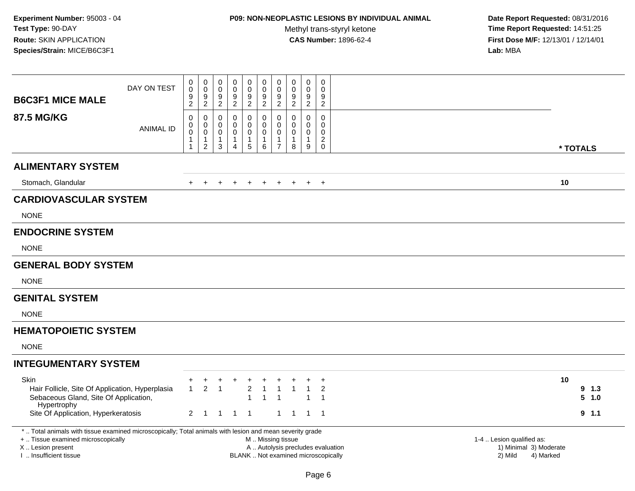# **P09: NON-NEOPLASTIC LESIONS BY INDIVIDUAL ANIMAL**

Methyl trans-styryl ketone<br>CAS Number: 1896-62-4

| <b>B6C3F1 MICE MALE</b>                                                                                                                                                                       | DAY ON TEST      | 0<br>$\pmb{0}$<br>9<br>$\mathbf{2}$       | $\pmb{0}$<br>$\mathbf 0$<br>$9\,$<br>$\overline{2}$                                   | 0<br>0<br>9<br>$\overline{2}$          | 0<br>$\mathbf 0$<br>$\boldsymbol{9}$<br>$\overline{a}$  | $\mathbf 0$<br>$\mathbf 0$<br>9<br>$\overline{2}$ | $\pmb{0}$<br>$\mathbf 0$<br>9<br>$\overline{a}$                                               | 0<br>$\pmb{0}$<br>9<br>$\overline{2}$                         | $\mathbf 0$<br>$\mathbf 0$<br>9<br>$\overline{2}$               | $\mathsf{O}\xspace$<br>$\mathbf 0$<br>9<br>$\overline{2}$      | 0<br>$\mathbf 0$<br>9<br>2                                       |                                                                             |                                   |
|-----------------------------------------------------------------------------------------------------------------------------------------------------------------------------------------------|------------------|-------------------------------------------|---------------------------------------------------------------------------------------|----------------------------------------|---------------------------------------------------------|---------------------------------------------------|-----------------------------------------------------------------------------------------------|---------------------------------------------------------------|-----------------------------------------------------------------|----------------------------------------------------------------|------------------------------------------------------------------|-----------------------------------------------------------------------------|-----------------------------------|
| <b>87.5 MG/KG</b>                                                                                                                                                                             | <b>ANIMAL ID</b> | $\mathbf 0$<br>0<br>$\mathbf 0$<br>1<br>1 | $\mathbf 0$<br>$\boldsymbol{0}$<br>$\boldsymbol{0}$<br>$\mathbf{1}$<br>$\overline{c}$ | $\Omega$<br>0<br>$\mathbf 0$<br>1<br>3 | 0<br>$\mathbf 0$<br>0<br>$\mathbf{1}$<br>$\overline{4}$ | 0<br>$\mathbf 0$<br>$\mathbf 0$<br>1<br>5         | 0<br>$\mathbf 0$<br>0<br>$\mathbf{1}$<br>6                                                    | $\Omega$<br>0<br>$\mathbf 0$<br>$\mathbf 1$<br>$\overline{7}$ | $\mathbf{0}$<br>$\mathbf 0$<br>$\mathbf 0$<br>$\mathbf{1}$<br>8 | $\mathbf 0$<br>$\mathbf 0$<br>$\mathbf 0$<br>$\mathbf{1}$<br>9 | 0<br>$\mathbf 0$<br>$\mathbf 0$<br>$\overline{2}$<br>$\mathbf 0$ |                                                                             | * TOTALS                          |
| <b>ALIMENTARY SYSTEM</b>                                                                                                                                                                      |                  |                                           |                                                                                       |                                        |                                                         |                                                   |                                                                                               |                                                               |                                                                 |                                                                |                                                                  |                                                                             |                                   |
| Stomach, Glandular                                                                                                                                                                            |                  |                                           |                                                                                       |                                        |                                                         |                                                   | $\ddot{}$                                                                                     | $\pm$                                                         |                                                                 | $\pm$                                                          | $+$                                                              |                                                                             | 10                                |
| <b>CARDIOVASCULAR SYSTEM</b>                                                                                                                                                                  |                  |                                           |                                                                                       |                                        |                                                         |                                                   |                                                                                               |                                                               |                                                                 |                                                                |                                                                  |                                                                             |                                   |
| <b>NONE</b>                                                                                                                                                                                   |                  |                                           |                                                                                       |                                        |                                                         |                                                   |                                                                                               |                                                               |                                                                 |                                                                |                                                                  |                                                                             |                                   |
| <b>ENDOCRINE SYSTEM</b>                                                                                                                                                                       |                  |                                           |                                                                                       |                                        |                                                         |                                                   |                                                                                               |                                                               |                                                                 |                                                                |                                                                  |                                                                             |                                   |
| <b>NONE</b>                                                                                                                                                                                   |                  |                                           |                                                                                       |                                        |                                                         |                                                   |                                                                                               |                                                               |                                                                 |                                                                |                                                                  |                                                                             |                                   |
| <b>GENERAL BODY SYSTEM</b>                                                                                                                                                                    |                  |                                           |                                                                                       |                                        |                                                         |                                                   |                                                                                               |                                                               |                                                                 |                                                                |                                                                  |                                                                             |                                   |
| <b>NONE</b>                                                                                                                                                                                   |                  |                                           |                                                                                       |                                        |                                                         |                                                   |                                                                                               |                                                               |                                                                 |                                                                |                                                                  |                                                                             |                                   |
| <b>GENITAL SYSTEM</b>                                                                                                                                                                         |                  |                                           |                                                                                       |                                        |                                                         |                                                   |                                                                                               |                                                               |                                                                 |                                                                |                                                                  |                                                                             |                                   |
| <b>NONE</b>                                                                                                                                                                                   |                  |                                           |                                                                                       |                                        |                                                         |                                                   |                                                                                               |                                                               |                                                                 |                                                                |                                                                  |                                                                             |                                   |
| <b>HEMATOPOIETIC SYSTEM</b>                                                                                                                                                                   |                  |                                           |                                                                                       |                                        |                                                         |                                                   |                                                                                               |                                                               |                                                                 |                                                                |                                                                  |                                                                             |                                   |
| <b>NONE</b>                                                                                                                                                                                   |                  |                                           |                                                                                       |                                        |                                                         |                                                   |                                                                                               |                                                               |                                                                 |                                                                |                                                                  |                                                                             |                                   |
| <b>INTEGUMENTARY SYSTEM</b>                                                                                                                                                                   |                  |                                           |                                                                                       |                                        |                                                         |                                                   |                                                                                               |                                                               |                                                                 |                                                                |                                                                  |                                                                             |                                   |
| Skin<br>Hair Follicle, Site Of Application, Hyperplasia<br>Sebaceous Gland, Site Of Application,<br>Hypertrophy<br>Site Of Application, Hyperkeratosis                                        |                  | +<br>$\mathbf{1}$                         | $\overline{2}$<br>2 1 1 1 1                                                           | $\ddot{}$<br>$\mathbf{1}$              |                                                         | $\overline{2}$<br>$\mathbf{1}$                    | -1<br>$\mathbf{1}$                                                                            | $\overline{1}$                                                | $1 \quad 1$                                                     | -1<br>$1 \quad 1$                                              | $\ddot{}$<br>$\overline{2}$<br>$\overline{1}$                    |                                                                             | 10<br>$9 \t1.3$<br>5 1.0<br>9 1.1 |
| *  Total animals with tissue examined microscopically; Total animals with lesion and mean severity grade<br>+  Tissue examined microscopically<br>X  Lesion present<br>I  Insufficient tissue |                  |                                           |                                                                                       |                                        |                                                         |                                                   | M  Missing tissue<br>A  Autolysis precludes evaluation<br>BLANK  Not examined microscopically |                                                               |                                                                 |                                                                |                                                                  | 1-4  Lesion qualified as:<br>1) Minimal 3) Moderate<br>2) Mild<br>4) Marked |                                   |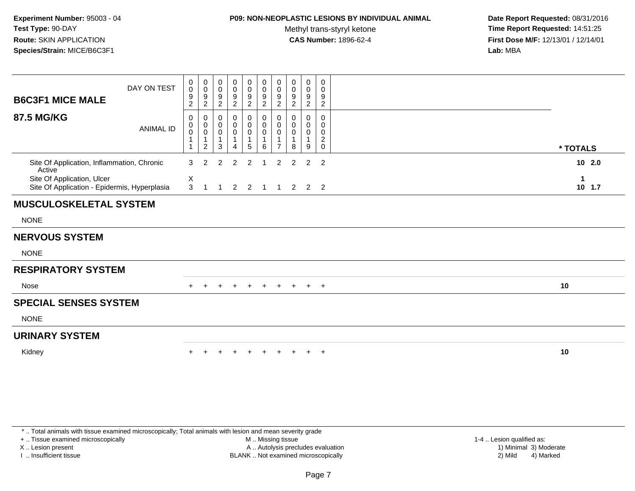## **P09: NON-NEOPLASTIC LESIONS BY INDIVIDUAL ANIMAL**

Methyl trans-styryl ketone<br>CAS Number: 1896-62-4

 **Date Report Requested:** 08/31/2016 **Time Report Requested:** 14:51:25 **First Dose M/F:** 12/13/01 / 12/14/01<br>**Lab:** MBA **Lab:** MBA

| <b>B6C3F1 MICE MALE</b>                                                    | DAY ON TEST      | 0<br>$\mathbf 0$<br>$\boldsymbol{9}$<br>$\overline{c}$ | $\boldsymbol{0}$<br>$\mathbf 0$<br>$\boldsymbol{9}$<br>$\overline{c}$             | 0<br>$\mathbf 0$<br>9<br>$\mathbf{2}$                          | 0<br>$\boldsymbol{0}$<br>9<br>$\overline{c}$     | $\pmb{0}$<br>$\pmb{0}$<br>$\boldsymbol{9}$<br>$\boldsymbol{2}$ | 0<br>$\pmb{0}$<br>$\boldsymbol{9}$<br>$\overline{c}$ | 0<br>$\mathbf 0$<br>9<br>$\overline{c}$               | 0<br>$\mathbf 0$<br>9<br>$\overline{c}$ | 0<br>0<br>$\boldsymbol{9}$<br>$\overline{2}$ | $\mathbf 0$<br>$\mathbf 0$<br>$\boldsymbol{9}$<br>$\overline{2}$ |          |          |
|----------------------------------------------------------------------------|------------------|--------------------------------------------------------|-----------------------------------------------------------------------------------|----------------------------------------------------------------|--------------------------------------------------|----------------------------------------------------------------|------------------------------------------------------|-------------------------------------------------------|-----------------------------------------|----------------------------------------------|------------------------------------------------------------------|----------|----------|
| <b>87.5 MG/KG</b>                                                          | <b>ANIMAL ID</b> | 0<br>0<br>$\pmb{0}$<br>$\mathbf{1}$                    | 0<br>$\begin{smallmatrix}0\\0\end{smallmatrix}$<br>$\mathbf{1}$<br>$\overline{2}$ | 0<br>$\boldsymbol{0}$<br>$\boldsymbol{0}$<br>$\mathbf{1}$<br>3 | 0<br>$\pmb{0}$<br>$\pmb{0}$<br>$\mathbf{1}$<br>4 | 0<br>$\pmb{0}$<br>$\pmb{0}$<br>$\mathbf{1}$<br>5               | 0<br>$\mathbf 0$<br>$\mathbf 0$<br>$\mathbf{1}$<br>6 | 0<br>0<br>$\pmb{0}$<br>$\mathbf{1}$<br>$\overline{7}$ | 0<br>0<br>0<br>$\mathbf{1}$<br>8        | $\Omega$<br>0<br>0<br>9                      | $\mathbf 0$<br>$\Omega$<br>0<br>$\overline{2}$<br>$\mathbf 0$    | * TOTALS |          |
| Site Of Application, Inflammation, Chronic<br>Active                       |                  | 3                                                      | $\mathcal{P}$                                                                     | 2                                                              | 2                                                | $\overline{2}$                                                 |                                                      | $\overline{2}$                                        | $\mathfrak{p}$                          | 2                                            | 2                                                                |          | 102.0    |
| Site Of Application, Ulcer<br>Site Of Application - Epidermis, Hyperplasia |                  | X<br>3                                                 |                                                                                   |                                                                |                                                  |                                                                |                                                      |                                                       | 2 2 1 1 2 2 2                           |                                              |                                                                  | 1        | $10$ 1.7 |
| <b>MUSCULOSKELETAL SYSTEM</b>                                              |                  |                                                        |                                                                                   |                                                                |                                                  |                                                                |                                                      |                                                       |                                         |                                              |                                                                  |          |          |
| <b>NONE</b>                                                                |                  |                                                        |                                                                                   |                                                                |                                                  |                                                                |                                                      |                                                       |                                         |                                              |                                                                  |          |          |
| <b>NERVOUS SYSTEM</b>                                                      |                  |                                                        |                                                                                   |                                                                |                                                  |                                                                |                                                      |                                                       |                                         |                                              |                                                                  |          |          |
| <b>NONE</b>                                                                |                  |                                                        |                                                                                   |                                                                |                                                  |                                                                |                                                      |                                                       |                                         |                                              |                                                                  |          |          |
| <b>RESPIRATORY SYSTEM</b>                                                  |                  |                                                        |                                                                                   |                                                                |                                                  |                                                                |                                                      |                                                       |                                         |                                              |                                                                  |          |          |
| Nose                                                                       |                  | $+$                                                    |                                                                                   | $+$                                                            | $+$                                              | $+$                                                            | $+$                                                  |                                                       | $+$ $+$ $+$ $+$                         |                                              |                                                                  | 10       |          |
| <b>SPECIAL SENSES SYSTEM</b>                                               |                  |                                                        |                                                                                   |                                                                |                                                  |                                                                |                                                      |                                                       |                                         |                                              |                                                                  |          |          |
| <b>NONE</b>                                                                |                  |                                                        |                                                                                   |                                                                |                                                  |                                                                |                                                      |                                                       |                                         |                                              |                                                                  |          |          |
| <b>URINARY SYSTEM</b>                                                      |                  |                                                        |                                                                                   |                                                                |                                                  |                                                                |                                                      |                                                       |                                         |                                              |                                                                  |          |          |
| Kidney                                                                     |                  |                                                        |                                                                                   |                                                                |                                                  |                                                                |                                                      |                                                       |                                         |                                              | $+$                                                              | 10       |          |

+ .. Tissue examined microscopically

X .. Lesion present

I .. Insufficient tissue

 M .. Missing tissueA .. Autolysis precludes evaluation BLANK .. Not examined microscopically 2) Mild 4) Marked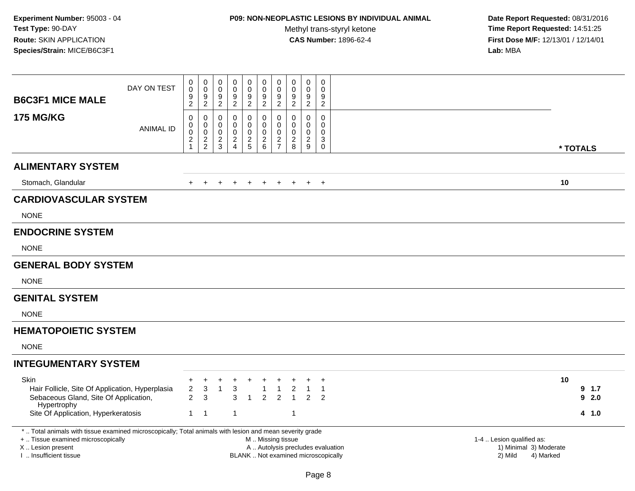# **P09: NON-NEOPLASTIC LESIONS BY INDIVIDUAL ANIMAL**

Methyl trans-styryl ketone<br>CAS Number: 1896-62-4

| <b>B6C3F1 MICE MALE</b>                                                                                                                                                                       | DAY ON TEST      | 0<br>$\mathbf 0$<br>9<br>$\overline{c}$          | 0<br>$\mathbf 0$<br>9<br>$\overline{a}$          | 0<br>$\mathbf 0$<br>9<br>$\overline{c}$          | 0<br>$\Omega$<br>9<br>$\boldsymbol{2}$        | $\pmb{0}$<br>$\pmb{0}$<br>9<br>$\overline{c}$  | $\mathbf 0$<br>$\mathbf 0$<br>9<br>$\overline{2}$         | $\pmb{0}$<br>$\mathbf 0$<br>9<br>$\overline{2}$          | 0<br>$\mathbf 0$<br>9<br>$\overline{2}$             | 0<br>$\mathbf 0$<br>$9\,$<br>$\overline{2}$                | $\mathbf 0$<br>$\Omega$<br>9<br>$\overline{c}$                           |                                                                             |          |                        |  |
|-----------------------------------------------------------------------------------------------------------------------------------------------------------------------------------------------|------------------|--------------------------------------------------|--------------------------------------------------|--------------------------------------------------|-----------------------------------------------|------------------------------------------------|-----------------------------------------------------------|----------------------------------------------------------|-----------------------------------------------------|------------------------------------------------------------|--------------------------------------------------------------------------|-----------------------------------------------------------------------------|----------|------------------------|--|
| <b>175 MG/KG</b>                                                                                                                                                                              | <b>ANIMAL ID</b> | $\mathbf 0$<br>0<br>$\mathbf 0$<br>$\frac{2}{1}$ | 0<br>$\mathbf 0$<br>$\mathsf 0$<br>$\frac{2}{2}$ | $\mathbf 0$<br>$\mathbf 0$<br>0<br>$\frac{2}{3}$ | 0<br>$\Omega$<br>$\mathbf 0$<br>$\frac{2}{4}$ | $\mathbf 0$<br>0<br>$\pmb{0}$<br>$\frac{2}{5}$ | 0<br>$\mathbf{0}$<br>$\mathsf{O}\xspace$<br>$\frac{2}{6}$ | $\mathbf 0$<br>$\mathbf 0$<br>$\pmb{0}$<br>$\frac{2}{7}$ | 0<br>$\Omega$<br>$\mathbf 0$<br>$\overline{c}$<br>8 | $\mathbf 0$<br>$\mathbf 0$<br>$\mathbf 0$<br>$\frac{2}{9}$ | $\pmb{0}$<br>$\mathbf 0$<br>$\mathbf 0$<br>$\mathbf{3}$<br>$\mathbf 0$   |                                                                             | * TOTALS |                        |  |
| <b>ALIMENTARY SYSTEM</b>                                                                                                                                                                      |                  |                                                  |                                                  |                                                  |                                               |                                                |                                                           |                                                          |                                                     |                                                            |                                                                          |                                                                             |          |                        |  |
| Stomach, Glandular                                                                                                                                                                            |                  |                                                  |                                                  |                                                  |                                               | $+$                                            | $+$                                                       | $+$                                                      | $+$                                                 | $+$                                                        | $+$                                                                      |                                                                             | 10       |                        |  |
| <b>CARDIOVASCULAR SYSTEM</b>                                                                                                                                                                  |                  |                                                  |                                                  |                                                  |                                               |                                                |                                                           |                                                          |                                                     |                                                            |                                                                          |                                                                             |          |                        |  |
| <b>NONE</b>                                                                                                                                                                                   |                  |                                                  |                                                  |                                                  |                                               |                                                |                                                           |                                                          |                                                     |                                                            |                                                                          |                                                                             |          |                        |  |
| <b>ENDOCRINE SYSTEM</b>                                                                                                                                                                       |                  |                                                  |                                                  |                                                  |                                               |                                                |                                                           |                                                          |                                                     |                                                            |                                                                          |                                                                             |          |                        |  |
| <b>NONE</b>                                                                                                                                                                                   |                  |                                                  |                                                  |                                                  |                                               |                                                |                                                           |                                                          |                                                     |                                                            |                                                                          |                                                                             |          |                        |  |
| <b>GENERAL BODY SYSTEM</b>                                                                                                                                                                    |                  |                                                  |                                                  |                                                  |                                               |                                                |                                                           |                                                          |                                                     |                                                            |                                                                          |                                                                             |          |                        |  |
| <b>NONE</b>                                                                                                                                                                                   |                  |                                                  |                                                  |                                                  |                                               |                                                |                                                           |                                                          |                                                     |                                                            |                                                                          |                                                                             |          |                        |  |
| <b>GENITAL SYSTEM</b>                                                                                                                                                                         |                  |                                                  |                                                  |                                                  |                                               |                                                |                                                           |                                                          |                                                     |                                                            |                                                                          |                                                                             |          |                        |  |
| <b>NONE</b>                                                                                                                                                                                   |                  |                                                  |                                                  |                                                  |                                               |                                                |                                                           |                                                          |                                                     |                                                            |                                                                          |                                                                             |          |                        |  |
| <b>HEMATOPOIETIC SYSTEM</b>                                                                                                                                                                   |                  |                                                  |                                                  |                                                  |                                               |                                                |                                                           |                                                          |                                                     |                                                            |                                                                          |                                                                             |          |                        |  |
| <b>NONE</b>                                                                                                                                                                                   |                  |                                                  |                                                  |                                                  |                                               |                                                |                                                           |                                                          |                                                     |                                                            |                                                                          |                                                                             |          |                        |  |
| <b>INTEGUMENTARY SYSTEM</b>                                                                                                                                                                   |                  |                                                  |                                                  |                                                  |                                               |                                                |                                                           |                                                          |                                                     |                                                            |                                                                          |                                                                             |          |                        |  |
| Skin<br>Hair Follicle, Site Of Application, Hyperplasia<br>Sebaceous Gland, Site Of Application,<br>Hypertrophy<br>Site Of Application, Hyperkeratosis                                        |                  | +<br>$\mathbf{2}$<br>$\overline{2}$<br>1         | +<br>3<br>3<br>$\overline{1}$                    | $\mathbf{1}$                                     | 3<br>3<br>$\mathbf{1}$                        | $\overline{1}$                                 | $\overline{2}$                                            | $\overline{1}$<br>$\overline{2}$                         | $\overline{2}$<br>$\overline{1}$<br>$\mathbf{1}$    | $\mathbf{1}$<br>2                                          | $\ddot{}$<br>$\mathbf{1}$<br>$\overline{2}$                              |                                                                             | 10       | 9 1.7<br>92.0<br>4 1.0 |  |
| *  Total animals with tissue examined microscopically; Total animals with lesion and mean severity grade<br>+  Tissue examined microscopically<br>X  Lesion present<br>I  Insufficient tissue |                  |                                                  |                                                  |                                                  |                                               |                                                | M  Missing tissue                                         |                                                          |                                                     |                                                            | A  Autolysis precludes evaluation<br>BLANK  Not examined microscopically | 1-4  Lesion qualified as:<br>1) Minimal 3) Moderate<br>2) Mild<br>4) Marked |          |                        |  |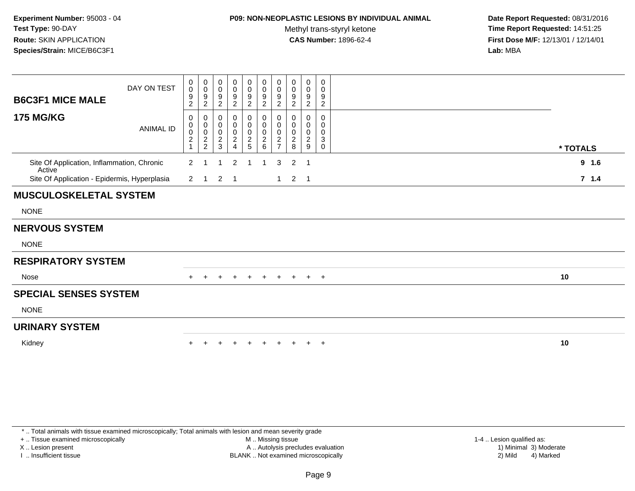### **P09: NON-NEOPLASTIC LESIONS BY INDIVIDUAL ANIMAL**

Methyl trans-styryl ketone<br>CAS Number: 1896-62-4

 **Date Report Requested:** 08/31/2016 **Time Report Requested:** 14:51:25 **First Dose M/F:** 12/13/01 / 12/14/01<br>**Lab:** MBA **Lab:** MBA

| <b>B6C3F1 MICE MALE</b>                                | DAY ON TEST      | $\begin{smallmatrix} 0\\0 \end{smallmatrix}$<br>$\frac{9}{2}$                     | 0<br>$\mathsf 0$<br>9<br>$\sqrt{2}$            | 0<br>$\mathbf 0$<br>$\boldsymbol{9}$<br>$\boldsymbol{2}$                | 0<br>0<br>9<br>$\overline{c}$                                       | 0<br>0<br>$\frac{9}{2}$                    | $\pmb{0}$<br>$\mathbf 0$<br>9<br>$\overline{c}$      | 0<br>$\pmb{0}$<br>9<br>$\boldsymbol{2}$                           | 0<br>0<br>9<br>$\overline{2}$      | $\pmb{0}$<br>$\begin{array}{c} 0 \\ 9 \\ 2 \end{array}$           | $\mathbf 0$<br>0<br>9<br>$\sqrt{2}$    |          |
|--------------------------------------------------------|------------------|-----------------------------------------------------------------------------------|------------------------------------------------|-------------------------------------------------------------------------|---------------------------------------------------------------------|--------------------------------------------|------------------------------------------------------|-------------------------------------------------------------------|------------------------------------|-------------------------------------------------------------------|----------------------------------------|----------|
| <b>175 MG/KG</b>                                       | <b>ANIMAL ID</b> | 0<br>$\begin{smallmatrix} 0\\0 \end{smallmatrix}$<br>$\sqrt{2}$<br>$\overline{1}$ | 0<br>$\mathbf 0$<br>$\pmb{0}$<br>$\frac{2}{2}$ | $\mathbf 0$<br>$\mathbf 0$<br>$\boldsymbol{0}$<br>$\boldsymbol{2}$<br>3 | 0<br>$\pmb{0}$<br>$\mathbf 0$<br>$\boldsymbol{2}$<br>$\overline{A}$ | 0<br>$\pmb{0}$<br>$\pmb{0}$<br>$rac{2}{5}$ | 0<br>$\pmb{0}$<br>$\mathsf 0$<br>$\overline{c}$<br>6 | 0<br>$\pmb{0}$<br>$\pmb{0}$<br>$\boldsymbol{2}$<br>$\overline{z}$ | 0<br>0<br>0<br>$\overline{c}$<br>8 | 0<br>$\pmb{0}$<br>$\pmb{0}$<br>$\overline{2}$<br>$\boldsymbol{9}$ | $\Omega$<br>0<br>0<br>3<br>$\mathbf 0$ | * TOTALS |
| Site Of Application, Inflammation, Chronic             |                  | $\overline{2}$                                                                    |                                                |                                                                         | $\overline{2}$                                                      | -1                                         |                                                      | $\mathbf{3}$                                                      | $\overline{2}$                     | -1                                                                |                                        | 9 1.6    |
| Active<br>Site Of Application - Epidermis, Hyperplasia |                  |                                                                                   | $2 \quad 1$                                    |                                                                         | $2 \quad 1$                                                         |                                            |                                                      | $1 \quad$                                                         | $2 \quad 1$                        |                                                                   |                                        | 7 1.4    |
| <b>MUSCULOSKELETAL SYSTEM</b>                          |                  |                                                                                   |                                                |                                                                         |                                                                     |                                            |                                                      |                                                                   |                                    |                                                                   |                                        |          |
| <b>NONE</b>                                            |                  |                                                                                   |                                                |                                                                         |                                                                     |                                            |                                                      |                                                                   |                                    |                                                                   |                                        |          |
| <b>NERVOUS SYSTEM</b>                                  |                  |                                                                                   |                                                |                                                                         |                                                                     |                                            |                                                      |                                                                   |                                    |                                                                   |                                        |          |
| <b>NONE</b>                                            |                  |                                                                                   |                                                |                                                                         |                                                                     |                                            |                                                      |                                                                   |                                    |                                                                   |                                        |          |
| <b>RESPIRATORY SYSTEM</b>                              |                  |                                                                                   |                                                |                                                                         |                                                                     |                                            |                                                      |                                                                   |                                    |                                                                   |                                        |          |
| Nose                                                   |                  |                                                                                   |                                                | $\pm$                                                                   | $\pm$                                                               | $+$                                        | $+$                                                  | $+$                                                               |                                    | $+$ $+$ $+$                                                       |                                        | 10       |
| <b>SPECIAL SENSES SYSTEM</b>                           |                  |                                                                                   |                                                |                                                                         |                                                                     |                                            |                                                      |                                                                   |                                    |                                                                   |                                        |          |
| <b>NONE</b>                                            |                  |                                                                                   |                                                |                                                                         |                                                                     |                                            |                                                      |                                                                   |                                    |                                                                   |                                        |          |
| <b>URINARY SYSTEM</b>                                  |                  |                                                                                   |                                                |                                                                         |                                                                     |                                            |                                                      |                                                                   |                                    |                                                                   |                                        |          |
| Kidney                                                 |                  |                                                                                   |                                                |                                                                         |                                                                     |                                            |                                                      |                                                                   |                                    |                                                                   | $+$                                    | 10       |
|                                                        |                  |                                                                                   |                                                |                                                                         |                                                                     |                                            |                                                      |                                                                   |                                    |                                                                   |                                        |          |

\* .. Total animals with tissue examined microscopically; Total animals with lesion and mean severity grade

+ .. Tissue examined microscopically

X .. Lesion present

I .. Insufficient tissue

 M .. Missing tissueA .. Autolysis precludes evaluation

BLANK .. Not examined microscopically 2) Mild 4) Marked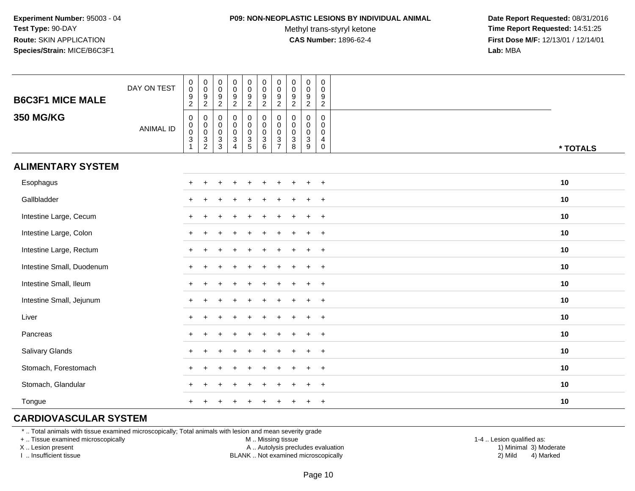#### **P09: NON-NEOPLASTIC LESIONS BY INDIVIDUAL ANIMAL**

Methyl trans-styryl ketone<br>CAS Number: 1896-62-4

 **Date Report Requested:** 08/31/2016 **Time Report Requested:** 14:51:25 **First Dose M/F:** 12/13/01 / 12/14/01<br>**Lab:** MBA **Lab:** MBA

| <b>B6C3F1 MICE MALE</b>   | DAY ON TEST      | $\pmb{0}$<br>$\pmb{0}$<br>$\frac{9}{2}$                            | $_{\rm 0}^{\rm 0}$<br>$\frac{9}{2}$      | $\pmb{0}$<br>$\mathbf 0$<br>$\frac{9}{2}$      | $_{\rm 0}^{\rm 0}$<br>$\frac{9}{2}$                           | $\begin{smallmatrix}0\\0\end{smallmatrix}$<br>$\frac{9}{2}$ | $\begin{smallmatrix}0\\0\end{smallmatrix}$<br>$\frac{9}{2}$ | 0<br>$\mathbf 0$<br>9<br>$\overline{a}$                        | $\pmb{0}$<br>$\mathbf 0$<br>$\frac{9}{2}$                                      | $\pmb{0}$<br>$\pmb{0}$<br>$\frac{9}{2}$              | $\mathbf 0$<br>$\mathsf{O}\xspace$<br>$\boldsymbol{9}$<br>$\overline{2}$ |          |
|---------------------------|------------------|--------------------------------------------------------------------|------------------------------------------|------------------------------------------------|---------------------------------------------------------------|-------------------------------------------------------------|-------------------------------------------------------------|----------------------------------------------------------------|--------------------------------------------------------------------------------|------------------------------------------------------|--------------------------------------------------------------------------|----------|
| <b>350 MG/KG</b>          | <b>ANIMAL ID</b> | $\mathbf 0$<br>$\pmb{0}$<br>$\mathsf{O}\xspace$<br>$\sqrt{3}$<br>1 | 0<br>$_{\rm 0}^{\rm 0}$<br>$\frac{3}{2}$ | 0<br>$\boldsymbol{0}$<br>$\mathbf 0$<br>$_3^3$ | $\mathbf 0$<br>$\begin{matrix} 0 \\ 0 \\ 3 \\ 4 \end{matrix}$ | 0<br>$\pmb{0}$<br>$\ddot{\mathbf{0}}$<br>$\frac{3}{5}$      | $\mathbf 0$<br>$\pmb{0}$<br>$\mathbf 0$<br>$\frac{3}{6}$    | $\mathbf 0$<br>$\pmb{0}$<br>$\mathbf 0$<br>3<br>$\overline{7}$ | $\mathbf 0$<br>0<br>$\mathbf 0$<br>$\ensuremath{\mathsf{3}}$<br>$\overline{8}$ | 0<br>$\pmb{0}$<br>$\pmb{0}$<br>$\mathbf{3}$<br>$9\,$ | $\mathbf 0$<br>$\mathbf 0$<br>$\mathbf 0$<br>4<br>$\mathbf 0$            | * TOTALS |
| <b>ALIMENTARY SYSTEM</b>  |                  |                                                                    |                                          |                                                |                                                               |                                                             |                                                             |                                                                |                                                                                |                                                      |                                                                          |          |
| Esophagus                 |                  |                                                                    |                                          |                                                |                                                               | $\div$                                                      |                                                             |                                                                |                                                                                | $\ddot{}$                                            | $+$                                                                      | 10       |
| Gallbladder               |                  |                                                                    |                                          |                                                |                                                               |                                                             |                                                             |                                                                |                                                                                | $\ddot{}$                                            | $+$                                                                      | 10       |
| Intestine Large, Cecum    |                  |                                                                    |                                          |                                                |                                                               |                                                             |                                                             |                                                                |                                                                                | $\ddot{}$                                            | $\overline{+}$                                                           | 10       |
| Intestine Large, Colon    |                  |                                                                    |                                          |                                                |                                                               |                                                             |                                                             |                                                                |                                                                                |                                                      | $\ddot{}$                                                                | 10       |
| Intestine Large, Rectum   |                  |                                                                    |                                          |                                                |                                                               |                                                             |                                                             |                                                                |                                                                                | $\div$                                               | $+$                                                                      | 10       |
| Intestine Small, Duodenum |                  |                                                                    |                                          |                                                |                                                               |                                                             |                                                             |                                                                |                                                                                | $\ddot{}$                                            | $+$                                                                      | 10       |
| Intestine Small, Ileum    |                  |                                                                    |                                          |                                                |                                                               |                                                             |                                                             |                                                                |                                                                                | $\ddot{}$                                            | $+$                                                                      | 10       |
| Intestine Small, Jejunum  |                  |                                                                    |                                          |                                                |                                                               |                                                             |                                                             |                                                                |                                                                                | $\pm$                                                | $+$                                                                      | 10       |
| Liver                     |                  | $+$                                                                | $\div$                                   |                                                |                                                               | $\div$                                                      |                                                             |                                                                |                                                                                | $\ddot{}$                                            | $+$                                                                      | 10       |
| Pancreas                  |                  | $\pm$                                                              | $\div$                                   |                                                |                                                               |                                                             |                                                             |                                                                |                                                                                | $\div$                                               | $+$                                                                      | 10       |
| Salivary Glands           |                  |                                                                    |                                          |                                                |                                                               |                                                             |                                                             |                                                                |                                                                                |                                                      | $\overline{+}$                                                           | 10       |
| Stomach, Forestomach      |                  |                                                                    |                                          |                                                |                                                               |                                                             |                                                             |                                                                |                                                                                |                                                      | $\ddot{}$                                                                | 10       |
| Stomach, Glandular        |                  |                                                                    |                                          |                                                |                                                               |                                                             |                                                             |                                                                |                                                                                |                                                      | $\ddot{}$                                                                | 10       |
| Tongue                    |                  |                                                                    |                                          |                                                |                                                               |                                                             |                                                             |                                                                |                                                                                | $\pm$                                                | $\overline{+}$                                                           | 10       |

## **CARDIOVASCULAR SYSTEM**

\* .. Total animals with tissue examined microscopically; Total animals with lesion and mean severity grade

+ .. Tissue examined microscopically

X .. Lesion present

I .. Insufficient tissue

M .. Missing tissue

A .. Autolysis precludes evaluation

BLANK .. Not examined microscopically 2) Mild 4) Marked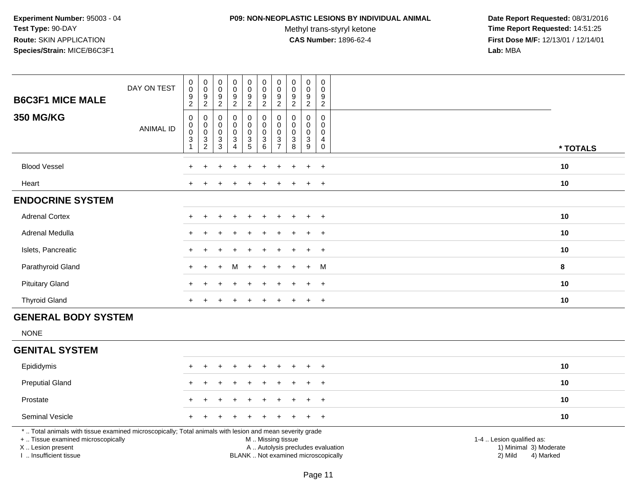### **P09: NON-NEOPLASTIC LESIONS BY INDIVIDUAL ANIMAL**

Methyl trans-styryl ketone<br>CAS Number: 1896-62-4

| <b>B6C3F1 MICE MALE</b>                                                                                                                                                                       | DAY ON TEST      | $\pmb{0}$<br>$\pmb{0}$<br>$9\,$<br>$\overline{2}$                          | $\pmb{0}$<br>$\boldsymbol{0}$<br>9<br>$\overline{2}$                                        | 0<br>$\mathbf 0$<br>9<br>$\overline{2}$ | $\pmb{0}$<br>$\mathsf{O}\xspace$<br>$\boldsymbol{9}$<br>$\overline{2}$ | $\pmb{0}$<br>$\ddot{\mathbf{0}}$<br>9<br>$\overline{2}$               | $\pmb{0}$<br>$\pmb{0}$<br>9<br>$\overline{2}$                          | $\boldsymbol{0}$<br>$\mathbf 0$<br>9<br>$\overline{2}$              | $\pmb{0}$<br>$\mathbf 0$<br>$9\,$<br>$\overline{2}$                     | $\pmb{0}$<br>$\pmb{0}$<br>9<br>$\overline{c}$  | $\pmb{0}$<br>$\mathbf 0$<br>9<br>$\overline{2}$                                 |                                                                                                                                                         |  |
|-----------------------------------------------------------------------------------------------------------------------------------------------------------------------------------------------|------------------|----------------------------------------------------------------------------|---------------------------------------------------------------------------------------------|-----------------------------------------|------------------------------------------------------------------------|-----------------------------------------------------------------------|------------------------------------------------------------------------|---------------------------------------------------------------------|-------------------------------------------------------------------------|------------------------------------------------|---------------------------------------------------------------------------------|---------------------------------------------------------------------------------------------------------------------------------------------------------|--|
| <b>350 MG/KG</b>                                                                                                                                                                              | <b>ANIMAL ID</b> | $\pmb{0}$<br>$\mathbf 0$<br>$\mathbf 0$<br>$\ensuremath{\mathsf{3}}$<br>-1 | $\pmb{0}$<br>$\mathbf 0$<br>$\boldsymbol{0}$<br>$\ensuremath{\mathsf{3}}$<br>$\overline{2}$ | $\mathbf 0$<br>0<br>$\pmb{0}$<br>3<br>3 | 0<br>$\mathbf 0$<br>$\mathsf{O}\xspace$<br>3<br>$\overline{4}$         | $\pmb{0}$<br>$\mathsf{O}\xspace$<br>$\boldsymbol{0}$<br>$\frac{3}{5}$ | $\pmb{0}$<br>$\mathbf 0$<br>$\pmb{0}$<br>$\sqrt{3}$<br>$6\overline{6}$ | $\boldsymbol{0}$<br>$\mathbf 0$<br>$\pmb{0}$<br>3<br>$\overline{7}$ | $\mathbf 0$<br>$\mathbf 0$<br>$\pmb{0}$<br>$\sqrt{3}$<br>$\overline{8}$ | 0<br>0<br>$\mathbf 0$<br>3<br>$\boldsymbol{9}$ | 0<br>$\mathbf 0$<br>$\pmb{0}$<br>$\overline{\mathbf{4}}$<br>$\mathsf{O}\xspace$ |                                                                                                                                                         |  |
|                                                                                                                                                                                               |                  |                                                                            |                                                                                             |                                         |                                                                        |                                                                       |                                                                        |                                                                     |                                                                         |                                                |                                                                                 | * TOTALS                                                                                                                                                |  |
| <b>Blood Vessel</b>                                                                                                                                                                           |                  |                                                                            |                                                                                             |                                         |                                                                        |                                                                       |                                                                        |                                                                     |                                                                         |                                                | $\overline{+}$                                                                  | 10                                                                                                                                                      |  |
| Heart                                                                                                                                                                                         |                  |                                                                            |                                                                                             |                                         |                                                                        |                                                                       |                                                                        |                                                                     |                                                                         | ÷                                              | $\overline{+}$                                                                  | 10                                                                                                                                                      |  |
| <b>ENDOCRINE SYSTEM</b>                                                                                                                                                                       |                  |                                                                            |                                                                                             |                                         |                                                                        |                                                                       |                                                                        |                                                                     |                                                                         |                                                |                                                                                 |                                                                                                                                                         |  |
| <b>Adrenal Cortex</b>                                                                                                                                                                         |                  |                                                                            |                                                                                             |                                         |                                                                        |                                                                       |                                                                        |                                                                     |                                                                         |                                                | $\ddot{}$                                                                       | 10                                                                                                                                                      |  |
| Adrenal Medulla                                                                                                                                                                               |                  |                                                                            |                                                                                             |                                         |                                                                        |                                                                       |                                                                        |                                                                     |                                                                         | $\overline{ }$                                 | $\overline{+}$                                                                  | 10                                                                                                                                                      |  |
| Islets, Pancreatic                                                                                                                                                                            |                  |                                                                            |                                                                                             |                                         |                                                                        |                                                                       |                                                                        |                                                                     |                                                                         |                                                | $\ddot{}$                                                                       | 10                                                                                                                                                      |  |
| Parathyroid Gland                                                                                                                                                                             |                  |                                                                            |                                                                                             |                                         |                                                                        |                                                                       |                                                                        |                                                                     |                                                                         | $\ddot{}$                                      | M                                                                               | 8                                                                                                                                                       |  |
| <b>Pituitary Gland</b>                                                                                                                                                                        |                  |                                                                            |                                                                                             |                                         |                                                                        |                                                                       |                                                                        |                                                                     |                                                                         |                                                | $\overline{+}$                                                                  | 10                                                                                                                                                      |  |
| <b>Thyroid Gland</b>                                                                                                                                                                          |                  | +                                                                          |                                                                                             |                                         |                                                                        |                                                                       |                                                                        |                                                                     |                                                                         | $\ddot{}$                                      | $+$                                                                             | 10                                                                                                                                                      |  |
| <b>GENERAL BODY SYSTEM</b>                                                                                                                                                                    |                  |                                                                            |                                                                                             |                                         |                                                                        |                                                                       |                                                                        |                                                                     |                                                                         |                                                |                                                                                 |                                                                                                                                                         |  |
| <b>NONE</b>                                                                                                                                                                                   |                  |                                                                            |                                                                                             |                                         |                                                                        |                                                                       |                                                                        |                                                                     |                                                                         |                                                |                                                                                 |                                                                                                                                                         |  |
| <b>GENITAL SYSTEM</b>                                                                                                                                                                         |                  |                                                                            |                                                                                             |                                         |                                                                        |                                                                       |                                                                        |                                                                     |                                                                         |                                                |                                                                                 |                                                                                                                                                         |  |
| Epididymis                                                                                                                                                                                    |                  |                                                                            |                                                                                             |                                         |                                                                        | ÷                                                                     |                                                                        |                                                                     |                                                                         | $\ddot{}$                                      | $^{+}$                                                                          | 10                                                                                                                                                      |  |
| <b>Preputial Gland</b>                                                                                                                                                                        |                  |                                                                            |                                                                                             |                                         |                                                                        |                                                                       |                                                                        |                                                                     |                                                                         |                                                | $\ddot{}$                                                                       | 10                                                                                                                                                      |  |
| Prostate                                                                                                                                                                                      |                  |                                                                            |                                                                                             |                                         |                                                                        |                                                                       |                                                                        |                                                                     |                                                                         |                                                | $\ddot{}$                                                                       | 10                                                                                                                                                      |  |
| Seminal Vesicle                                                                                                                                                                               |                  |                                                                            |                                                                                             |                                         |                                                                        |                                                                       |                                                                        |                                                                     |                                                                         |                                                | $\ddot{}$                                                                       | 10                                                                                                                                                      |  |
| *  Total animals with tissue examined microscopically; Total animals with lesion and mean severity grade<br>+  Tissue examined microscopically<br>X  Lesion present<br>I  Insufficient tissue |                  |                                                                            |                                                                                             |                                         |                                                                        |                                                                       | M  Missing tissue                                                      |                                                                     |                                                                         |                                                |                                                                                 | 1-4  Lesion qualified as:<br>A  Autolysis precludes evaluation<br>1) Minimal 3) Moderate<br>BLANK  Not examined microscopically<br>2) Mild<br>4) Marked |  |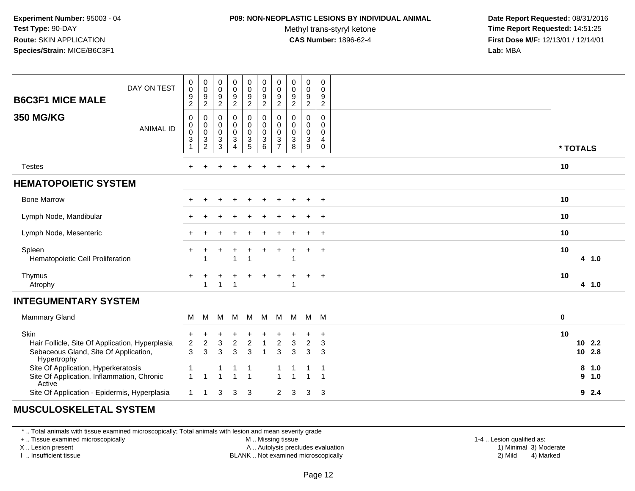#### **P09: NON-NEOPLASTIC LESIONS BY INDIVIDUAL ANIMAL**

Methyl trans-styryl ketone<br>CAS Number: 1896-62-4

 **Date Report Requested:** 08/31/2016 **Time Report Requested:** 14:51:25 **First Dose M/F:** 12/13/01 / 12/14/01<br>**Lab:** MBA **Lab:** MBA

| DAY ON TEST<br><b>B6C3F1 MICE MALE</b>                                                                     | 0<br>$\pmb{0}$<br>$\frac{9}{2}$ | 0<br>$\pmb{0}$<br>$\frac{9}{2}$                                      | $\pmb{0}$<br>$\mathbf 0$<br>$\boldsymbol{9}$<br>$\overline{2}$    | 0<br>$\pmb{0}$<br>$\frac{9}{2}$                  | 0<br>$\mathbf 0$<br>$\boldsymbol{9}$<br>$\overline{2}$              | 0<br>$\mathbf 0$<br>9<br>$\overline{2}$ | 0<br>$\mathbf 0$<br>9<br>$\overline{2}$            | $\pmb{0}$<br>$\pmb{0}$<br>$\boldsymbol{9}$<br>$\overline{2}$ | 0<br>$\pmb{0}$<br>$\frac{9}{2}$                  | $\mathbf 0$<br>$\mathbf 0$<br>9<br>$\overline{2}$    |          |                    |
|------------------------------------------------------------------------------------------------------------|---------------------------------|----------------------------------------------------------------------|-------------------------------------------------------------------|--------------------------------------------------|---------------------------------------------------------------------|-----------------------------------------|----------------------------------------------------|--------------------------------------------------------------|--------------------------------------------------|------------------------------------------------------|----------|--------------------|
| <b>350 MG/KG</b><br><b>ANIMAL ID</b>                                                                       | 0<br>0<br>0<br>3                | 0<br>0<br>$\mathbf 0$<br>$\ensuremath{\mathsf{3}}$<br>$\overline{2}$ | $\pmb{0}$<br>$\pmb{0}$<br>$\pmb{0}$<br>$\sqrt{3}$<br>$\mathbf{3}$ | 0<br>$\mathbf 0$<br>$\pmb{0}$<br>$\sqrt{3}$<br>4 | $\mathbf 0$<br>$\pmb{0}$<br>$\mathbf 0$<br>$\sqrt{3}$<br>$\sqrt{5}$ | 0<br>0<br>0<br>$\mathbf{3}$<br>6        | $\Omega$<br>0<br>0<br>$\sqrt{3}$<br>$\overline{7}$ | 0<br>$\pmb{0}$<br>$\pmb{0}$<br>$\sqrt{3}$<br>8               | 0<br>$\mathbf 0$<br>$\mathbf 0$<br>$\frac{3}{9}$ | $\mathbf 0$<br>$\mathbf{0}$<br>0<br>4<br>$\mathbf 0$ | * TOTALS |                    |
| <b>Testes</b>                                                                                              | $+$                             | $\pm$                                                                | $\ddot{}$                                                         | $\ddot{}$                                        | $\ddot{}$                                                           | +                                       | $\pm$                                              | $\mathbf +$                                                  | $\pm$                                            | $+$                                                  | 10       |                    |
| <b>HEMATOPOIETIC SYSTEM</b>                                                                                |                                 |                                                                      |                                                                   |                                                  |                                                                     |                                         |                                                    |                                                              |                                                  |                                                      |          |                    |
| <b>Bone Marrow</b>                                                                                         | $\ddot{}$                       |                                                                      |                                                                   | $\ddot{}$                                        |                                                                     |                                         |                                                    | $\ddot{}$                                                    | $\ddot{}$                                        | $^{+}$                                               | 10       |                    |
| Lymph Node, Mandibular                                                                                     |                                 |                                                                      |                                                                   |                                                  |                                                                     |                                         |                                                    |                                                              | $\ddot{}$                                        | $+$                                                  | 10       |                    |
| Lymph Node, Mesenteric                                                                                     |                                 |                                                                      |                                                                   |                                                  |                                                                     |                                         |                                                    |                                                              |                                                  | $+$                                                  | 10       |                    |
| Spleen<br>Hematopoietic Cell Proliferation                                                                 |                                 |                                                                      |                                                                   | 1                                                | -1                                                                  |                                         |                                                    | 1                                                            | ÷.                                               | $+$                                                  | 10       | 4 1.0              |
| Thymus<br>Atrophy                                                                                          | $\ddot{}$                       | 1                                                                    | $\overline{1}$                                                    | - 1                                              |                                                                     |                                         |                                                    | 1                                                            | $\pm$                                            | $+$                                                  | 10       | 4 1.0              |
| <b>INTEGUMENTARY SYSTEM</b>                                                                                |                                 |                                                                      |                                                                   |                                                  |                                                                     |                                         |                                                    |                                                              |                                                  |                                                      |          |                    |
| Mammary Gland                                                                                              | м                               | M                                                                    | M                                                                 | M                                                | M                                                                   | M                                       | M                                                  | M                                                            | M M                                              |                                                      | $\bf{0}$ |                    |
| Skin<br>Hair Follicle, Site Of Application, Hyperplasia<br>Sebaceous Gland, Site Of Application,           | +<br>$\overline{c}$<br>3        | +<br>$\boldsymbol{2}$<br>3                                           | $\sqrt{3}$<br>$\mathbf{3}$                                        | +<br>$\mathbf 2$<br>$\mathbf{3}$                 | $\boldsymbol{2}$<br>3                                               | 1<br>1                                  | $\boldsymbol{2}$<br>3                              | $\ensuremath{\mathsf{3}}$<br>3                               | $\overline{c}$<br>3                              | $\overline{+}$<br>3<br>3                             | 10       | $10$ 2.2<br>10 2.8 |
| Hypertrophy<br>Site Of Application, Hyperkeratosis<br>Site Of Application, Inflammation, Chronic<br>Active | $\mathbf{1}$                    |                                                                      |                                                                   | 1                                                | -1<br>$\overline{1}$                                                |                                         |                                                    |                                                              | 1<br>$\overline{1}$                              | -1<br>$\overline{1}$                                 | 8        | 1.0<br>9 1.0       |
| Site Of Application - Epidermis, Hyperplasia                                                               | 1                               | -1                                                                   | 3                                                                 | 3                                                | 3                                                                   |                                         | $\mathbf{2}$                                       | -3                                                           | 3                                                | 3                                                    |          | 92.4               |

## **MUSCULOSKELETAL SYSTEM**

\* .. Total animals with tissue examined microscopically; Total animals with lesion and mean severity grade

+ .. Tissue examined microscopically

X .. Lesion present

I .. Insufficient tissue

 M .. Missing tissueA .. Autolysis precludes evaluation

 1-4 .. Lesion qualified as: BLANK .. Not examined microscopically 2) Mild 4) Marked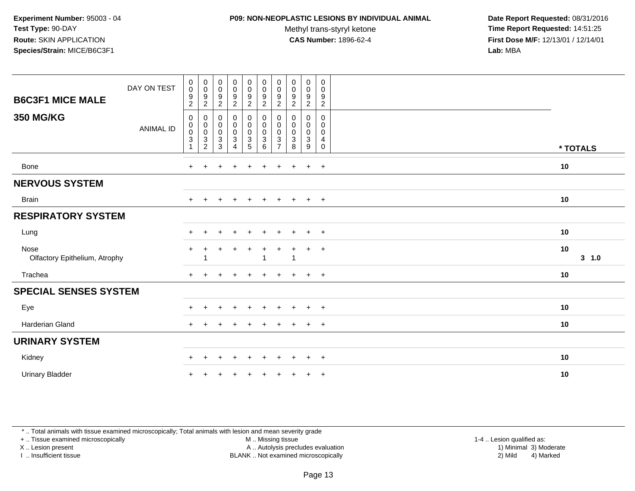### **P09: NON-NEOPLASTIC LESIONS BY INDIVIDUAL ANIMAL**

Methyl trans-styryl ketone<br>CAS Number: 1896-62-4

 **Date Report Requested:** 08/31/2016 **Time Report Requested:** 14:51:25 **First Dose M/F:** 12/13/01 / 12/14/01<br>**Lab:** MBA **Lab:** MBA

| DAY ON TEST<br><b>B6C3F1 MICE MALE</b> | $\mathbf 0$<br>$\mathbf 0$<br>9<br>$\overline{2}$  | $_{\rm 0}^{\rm 0}$<br>$\frac{9}{2}$          | $\begin{array}{c} 0 \\ 0 \\ 9 \\ 2 \end{array}$       | $_{\rm 0}^{\rm 0}$<br>$\frac{9}{2}$             | $\pmb{0}$<br>$\mathsf{O}\xspace$<br>$\frac{9}{2}$               | $\pmb{0}$<br>$\pmb{0}$<br>$\frac{9}{2}$ | $\pmb{0}$<br>0<br>9<br>$\overline{2}$                      | $\begin{smallmatrix} 0\\0 \end{smallmatrix}$<br>$\frac{9}{2}$ | $\pmb{0}$<br>$\mathsf 0$<br>$\boldsymbol{9}$<br>$\overline{c}$ | $\pmb{0}$<br>0<br>9<br>$\overline{a}$ |              |
|----------------------------------------|----------------------------------------------------|----------------------------------------------|-------------------------------------------------------|-------------------------------------------------|-----------------------------------------------------------------|-----------------------------------------|------------------------------------------------------------|---------------------------------------------------------------|----------------------------------------------------------------|---------------------------------------|--------------|
| <b>350 MG/KG</b><br><b>ANIMAL ID</b>   | 0<br>$\mathbf 0$<br>0<br>$\ensuremath{\mathsf{3}}$ | 0<br>$\pmb{0}$<br>$\pmb{0}$<br>$\frac{3}{2}$ | 0<br>$\boldsymbol{0}$<br>$\pmb{0}$<br>$\sqrt{3}$<br>3 | 0<br>$\pmb{0}$<br>$\pmb{0}$<br>$\mathbf 3$<br>4 | 0<br>$\pmb{0}$<br>$\mathbf 0$<br>$\ensuremath{\mathsf{3}}$<br>5 | 0<br>$\pmb{0}$<br>$\pmb{0}$<br>3<br>6   | 0<br>0<br>0<br>$\ensuremath{\mathsf{3}}$<br>$\overline{7}$ | 0<br>$\pmb{0}$<br>$\pmb{0}$<br>$\sqrt{3}$<br>8                | 0<br>$\pmb{0}$<br>0<br>$\ensuremath{\mathsf{3}}$<br>9          | 0<br>0<br>0<br>4<br>0                 | * TOTALS     |
| Bone                                   | $+$                                                | $\pm$                                        | $\div$                                                | $\ddot{}$                                       | $\div$                                                          | $\ddot{}$                               | $+$                                                        | $\pm$                                                         | $+$                                                            | $+$                                   | 10           |
| <b>NERVOUS SYSTEM</b>                  |                                                    |                                              |                                                       |                                                 |                                                                 |                                         |                                                            |                                                               |                                                                |                                       |              |
| <b>Brain</b>                           | $\ddot{}$                                          | $\pm$                                        | $\div$                                                | $+$                                             | $\pm$                                                           | $+$                                     | $+$                                                        | $+$                                                           | $+$                                                            | $+$                                   | 10           |
| <b>RESPIRATORY SYSTEM</b>              |                                                    |                                              |                                                       |                                                 |                                                                 |                                         |                                                            |                                                               |                                                                |                                       |              |
| Lung                                   | $\pm$                                              | $\pm$                                        |                                                       | $\ddot{}$                                       |                                                                 | ÷                                       |                                                            |                                                               | $\ddot{}$                                                      | $^{+}$                                | 10           |
| Nose<br>Olfactory Epithelium, Atrophy  |                                                    |                                              |                                                       |                                                 |                                                                 | -1                                      |                                                            | $\overline{1}$                                                | $\ddot{}$                                                      | $+$                                   | 10<br>3, 1.0 |
| Trachea                                | $\ddot{}$                                          |                                              |                                                       |                                                 |                                                                 |                                         |                                                            |                                                               | $\ddot{}$                                                      | $+$                                   | 10           |
| <b>SPECIAL SENSES SYSTEM</b>           |                                                    |                                              |                                                       |                                                 |                                                                 |                                         |                                                            |                                                               |                                                                |                                       |              |
| Eye                                    |                                                    |                                              |                                                       |                                                 |                                                                 |                                         |                                                            |                                                               | ÷.                                                             | $\div$                                | 10           |
| <b>Harderian Gland</b>                 | $+$                                                |                                              |                                                       |                                                 |                                                                 |                                         |                                                            |                                                               | $+$                                                            | $^{+}$                                | 10           |
| <b>URINARY SYSTEM</b>                  |                                                    |                                              |                                                       |                                                 |                                                                 |                                         |                                                            |                                                               |                                                                |                                       |              |
| Kidney                                 | $\pm$                                              |                                              |                                                       |                                                 |                                                                 |                                         |                                                            |                                                               | $\pm$                                                          | $\overline{+}$                        | 10           |
| <b>Urinary Bladder</b>                 |                                                    |                                              |                                                       |                                                 |                                                                 |                                         |                                                            |                                                               | $\ddot{}$                                                      | $+$                                   | 10           |

\* .. Total animals with tissue examined microscopically; Total animals with lesion and mean severity grade

+ .. Tissue examined microscopically

X .. Lesion present

I .. Insufficient tissue

M .. Missing tissue

Lesion present A .. Autolysis precludes evaluation 1) Minimal 3) Moderate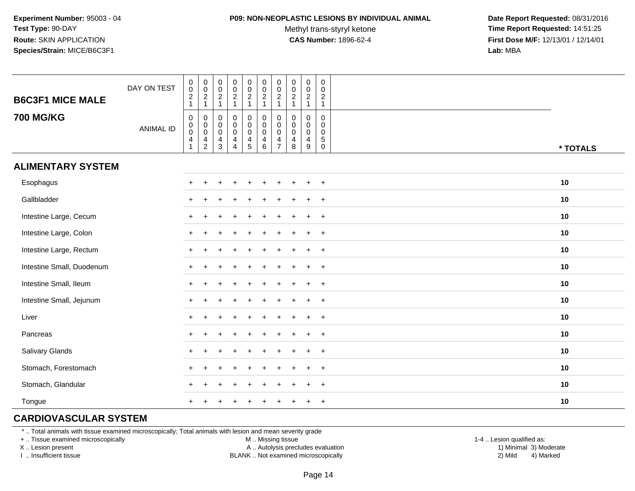#### **P09: NON-NEOPLASTIC LESIONS BY INDIVIDUAL ANIMAL**

Methyl trans-styryl ketone<br>CAS Number: 1896-62-4

 **Date Report Requested:** 08/31/2016 **Time Report Requested:** 14:51:25 **First Dose M/F:** 12/13/01 / 12/14/01<br>**Lab:** MBA **Lab:** MBA

| <b>B6C3F1 MICE MALE</b>   | DAY ON TEST      | $\pmb{0}$<br>$\mathbf 0$<br>$\overline{2}$<br>$\mathbf{1}$ | $_{\rm 0}^{\rm 0}$<br>$\frac{2}{1}$                                             | $\pmb{0}$<br>$\mathbf 0$<br>$\frac{2}{1}$ | $\begin{array}{c} 0 \\ 0 \\ 2 \\ 1 \end{array}$                          | $\begin{array}{c} 0 \\ 0 \\ 2 \\ 1 \end{array}$     | $\begin{smallmatrix}0\\0\end{smallmatrix}$<br>$\frac{2}{1}$                                    | 0<br>$\mathbf 0$<br>$\overline{c}$<br>1                          | $\pmb{0}$<br>$\pmb{0}$<br>$\overline{2}$<br>$\overline{1}$ | $\pmb{0}$<br>$\pmb{0}$<br>$\overline{2}$<br>$\mathbf{1}$ | $\pmb{0}$<br>$\mathsf{O}\xspace$<br>$\sqrt{2}$<br>$\mathbf{1}$         |          |
|---------------------------|------------------|------------------------------------------------------------|---------------------------------------------------------------------------------|-------------------------------------------|--------------------------------------------------------------------------|-----------------------------------------------------|------------------------------------------------------------------------------------------------|------------------------------------------------------------------|------------------------------------------------------------|----------------------------------------------------------|------------------------------------------------------------------------|----------|
| <b>700 MG/KG</b>          | <b>ANIMAL ID</b> | $\mathbf 0$<br>$\pmb{0}$<br>$\mathsf{O}\xspace$<br>4<br>1  | $\mathsf{O}$<br>$_{\rm 0}^{\rm 0}$<br>$\overline{\mathbf{4}}$<br>$\overline{c}$ | 0<br>$_{\rm 0}^{\rm 0}$<br>$\frac{4}{3}$  | $\mathbf 0$<br>$\overline{0}$<br>$0$<br>$\overline{4}$<br>$\overline{4}$ | $\mathbf 0$<br>$\overline{0}$<br>0<br>$\frac{4}{5}$ | $\mathbf 0$<br>$\mathbf 0$<br>$\ddot{\mathbf{0}}$<br>$\overline{\mathbf{4}}$<br>$6\phantom{a}$ | $\mathbf 0$<br>$\mathbf 0$<br>$\mathbf 0$<br>4<br>$\overline{7}$ | $\mathbf 0$<br>$\mathbf 0$<br>0<br>$\overline{4}$<br>8     | 0<br>$\pmb{0}$<br>$\pmb{0}$<br>$\overline{4}$<br>9       | $\mathbf 0$<br>$\mathbf 0$<br>$\mathbf 0$<br>$\sqrt{5}$<br>$\mathbf 0$ | * TOTALS |
| <b>ALIMENTARY SYSTEM</b>  |                  |                                                            |                                                                                 |                                           |                                                                          |                                                     |                                                                                                |                                                                  |                                                            |                                                          |                                                                        |          |
| Esophagus                 |                  |                                                            |                                                                                 |                                           |                                                                          |                                                     |                                                                                                |                                                                  |                                                            | $\ddot{}$                                                | $+$                                                                    | 10       |
| Gallbladder               |                  |                                                            |                                                                                 |                                           |                                                                          |                                                     |                                                                                                |                                                                  |                                                            | $\ddot{}$                                                | $+$                                                                    | 10       |
| Intestine Large, Cecum    |                  |                                                            |                                                                                 |                                           |                                                                          |                                                     |                                                                                                |                                                                  |                                                            |                                                          | $+$                                                                    | 10       |
| Intestine Large, Colon    |                  |                                                            |                                                                                 |                                           |                                                                          |                                                     |                                                                                                |                                                                  |                                                            |                                                          | $\ddot{}$                                                              | 10       |
| Intestine Large, Rectum   |                  |                                                            |                                                                                 |                                           |                                                                          |                                                     |                                                                                                |                                                                  |                                                            | $\div$                                                   | $\ddot{}$                                                              | 10       |
| Intestine Small, Duodenum |                  |                                                            |                                                                                 |                                           |                                                                          |                                                     |                                                                                                |                                                                  |                                                            | $\ddot{}$                                                | $+$                                                                    | 10       |
| Intestine Small, Ileum    |                  |                                                            |                                                                                 |                                           |                                                                          |                                                     |                                                                                                |                                                                  |                                                            | $\ddot{}$                                                | $+$                                                                    | 10       |
| Intestine Small, Jejunum  |                  |                                                            |                                                                                 |                                           |                                                                          |                                                     |                                                                                                |                                                                  |                                                            | $\ddot{}$                                                | $+$                                                                    | 10       |
| Liver                     |                  |                                                            |                                                                                 |                                           |                                                                          |                                                     |                                                                                                |                                                                  |                                                            | $\ddot{}$                                                | $+$                                                                    | 10       |
| Pancreas                  |                  | $\div$                                                     | $\div$                                                                          |                                           |                                                                          |                                                     |                                                                                                |                                                                  |                                                            | $\ddot{}$                                                | $+$                                                                    | 10       |
| Salivary Glands           |                  |                                                            |                                                                                 |                                           |                                                                          |                                                     |                                                                                                |                                                                  |                                                            | $\div$                                                   | $\overline{+}$                                                         | 10       |
| Stomach, Forestomach      |                  |                                                            |                                                                                 |                                           |                                                                          |                                                     |                                                                                                |                                                                  |                                                            | $\ddot{}$                                                | $\ddot{}$                                                              | 10       |
| Stomach, Glandular        |                  |                                                            |                                                                                 |                                           |                                                                          |                                                     |                                                                                                |                                                                  |                                                            | $\ddot{}$                                                | $+$                                                                    | 10       |
| Tongue                    |                  | ÷                                                          |                                                                                 |                                           |                                                                          | ÷                                                   |                                                                                                |                                                                  |                                                            | $\ddot{}$                                                | $+$                                                                    | 10       |

## **CARDIOVASCULAR SYSTEM**

\* .. Total animals with tissue examined microscopically; Total animals with lesion and mean severity grade

+ .. Tissue examined microscopically

X .. Lesion present

I .. Insufficient tissue

M .. Missing tissue

A .. Autolysis precludes evaluation

BLANK .. Not examined microscopically 2) Mild 4) Marked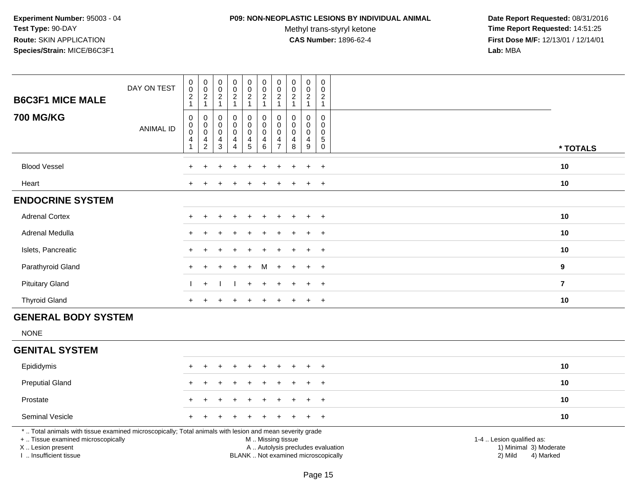### **P09: NON-NEOPLASTIC LESIONS BY INDIVIDUAL ANIMAL**

Methyl trans-styryl ketone<br>CAS Number: 1896-62-4

| <b>B6C3F1 MICE MALE</b>                                                                                                                                                                       | DAY ON TEST      | $\pmb{0}$<br>$\pmb{0}$<br>$\boldsymbol{2}$<br>$\mathbf{1}$ | $_{\rm 0}^{\rm 0}$<br>$\frac{2}{1}$                       | $\pmb{0}$<br>$\mathsf{O}\xspace$<br>$\frac{2}{1}$                           | $\pmb{0}$<br>$\pmb{0}$<br>$\overline{2}$<br>$\mathbf{1}$ | $_{\rm 0}^{\rm 0}$<br>$\overline{2}$<br>$\mathbf{1}$                        | $\pmb{0}$<br>$\pmb{0}$<br>$\overline{c}$<br>$\mathbf{1}$                                      | $\pmb{0}$<br>$\mathbf 0$<br>$\overline{a}$<br>$\mathbf{1}$ | $\pmb{0}$<br>$\mathsf 0$<br>$\overline{2}$<br>$\overline{1}$ | $\pmb{0}$<br>$\pmb{0}$<br>$\sqrt{2}$<br>$\mathbf{1}$        | $\mathbf 0$<br>$\mathbf 0$<br>$\overline{c}$<br>$\mathbf{1}$ |                                                                             |          |
|-----------------------------------------------------------------------------------------------------------------------------------------------------------------------------------------------|------------------|------------------------------------------------------------|-----------------------------------------------------------|-----------------------------------------------------------------------------|----------------------------------------------------------|-----------------------------------------------------------------------------|-----------------------------------------------------------------------------------------------|------------------------------------------------------------|--------------------------------------------------------------|-------------------------------------------------------------|--------------------------------------------------------------|-----------------------------------------------------------------------------|----------|
| <b>700 MG/KG</b>                                                                                                                                                                              | <b>ANIMAL ID</b> | $\pmb{0}$<br>$\pmb{0}$<br>0<br>4                           | $\mathbf 0$<br>$\pmb{0}$<br>$\mathbf 0$<br>$\overline{4}$ | $\mathbf 0$<br>$\mathbf 0$<br>$\mathbf 0$<br>$\overline{4}$<br>$\mathbf{3}$ | 0<br>$\mathbf 0$<br>$\mathbf 0$<br>4                     | $\pmb{0}$<br>$\mathbf 0$<br>$\mathbf 0$<br>$\overline{4}$<br>$\overline{5}$ | $\pmb{0}$<br>$\pmb{0}$<br>$\mathbf 0$<br>4                                                    | $\Omega$<br>0<br>$\mathbf 0$<br>4<br>$\overline{7}$        | $\mathbf 0$<br>$\mathbf 0$<br>$\mathbf 0$<br>4<br>8          | $\mathbf 0$<br>$\mathbf 0$<br>$\mathbf 0$<br>$\overline{4}$ | $\Omega$<br>$\mathbf 0$<br>$\mathbf 0$<br>5                  |                                                                             |          |
|                                                                                                                                                                                               |                  |                                                            | $\overline{c}$                                            |                                                                             | 4                                                        |                                                                             | 6                                                                                             |                                                            |                                                              | 9                                                           | $\mathsf{O}$                                                 |                                                                             | * TOTALS |
| <b>Blood Vessel</b>                                                                                                                                                                           |                  |                                                            |                                                           |                                                                             |                                                          |                                                                             |                                                                                               |                                                            |                                                              | ÷                                                           | $+$                                                          | 10                                                                          |          |
| Heart                                                                                                                                                                                         |                  | $\ddot{}$                                                  |                                                           |                                                                             |                                                          |                                                                             |                                                                                               |                                                            |                                                              | $\ddot{}$                                                   | $+$                                                          | 10                                                                          |          |
| <b>ENDOCRINE SYSTEM</b>                                                                                                                                                                       |                  |                                                            |                                                           |                                                                             |                                                          |                                                                             |                                                                                               |                                                            |                                                              |                                                             |                                                              |                                                                             |          |
| <b>Adrenal Cortex</b>                                                                                                                                                                         |                  |                                                            |                                                           |                                                                             |                                                          |                                                                             |                                                                                               |                                                            |                                                              | $\ddot{}$                                                   | $\overline{+}$                                               | 10                                                                          |          |
| Adrenal Medulla                                                                                                                                                                               |                  | $\ddot{}$                                                  |                                                           |                                                                             |                                                          |                                                                             |                                                                                               |                                                            |                                                              | $\ddot{}$                                                   | $+$                                                          | 10                                                                          |          |
| Islets, Pancreatic                                                                                                                                                                            |                  | $\ddot{}$                                                  |                                                           |                                                                             |                                                          |                                                                             |                                                                                               |                                                            |                                                              | $\ddot{}$                                                   | $\overline{+}$                                               | 10                                                                          |          |
| Parathyroid Gland                                                                                                                                                                             |                  |                                                            |                                                           |                                                                             |                                                          |                                                                             | м                                                                                             |                                                            |                                                              | $\div$                                                      | $\ddot{}$                                                    | 9                                                                           |          |
| <b>Pituitary Gland</b>                                                                                                                                                                        |                  |                                                            | $\ddot{}$                                                 |                                                                             |                                                          |                                                                             |                                                                                               |                                                            |                                                              |                                                             | $\overline{ }$                                               | $\overline{7}$                                                              |          |
| <b>Thyroid Gland</b>                                                                                                                                                                          |                  | $+$                                                        |                                                           |                                                                             |                                                          |                                                                             |                                                                                               |                                                            |                                                              | $\ddot{+}$                                                  | $+$                                                          | 10                                                                          |          |
| <b>GENERAL BODY SYSTEM</b>                                                                                                                                                                    |                  |                                                            |                                                           |                                                                             |                                                          |                                                                             |                                                                                               |                                                            |                                                              |                                                             |                                                              |                                                                             |          |
| <b>NONE</b>                                                                                                                                                                                   |                  |                                                            |                                                           |                                                                             |                                                          |                                                                             |                                                                                               |                                                            |                                                              |                                                             |                                                              |                                                                             |          |
| <b>GENITAL SYSTEM</b>                                                                                                                                                                         |                  |                                                            |                                                           |                                                                             |                                                          |                                                                             |                                                                                               |                                                            |                                                              |                                                             |                                                              |                                                                             |          |
| Epididymis                                                                                                                                                                                    |                  | $\pm$                                                      |                                                           |                                                                             | $\div$                                                   |                                                                             | ÷                                                                                             |                                                            |                                                              | $\overline{+}$                                              | $+$                                                          | 10                                                                          |          |
| <b>Preputial Gland</b>                                                                                                                                                                        |                  |                                                            |                                                           |                                                                             |                                                          |                                                                             |                                                                                               |                                                            |                                                              | ÷                                                           | $\overline{+}$                                               | 10                                                                          |          |
| Prostate                                                                                                                                                                                      |                  |                                                            |                                                           |                                                                             |                                                          |                                                                             |                                                                                               |                                                            |                                                              |                                                             | $\overline{ }$                                               | 10                                                                          |          |
| Seminal Vesicle                                                                                                                                                                               |                  |                                                            |                                                           |                                                                             |                                                          |                                                                             |                                                                                               |                                                            |                                                              |                                                             | $\div$                                                       | 10                                                                          |          |
| *  Total animals with tissue examined microscopically; Total animals with lesion and mean severity grade<br>+  Tissue examined microscopically<br>X  Lesion present<br>I  Insufficient tissue |                  |                                                            |                                                           |                                                                             |                                                          |                                                                             | M  Missing tissue<br>A  Autolysis precludes evaluation<br>BLANK  Not examined microscopically |                                                            |                                                              |                                                             |                                                              | 1-4  Lesion qualified as:<br>1) Minimal 3) Moderate<br>2) Mild<br>4) Marked |          |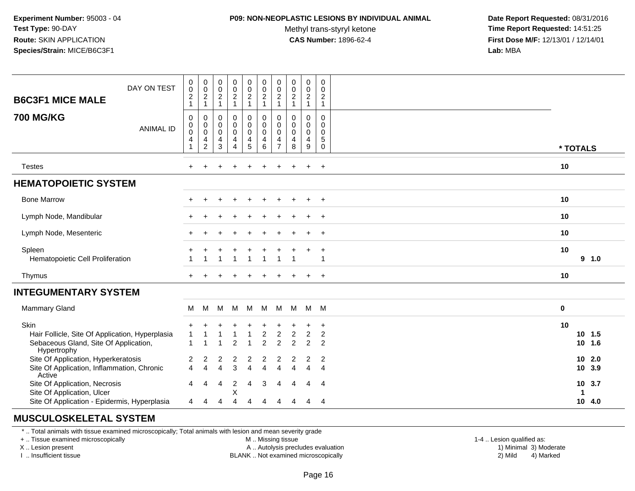#### **P09: NON-NEOPLASTIC LESIONS BY INDIVIDUAL ANIMAL**

Methyl trans-styryl ketone<br>CAS Number: 1896-62-4

 **Date Report Requested:** 08/31/2016 **Time Report Requested:** 14:51:25 **First Dose M/F:** 12/13/01 / 12/14/01<br>**Lab:** MBA **Lab:** MBA

| <b>B6C3F1 MICE MALE</b><br><b>700 MG/KG</b>                                                                           | DAY ON TEST<br><b>ANIMAL ID</b> | $\pmb{0}$<br>$\pmb{0}$<br>$\sqrt{2}$<br>1<br>0<br>0<br>0 | $\pmb{0}$<br>$\pmb{0}$<br>$\frac{2}{1}$<br>$\mathbf 0$<br>$\pmb{0}$<br>$\pmb{0}$ | $\pmb{0}$<br>$\boldsymbol{0}$<br>$\boldsymbol{2}$<br>$\overline{1}$<br>$\mathbf 0$<br>$\pmb{0}$<br>$\mathbf 0$ | $\pmb{0}$<br>$\mathbf 0$<br>$\overline{2}$<br>$\mathbf{1}$<br>$\mathbf 0$<br>$\pmb{0}$<br>$\pmb{0}$ | $\boldsymbol{0}$<br>$\mathsf{O}\xspace$<br>$\overline{2}$<br>$\mathbf{1}$<br>0<br>$\pmb{0}$<br>0 | $\pmb{0}$<br>$\pmb{0}$<br>$\boldsymbol{2}$<br>$\mathbf{1}$<br>$\mathbf 0$<br>$\pmb{0}$<br>$\mathbf 0$ | 0<br>$\boldsymbol{0}$<br>$\overline{c}$<br>$\mathbf{1}$<br>0<br>0<br>$\mathbf 0$ | 0<br>$\boldsymbol{0}$<br>$\overline{2}$<br>$\mathbf{1}$<br>$\mathbf 0$<br>0<br>$\mathbf 0$ | 0<br>$\mathbf 0$<br>$\overline{a}$<br>$\mathbf{1}$<br>$\mathbf 0$<br>0<br>0 | 0<br>$\mathbf 0$<br>2<br>$\mathbf{1}$<br>$\mathbf 0$<br>0<br>0 |          |                       |  |
|-----------------------------------------------------------------------------------------------------------------------|---------------------------------|----------------------------------------------------------|----------------------------------------------------------------------------------|----------------------------------------------------------------------------------------------------------------|-----------------------------------------------------------------------------------------------------|--------------------------------------------------------------------------------------------------|-------------------------------------------------------------------------------------------------------|----------------------------------------------------------------------------------|--------------------------------------------------------------------------------------------|-----------------------------------------------------------------------------|----------------------------------------------------------------|----------|-----------------------|--|
|                                                                                                                       |                                 | $\overline{4}$<br>1                                      | 4<br>$\overline{2}$                                                              | 4<br>3                                                                                                         | 4<br>4                                                                                              | $\overline{4}$<br>5                                                                              | 4<br>$\,6\,$                                                                                          | 4<br>$\overline{7}$                                                              | 4<br>8                                                                                     | 4<br>$9\,$                                                                  | 5<br>$\mathbf 0$                                               | * TOTALS |                       |  |
| <b>Testes</b>                                                                                                         |                                 | $+$                                                      |                                                                                  |                                                                                                                | $\div$                                                                                              | $\ddot{}$                                                                                        | $\div$                                                                                                |                                                                                  |                                                                                            | $\ddot{}$                                                                   | $+$                                                            | 10       |                       |  |
| <b>HEMATOPOIETIC SYSTEM</b>                                                                                           |                                 |                                                          |                                                                                  |                                                                                                                |                                                                                                     |                                                                                                  |                                                                                                       |                                                                                  |                                                                                            |                                                                             |                                                                |          |                       |  |
| <b>Bone Marrow</b>                                                                                                    |                                 |                                                          |                                                                                  |                                                                                                                |                                                                                                     |                                                                                                  |                                                                                                       |                                                                                  |                                                                                            |                                                                             | $+$                                                            | 10       |                       |  |
| Lymph Node, Mandibular                                                                                                |                                 |                                                          |                                                                                  |                                                                                                                |                                                                                                     |                                                                                                  |                                                                                                       |                                                                                  |                                                                                            |                                                                             | $\overline{+}$                                                 | 10       |                       |  |
| Lymph Node, Mesenteric                                                                                                |                                 |                                                          |                                                                                  |                                                                                                                |                                                                                                     |                                                                                                  |                                                                                                       |                                                                                  |                                                                                            |                                                                             | $\ddot{}$                                                      | 10       |                       |  |
| Spleen<br>Hematopoietic Cell Proliferation                                                                            |                                 |                                                          |                                                                                  |                                                                                                                |                                                                                                     |                                                                                                  |                                                                                                       |                                                                                  |                                                                                            |                                                                             | $\ddot{}$<br>$\blacktriangleleft$                              | 10       | 9, 1.0                |  |
| Thymus                                                                                                                |                                 |                                                          |                                                                                  |                                                                                                                |                                                                                                     |                                                                                                  |                                                                                                       |                                                                                  |                                                                                            |                                                                             | $\overline{+}$                                                 | 10       |                       |  |
| <b>INTEGUMENTARY SYSTEM</b>                                                                                           |                                 |                                                          |                                                                                  |                                                                                                                |                                                                                                     |                                                                                                  |                                                                                                       |                                                                                  |                                                                                            |                                                                             |                                                                |          |                       |  |
| Mammary Gland                                                                                                         |                                 | м                                                        | м                                                                                | M                                                                                                              | M                                                                                                   | M                                                                                                | M                                                                                                     | M                                                                                | M                                                                                          | M M                                                                         |                                                                | $\bf{0}$ |                       |  |
| Skin<br>Hair Follicle, Site Of Application, Hyperplasia<br>Sebaceous Gland, Site Of Application,<br>Hypertrophy       |                                 | $\overline{1}$                                           | 1                                                                                |                                                                                                                | $\overline{2}$                                                                                      | $\overline{1}$                                                                                   | $\boldsymbol{2}$<br>$\overline{2}$                                                                    | $\overline{c}$<br>$\overline{2}$                                                 | $\overline{c}$<br>$\overline{2}$                                                           | $\overline{c}$<br>$\overline{2}$                                            | $\ddot{}$<br>$\overline{c}$<br>$\overline{2}$                  | 10       | $10$ 1.5<br>10 1.6    |  |
| Site Of Application, Hyperkeratosis<br>Site Of Application, Inflammation, Chronic                                     |                                 | 2<br>$\overline{4}$                                      | 2<br>Δ                                                                           | 2<br>Δ                                                                                                         | 2<br>3                                                                                              | $\overline{2}$<br>$\boldsymbol{\Lambda}$                                                         | 2<br>$\overline{\Lambda}$                                                                             | 2<br>$\boldsymbol{\Lambda}$                                                      | 2                                                                                          | 2<br>$\Delta$                                                               | 2<br>$\overline{4}$                                            |          | 10, 2.0<br>10 3.9     |  |
| Active<br>Site Of Application, Necrosis<br>Site Of Application, Ulcer<br>Site Of Application - Epidermis, Hyperplasia |                                 | 4<br>4                                                   | 4<br>4                                                                           | 4<br>4                                                                                                         | $\overline{c}$<br>X<br>4                                                                            | 4<br>Δ                                                                                           | 3<br>Δ                                                                                                | Δ<br>Δ                                                                           | Δ                                                                                          | 4                                                                           | $\overline{4}$<br>$\overline{4}$                               |          | 10 3.7<br>1<br>10 4.0 |  |

## **MUSCULOSKELETAL SYSTEM**

\* .. Total animals with tissue examined microscopically; Total animals with lesion and mean severity grade

+ .. Tissue examined microscopically

X .. Lesion present

I .. Insufficient tissue

M .. Missing tissue

A .. Autolysis precludes evaluation

BLANK .. Not examined microscopically 2) Mild 4) Marked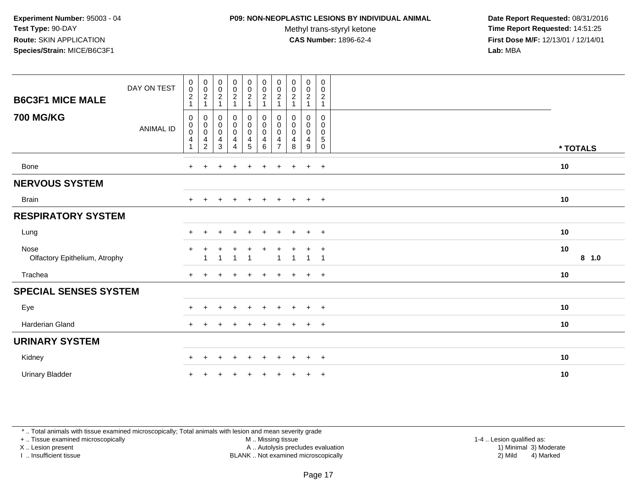### **P09: NON-NEOPLASTIC LESIONS BY INDIVIDUAL ANIMAL**

Methyl trans-styryl ketone<br>CAS Number: 1896-62-4

 **Date Report Requested:** 08/31/2016 **Time Report Requested:** 14:51:25 **First Dose M/F:** 12/13/01 / 12/14/01<br>**Lab:** MBA **Lab:** MBA

| DAY ON TEST<br><b>B6C3F1 MICE MALE</b> |                  | $\begin{smallmatrix} 0\\0 \end{smallmatrix}$<br>$\overline{c}$<br>$\mathbf{1}$ | $\mathbf 0$<br>$\mathbf 0$<br>$\overline{\mathbf{c}}$<br>$\overline{1}$ | $\begin{array}{c} 0 \\ 0 \\ 2 \\ 1 \end{array}$                        | $\begin{array}{c} 0 \\ 0 \\ 2 \\ 1 \end{array}$                          | $\begin{smallmatrix} 0\\0 \end{smallmatrix}$<br>$\frac{2}{1}$ | $_{\rm 0}^{\rm 0}$<br>$\overline{c}$<br>$\mathbf{1}$            | 0<br>$\mathbf 0$<br>$\overline{c}$ | $\pmb{0}$<br>$\boldsymbol{0}$<br>$\overline{c}$ | $\pmb{0}$<br>$\pmb{0}$<br>$\overline{a}$<br>$\mathbf{1}$ | 0<br>$\mathbf 0$<br>$\overline{\mathbf{c}}$<br>$\mathbf{1}$ |               |
|----------------------------------------|------------------|--------------------------------------------------------------------------------|-------------------------------------------------------------------------|------------------------------------------------------------------------|--------------------------------------------------------------------------|---------------------------------------------------------------|-----------------------------------------------------------------|------------------------------------|-------------------------------------------------|----------------------------------------------------------|-------------------------------------------------------------|---------------|
| <b>700 MG/KG</b>                       | <b>ANIMAL ID</b> | $\mathbf 0$<br>$\mathbf 0$<br>0<br>4<br>-1                                     | 0<br>$\pmb{0}$<br>$\pmb{0}$<br>$\overline{4}$<br>$\overline{c}$         | 0<br>$\pmb{0}$<br>$\pmb{0}$<br>$\overline{\mathbf{4}}$<br>$\mathbf{3}$ | 0<br>$\pmb{0}$<br>$\pmb{0}$<br>$\overline{\mathbf{4}}$<br>$\overline{4}$ | 0<br>$\pmb{0}$<br>$\pmb{0}$<br>$\overline{\mathbf{4}}$<br>5   | 0<br>$\mathbf 0$<br>$\mathbf 0$<br>$\overline{\mathbf{4}}$<br>6 | 0<br>0<br>0<br>4<br>$\overline{7}$ | 0<br>$\boldsymbol{0}$<br>$\mathbf 0$<br>4<br>8  | 0<br>$\pmb{0}$<br>$\mathbf 0$<br>4<br>$9\,$              | 0<br>0<br>0<br>$\,$ 5 $\,$<br>$\mathbf 0$                   | * TOTALS      |
| Bone                                   |                  | $+$                                                                            |                                                                         |                                                                        | $\ddot{}$                                                                | $\ddot{}$                                                     | $\ddot{}$                                                       | +                                  |                                                 | $+$                                                      | $^{+}$                                                      | 10            |
| <b>NERVOUS SYSTEM</b>                  |                  |                                                                                |                                                                         |                                                                        |                                                                          |                                                               |                                                                 |                                    |                                                 |                                                          |                                                             |               |
| <b>Brain</b>                           |                  | $+$                                                                            |                                                                         |                                                                        | $\ddot{}$                                                                |                                                               | $+$                                                             | $+$                                | $+$                                             | $+$                                                      | $+$                                                         | 10            |
| <b>RESPIRATORY SYSTEM</b>              |                  |                                                                                |                                                                         |                                                                        |                                                                          |                                                               |                                                                 |                                    |                                                 |                                                          |                                                             |               |
| Lung                                   |                  | $+$                                                                            | $\pm$                                                                   | $\pm$                                                                  | $\ddot{}$                                                                | $\pm$                                                         | $\ddot{}$                                                       | ÷.                                 | $\div$                                          | $+$                                                      | $+$                                                         | 10            |
| Nose<br>Olfactory Epithelium, Atrophy  |                  | $\ddot{}$                                                                      |                                                                         | -1                                                                     | $\mathbf 1$                                                              | $\mathbf 1$                                                   |                                                                 |                                    | -1                                              | $\mathbf{1}$                                             | $\ddot{}$<br>$\overline{1}$                                 | 10<br>$8$ 1.0 |
| Trachea                                |                  | $\ddot{}$                                                                      |                                                                         |                                                                        |                                                                          |                                                               |                                                                 |                                    |                                                 | $\ddot{}$                                                | $+$                                                         | 10            |
| <b>SPECIAL SENSES SYSTEM</b>           |                  |                                                                                |                                                                         |                                                                        |                                                                          |                                                               |                                                                 |                                    |                                                 |                                                          |                                                             |               |
| Eye                                    |                  | $\div$                                                                         |                                                                         |                                                                        |                                                                          |                                                               |                                                                 |                                    |                                                 | $\pm$                                                    | $\pm$                                                       | 10            |
| Harderian Gland                        |                  | $+$                                                                            |                                                                         |                                                                        |                                                                          |                                                               |                                                                 |                                    |                                                 | $\ddot{}$                                                | $+$                                                         | 10            |
| <b>URINARY SYSTEM</b>                  |                  |                                                                                |                                                                         |                                                                        |                                                                          |                                                               |                                                                 |                                    |                                                 |                                                          |                                                             |               |
| Kidney                                 |                  | $\ddot{}$                                                                      | +                                                                       |                                                                        | $\ddot{}$                                                                |                                                               |                                                                 |                                    |                                                 | $\ddot{}$                                                | $+$                                                         | 10            |
| <b>Urinary Bladder</b>                 |                  | $\ddot{}$                                                                      |                                                                         |                                                                        |                                                                          |                                                               |                                                                 |                                    |                                                 | $\ddot{}$                                                | $^{+}$                                                      | 10            |

\* .. Total animals with tissue examined microscopically; Total animals with lesion and mean severity grade

+ .. Tissue examined microscopically

X .. Lesion present

I .. Insufficient tissue

M .. Missing tissue

 Lesion present A .. Autolysis precludes evaluation 1) Minimal 3) ModerateBLANK .. Not examined microscopically 2) Mild 4) Marked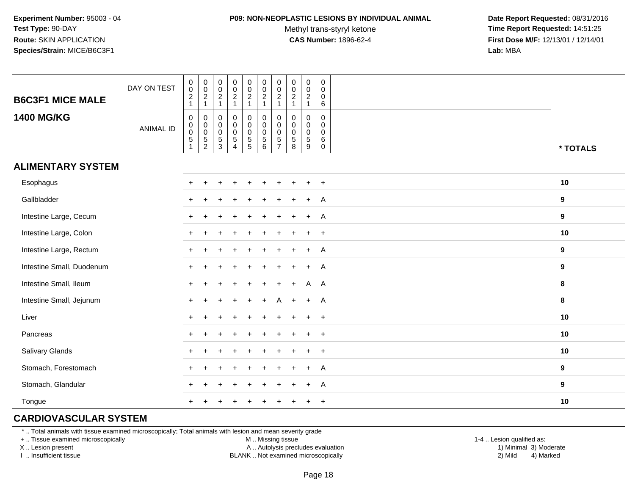#### **P09: NON-NEOPLASTIC LESIONS BY INDIVIDUAL ANIMAL**

Methyl trans-styryl ketone<br>CAS Number: 1896-62-4

 **Date Report Requested:** 08/31/2016 **Time Report Requested:** 14:51:25 **First Dose M/F:** 12/13/01 / 12/14/01<br>**Lab:** MBA **Lab:** MBA

| <b>B6C3F1 MICE MALE</b>   | DAY ON TEST      | $\pmb{0}$<br>$\pmb{0}$<br>$\overline{\mathbf{c}}$<br>$\mathbf{1}$ | $_{\rm 0}^{\rm 0}$<br>$\frac{2}{1}$      | $\pmb{0}$<br>$\mathbf 0$<br>$\frac{2}{1}$                     | $\begin{array}{c} 0 \\ 0 \\ 2 \\ 1 \end{array}$                | $\begin{smallmatrix} 0\\0 \end{smallmatrix}$<br>$\frac{2}{1}$ | $\begin{smallmatrix} 0\\0 \end{smallmatrix}$<br>$\frac{2}{1}$ | $\pmb{0}$<br>$\mathbf 0$<br>$\overline{c}$<br>1                | $\pmb{0}$<br>$\pmb{0}$<br>$\overline{\mathbf{c}}$<br>$\overline{1}$ | $\pmb{0}$<br>$\pmb{0}$<br>$\sqrt{2}$<br>$\mathbf{1}$                  | $\mathbf 0$<br>$\mathbf 0$<br>$\mathbf 0$<br>6                      |                  |
|---------------------------|------------------|-------------------------------------------------------------------|------------------------------------------|---------------------------------------------------------------|----------------------------------------------------------------|---------------------------------------------------------------|---------------------------------------------------------------|----------------------------------------------------------------|---------------------------------------------------------------------|-----------------------------------------------------------------------|---------------------------------------------------------------------|------------------|
| <b>1400 MG/KG</b>         | <b>ANIMAL ID</b> | $\mathbf 0$<br>$\pmb{0}$<br>$\mathsf 0$<br>5<br>1                 | 0<br>$_{\rm 0}^{\rm 0}$<br>$\frac{5}{2}$ | 0<br>$\boldsymbol{0}$<br>$\ddot{\mathbf{0}}$<br>$\frac{5}{3}$ | $\mathbf 0$<br>$\begin{array}{c} 0 \\ 0 \\ 5 \\ 4 \end{array}$ | 0<br>$\pmb{0}$<br>$\frac{0}{5}$                               | $\mathbf 0$<br>$\mathbf 0$<br>$\pmb{0}$<br>$\sqrt{5}$<br>6    | $\mathbf 0$<br>$\pmb{0}$<br>$\mathbf 0$<br>5<br>$\overline{7}$ | $\Omega$<br>0<br>$\mathbf 0$<br>$\,$ 5 $\,$<br>$\overline{8}$       | $\mathbf 0$<br>$\pmb{0}$<br>$\pmb{0}$<br>$\sqrt{5}$<br>$\overline{9}$ | $\mathbf 0$<br>$\mathbf 0$<br>$\mathbf 0$<br>$\,6\,$<br>$\mathbf 0$ | * TOTALS         |
| <b>ALIMENTARY SYSTEM</b>  |                  |                                                                   |                                          |                                                               |                                                                |                                                               |                                                               |                                                                |                                                                     |                                                                       |                                                                     |                  |
| Esophagus                 |                  |                                                                   |                                          |                                                               |                                                                | ÷                                                             |                                                               |                                                                |                                                                     | $\ddot{}$                                                             | $+$                                                                 | 10               |
| Gallbladder               |                  |                                                                   |                                          |                                                               |                                                                |                                                               |                                                               |                                                                |                                                                     | $\ddot{}$                                                             | A                                                                   | 9                |
| Intestine Large, Cecum    |                  |                                                                   |                                          |                                                               |                                                                |                                                               |                                                               |                                                                |                                                                     | $\ddot{}$                                                             | A                                                                   | 9                |
| Intestine Large, Colon    |                  |                                                                   |                                          |                                                               |                                                                |                                                               |                                                               |                                                                |                                                                     | ÷                                                                     | $\overline{+}$                                                      | 10               |
| Intestine Large, Rectum   |                  |                                                                   |                                          |                                                               |                                                                |                                                               |                                                               |                                                                |                                                                     | $\ddot{}$                                                             | $\overline{A}$                                                      | $\boldsymbol{9}$ |
| Intestine Small, Duodenum |                  |                                                                   |                                          |                                                               |                                                                |                                                               |                                                               |                                                                |                                                                     | $\ddot{+}$                                                            | A                                                                   | 9                |
| Intestine Small, Ileum    |                  |                                                                   |                                          |                                                               |                                                                |                                                               |                                                               |                                                                | $\ddot{}$                                                           | $\mathsf{A}$                                                          | A                                                                   | 8                |
| Intestine Small, Jejunum  |                  |                                                                   |                                          |                                                               |                                                                |                                                               |                                                               | А                                                              | $+$                                                                 | $+$                                                                   | A                                                                   | 8                |
| Liver                     |                  | $+$                                                               | $\ddot{}$                                |                                                               |                                                                |                                                               |                                                               |                                                                |                                                                     | $\ddot{}$                                                             | $+$                                                                 | 10               |
| Pancreas                  |                  | ÷                                                                 | $\div$                                   |                                                               |                                                                |                                                               |                                                               |                                                                |                                                                     | $\div$                                                                | $+$                                                                 | 10               |
| Salivary Glands           |                  |                                                                   |                                          |                                                               |                                                                |                                                               |                                                               |                                                                |                                                                     |                                                                       | $\overline{+}$                                                      | 10               |
| Stomach, Forestomach      |                  |                                                                   |                                          |                                                               |                                                                |                                                               |                                                               |                                                                |                                                                     | $\div$                                                                | A                                                                   | $\boldsymbol{9}$ |
| Stomach, Glandular        |                  |                                                                   |                                          |                                                               |                                                                |                                                               |                                                               |                                                                |                                                                     | $\ddot{}$                                                             | A                                                                   | 9                |
| Tongue                    |                  |                                                                   |                                          |                                                               |                                                                |                                                               |                                                               |                                                                |                                                                     | $\div$                                                                | $\overline{+}$                                                      | 10               |

## **CARDIOVASCULAR SYSTEM**

\* .. Total animals with tissue examined microscopically; Total animals with lesion and mean severity grade

+ .. Tissue examined microscopically

X .. Lesion present

I .. Insufficient tissue

M .. Missing tissue

A .. Autolysis precludes evaluation

BLANK .. Not examined microscopically 2) Mild 4) Marked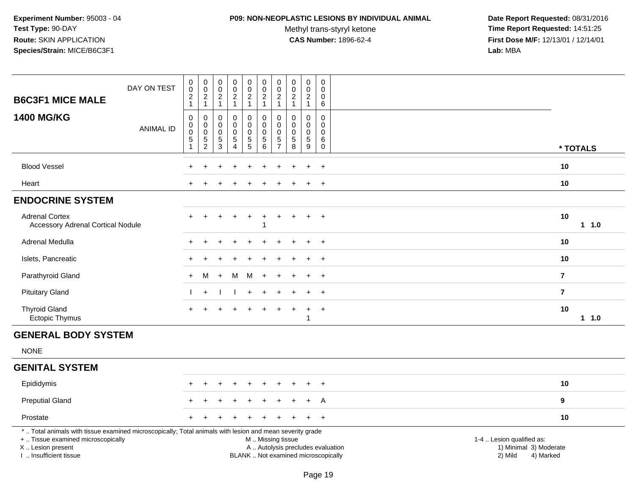### **P09: NON-NEOPLASTIC LESIONS BY INDIVIDUAL ANIMAL**

Methyl trans-styryl ketone<br>CAS Number: 1896-62-4

| DAY ON TEST<br><b>B6C3F1 MICE MALE</b>                                                                                                                                                        | $\mathbf 0$<br>$\pmb{0}$<br>$\sqrt{2}$<br>$\mathbf{1}$                      | $\boldsymbol{0}$<br>$\overline{0}$<br>$\overline{c}$<br>$\mathbf{1}$ | $\pmb{0}$<br>$\mathsf{O}\xspace$<br>$\overline{\mathbf{c}}$<br>$\mathbf{1}$ | $\mathsf{O}\xspace$<br>$\ddot{\mathbf{0}}$<br>$\overline{a}$<br>$\mathbf{1}$ | $\pmb{0}$<br>$\overline{0}$<br>$\sqrt{2}$<br>$\mathbf{1}$ | $\pmb{0}$<br>$\mathsf{O}\xspace$<br>$\sqrt{2}$<br>$\mathbf{1}$ | $\pmb{0}$<br>0<br>$\sqrt{2}$<br>$\mathbf{1}$              | $\pmb{0}$<br>$\boldsymbol{0}$<br>$\boldsymbol{2}$<br>$\mathbf{1}$ | $\pmb{0}$<br>$\pmb{0}$<br>$\overline{c}$<br>$\mathbf{1}$ | $\pmb{0}$<br>$\Omega$<br>0<br>6                             |                                                                                                                                                         |          |
|-----------------------------------------------------------------------------------------------------------------------------------------------------------------------------------------------|-----------------------------------------------------------------------------|----------------------------------------------------------------------|-----------------------------------------------------------------------------|------------------------------------------------------------------------------|-----------------------------------------------------------|----------------------------------------------------------------|-----------------------------------------------------------|-------------------------------------------------------------------|----------------------------------------------------------|-------------------------------------------------------------|---------------------------------------------------------------------------------------------------------------------------------------------------------|----------|
| <b>1400 MG/KG</b><br><b>ANIMAL ID</b>                                                                                                                                                         | $\mathsf 0$<br>$\mathbf 0$<br>$\pmb{0}$<br>$\overline{5}$<br>$\overline{1}$ | $\mathbf 0$<br>$\pmb{0}$<br>$\,0\,$<br>$\mathbf 5$<br>$\overline{c}$ | $\mathbf 0$<br>$\mathbf 0$<br>$\pmb{0}$<br>$5\,$<br>3                       | $\mathbf 0$<br>0<br>$\mathsf{O}$<br>5<br>$\overline{4}$                      | $\pmb{0}$<br>$\pmb{0}$<br>$\pmb{0}$<br>$\frac{5}{5}$      | $\pmb{0}$<br>$\pmb{0}$<br>$\pmb{0}$<br>$\sqrt{5}$<br>6         | $\mathbf 0$<br>$\Omega$<br>$\mathbf 0$<br>$\sqrt{5}$<br>7 | 0<br>$\Omega$<br>$\mathbf 0$<br>$\overline{5}$<br>8               | 0<br>0<br>0<br>5<br>9                                    | $\mathbf 0$<br>$\Omega$<br>$\mathbf{0}$<br>6<br>$\mathbf 0$ |                                                                                                                                                         | * TOTALS |
| <b>Blood Vessel</b>                                                                                                                                                                           |                                                                             |                                                                      |                                                                             |                                                                              |                                                           |                                                                |                                                           |                                                                   |                                                          | $\ddot{}$                                                   | 10                                                                                                                                                      |          |
| Heart                                                                                                                                                                                         |                                                                             |                                                                      |                                                                             |                                                                              |                                                           |                                                                |                                                           |                                                                   | $\div$                                                   | $\overline{+}$                                              | 10                                                                                                                                                      |          |
| <b>ENDOCRINE SYSTEM</b>                                                                                                                                                                       |                                                                             |                                                                      |                                                                             |                                                                              |                                                           |                                                                |                                                           |                                                                   |                                                          |                                                             |                                                                                                                                                         |          |
| <b>Adrenal Cortex</b><br><b>Accessory Adrenal Cortical Nodule</b>                                                                                                                             |                                                                             |                                                                      |                                                                             |                                                                              | $\ddot{}$                                                 |                                                                | $\ddot{}$                                                 |                                                                   | $\ddot{}$                                                | $\overline{+}$                                              | 10                                                                                                                                                      | 1 1.0    |
| Adrenal Medulla                                                                                                                                                                               |                                                                             |                                                                      |                                                                             |                                                                              |                                                           |                                                                |                                                           |                                                                   |                                                          | $\ddot{}$                                                   | 10                                                                                                                                                      |          |
| Islets, Pancreatic                                                                                                                                                                            |                                                                             |                                                                      |                                                                             |                                                                              |                                                           |                                                                |                                                           |                                                                   |                                                          | $\div$                                                      | 10                                                                                                                                                      |          |
| Parathyroid Gland                                                                                                                                                                             | $+$                                                                         | м                                                                    | $+$                                                                         | M                                                                            | M                                                         | $\overline{+}$                                                 |                                                           |                                                                   | ÷.                                                       | $+$                                                         | $\overline{7}$                                                                                                                                          |          |
| <b>Pituitary Gland</b>                                                                                                                                                                        |                                                                             | $\ddot{}$                                                            |                                                                             |                                                                              |                                                           |                                                                |                                                           |                                                                   |                                                          |                                                             | $\overline{7}$                                                                                                                                          |          |
| <b>Thyroid Gland</b><br>Ectopic Thymus                                                                                                                                                        |                                                                             |                                                                      |                                                                             |                                                                              |                                                           |                                                                |                                                           |                                                                   | $\ddot{}$<br>$\mathbf{1}$                                | $\ddot{}$                                                   | 10                                                                                                                                                      | $1 1.0$  |
| <b>GENERAL BODY SYSTEM</b>                                                                                                                                                                    |                                                                             |                                                                      |                                                                             |                                                                              |                                                           |                                                                |                                                           |                                                                   |                                                          |                                                             |                                                                                                                                                         |          |
| <b>NONE</b>                                                                                                                                                                                   |                                                                             |                                                                      |                                                                             |                                                                              |                                                           |                                                                |                                                           |                                                                   |                                                          |                                                             |                                                                                                                                                         |          |
| <b>GENITAL SYSTEM</b>                                                                                                                                                                         |                                                                             |                                                                      |                                                                             |                                                                              |                                                           |                                                                |                                                           |                                                                   |                                                          |                                                             |                                                                                                                                                         |          |
| Epididymis                                                                                                                                                                                    |                                                                             |                                                                      |                                                                             |                                                                              |                                                           |                                                                |                                                           |                                                                   |                                                          |                                                             | 10                                                                                                                                                      |          |
| <b>Preputial Gland</b>                                                                                                                                                                        |                                                                             |                                                                      |                                                                             |                                                                              |                                                           |                                                                |                                                           |                                                                   |                                                          | A                                                           | 9                                                                                                                                                       |          |
| Prostate                                                                                                                                                                                      |                                                                             |                                                                      |                                                                             |                                                                              |                                                           |                                                                |                                                           |                                                                   |                                                          | $\overline{+}$                                              | 10                                                                                                                                                      |          |
| *  Total animals with tissue examined microscopically; Total animals with lesion and mean severity grade<br>+  Tissue examined microscopically<br>X  Lesion present<br>I  Insufficient tissue |                                                                             |                                                                      |                                                                             |                                                                              |                                                           | M  Missing tissue                                              |                                                           |                                                                   |                                                          |                                                             | 1-4  Lesion qualified as:<br>A  Autolysis precludes evaluation<br>1) Minimal 3) Moderate<br>BLANK  Not examined microscopically<br>2) Mild<br>4) Marked |          |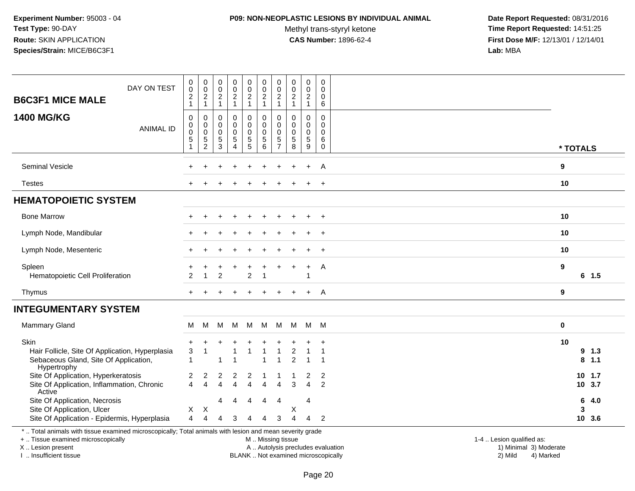#### **P09: NON-NEOPLASTIC LESIONS BY INDIVIDUAL ANIMAL**

Methyl trans-styryl ketone<br>CAS Number: 1896-62-4

 **Date Report Requested:** 08/31/2016 **Time Report Requested:** 14:51:25 **First Dose M/F:** 12/13/01 / 12/14/01<br>Lab: MBA **Lab:** MBA

| DAY ON TEST<br><b>B6C3F1 MICE MALE</b>                                                                                                                              | $\pmb{0}$<br>$\pmb{0}$<br>$\overline{c}$<br>$\mathbf{1}$                | $\pmb{0}$<br>$\mathbf 0$<br>$\overline{c}$<br>$\mathbf{1}$ | $\pmb{0}$<br>$\mathbf 0$<br>$\overline{c}$<br>$\mathbf{1}$    | $\pmb{0}$<br>$\mathsf{O}\xspace$<br>$\overline{c}$<br>$\mathbf{1}$       | 0<br>$\mathbf 0$<br>$\overline{a}$<br>$\mathbf{1}$ | $\pmb{0}$<br>$\pmb{0}$<br>$\boldsymbol{2}$<br>$\mathbf{1}$     | $\pmb{0}$<br>$\mathbf 0$<br>$\overline{c}$<br>$\overline{1}$               | $\pmb{0}$<br>$\mathbf 0$<br>$\boldsymbol{2}$<br>$\mathbf{1}$ | $\mathbf 0$<br>0<br>$\boldsymbol{2}$<br>$\mathbf{1}$             | 0<br>$\mathbf 0$<br>0<br>6                                                    |                                                     |     |
|---------------------------------------------------------------------------------------------------------------------------------------------------------------------|-------------------------------------------------------------------------|------------------------------------------------------------|---------------------------------------------------------------|--------------------------------------------------------------------------|----------------------------------------------------|----------------------------------------------------------------|----------------------------------------------------------------------------|--------------------------------------------------------------|------------------------------------------------------------------|-------------------------------------------------------------------------------|-----------------------------------------------------|-----|
| <b>1400 MG/KG</b><br><b>ANIMAL ID</b>                                                                                                                               | $\mathbf 0$<br>$\mathbf 0$<br>$\mathsf 0$<br>$\sqrt{5}$<br>$\mathbf{1}$ | 0<br>0<br>$\mathbf 0$<br>$\frac{5}{2}$                     | 0<br>$\mathbf 0$<br>$\mathbf 0$<br>$\sqrt{5}$<br>$\mathbf{3}$ | $\mathbf 0$<br>$\mathsf 0$<br>$\pmb{0}$<br>$\mathbf 5$<br>$\overline{4}$ | $\mathbf 0$<br>$\mathsf{O}$<br>0<br>$\frac{5}{5}$  | $\mathbf 0$<br>$\pmb{0}$<br>$\pmb{0}$<br>$\sqrt{5}$<br>$\,6\,$ | $\mathbf{0}$<br>$\mathbf 0$<br>$\mathbf 0$<br>$\sqrt{5}$<br>$\overline{7}$ | $\Omega$<br>$\Omega$<br>$\mathbf 0$<br>$\sqrt{5}$<br>8       | 0<br>$\mathbf 0$<br>$\mathsf{O}\xspace$<br>5<br>$\boldsymbol{9}$ | $\mathbf 0$<br>$\mathbf 0$<br>$\mathbf 0$<br>6<br>$\mathsf 0$                 | * TOTALS                                            |     |
| Seminal Vesicle                                                                                                                                                     |                                                                         |                                                            |                                                               |                                                                          |                                                    |                                                                |                                                                            |                                                              |                                                                  | A                                                                             | 9                                                   |     |
| <b>Testes</b>                                                                                                                                                       |                                                                         |                                                            |                                                               |                                                                          |                                                    |                                                                |                                                                            |                                                              | $\ddot{}$                                                        | $+$                                                                           | 10                                                  |     |
| <b>HEMATOPOIETIC SYSTEM</b>                                                                                                                                         |                                                                         |                                                            |                                                               |                                                                          |                                                    |                                                                |                                                                            |                                                              |                                                                  |                                                                               |                                                     |     |
| <b>Bone Marrow</b>                                                                                                                                                  |                                                                         |                                                            |                                                               |                                                                          |                                                    |                                                                |                                                                            |                                                              |                                                                  |                                                                               | 10                                                  |     |
| Lymph Node, Mandibular                                                                                                                                              |                                                                         |                                                            |                                                               |                                                                          |                                                    |                                                                |                                                                            |                                                              |                                                                  | $\overline{ }$                                                                | 10                                                  |     |
| Lymph Node, Mesenteric                                                                                                                                              |                                                                         |                                                            |                                                               |                                                                          |                                                    |                                                                |                                                                            |                                                              | $\ddot{}$                                                        | $\ddot{}$                                                                     | 10                                                  |     |
| Spleen<br>Hematopoietic Cell Proliferation                                                                                                                          | $\overline{2}$                                                          |                                                            | $\overline{2}$                                                |                                                                          | $\overline{2}$                                     | $\overline{\mathbf{1}}$                                        |                                                                            |                                                              | $\ddot{}$<br>1                                                   | A                                                                             | 9<br>$6$ 1.5                                        |     |
| Thymus                                                                                                                                                              |                                                                         |                                                            |                                                               |                                                                          |                                                    |                                                                |                                                                            |                                                              | $\ddot{}$                                                        | A                                                                             | 9                                                   |     |
| <b>INTEGUMENTARY SYSTEM</b>                                                                                                                                         |                                                                         |                                                            |                                                               |                                                                          |                                                    |                                                                |                                                                            |                                                              |                                                                  |                                                                               |                                                     |     |
| Mammary Gland                                                                                                                                                       | м                                                                       | м                                                          | м                                                             | M                                                                        | M                                                  | M                                                              | M                                                                          | M                                                            | M M                                                              |                                                                               | $\mathbf 0$                                         |     |
| Skin<br>Hair Follicle, Site Of Application, Hyperplasia<br>Sebaceous Gland, Site Of Application,<br>Hypertrophy<br>Site Of Application, Hyperkeratosis              | 3<br>$\overline{1}$<br>$\overline{\mathbf{c}}$<br>$\Delta$              | 2<br>4                                                     | 1<br>2                                                        | 1<br>$\overline{c}$<br>$\overline{\mathbf{A}}$                           | 2<br>$\Delta$                                      | 1<br>$\boldsymbol{\varDelta}$                                  | $\overline{1}$<br>Δ                                                        | 2<br>$\overline{2}$<br>3                                     | 1<br>$\mathbf{1}$<br>2<br>$\overline{4}$                         | $\overline{\mathbf{1}}$<br>$\overline{1}$<br>$\overline{c}$<br>$\overline{2}$ | 10<br>9, 1.3<br>8<br>10, 1.7<br>10 3.7              | 1.1 |
| Site Of Application, Inflammation, Chronic<br>Active<br>Site Of Application, Necrosis<br>Site Of Application, Ulcer<br>Site Of Application - Epidermis, Hyperplasia | X<br>$\overline{4}$                                                     | X<br>4                                                     | 4<br>4                                                        | 4<br>3                                                                   | 4                                                  | 4<br>Δ                                                         | 4<br>3                                                                     | Χ<br>Δ                                                       | 4<br>4                                                           | 2                                                                             | 6<br>3<br>10 3.6                                    | 4.0 |
| *  Total animals with tissue examined microscopically; Total animals with lesion and mean severity grade<br>+  Tissue examined microscopically<br>X  Lesion present |                                                                         |                                                            |                                                               |                                                                          |                                                    | M  Missing tissue<br>A  Autolysis precludes evaluation         |                                                                            |                                                              |                                                                  |                                                                               | 1-4  Lesion qualified as:<br>1) Minimal 3) Moderate |     |

I .. Insufficient tissue

Page 20

BLANK .. Not examined microscopically 2) Mild 4) Marked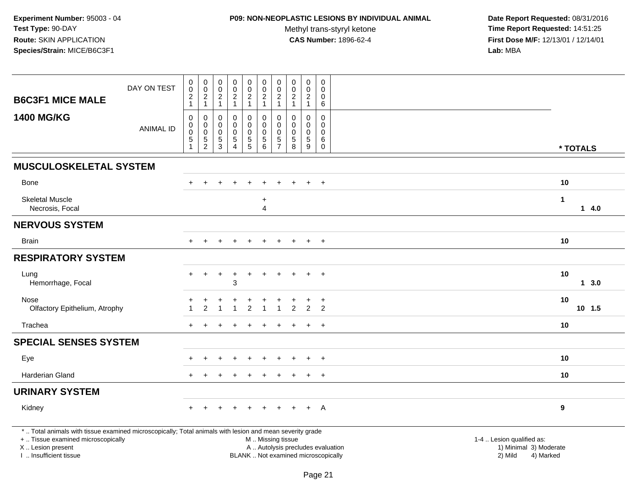## **P09: NON-NEOPLASTIC LESIONS BY INDIVIDUAL ANIMAL**

Methyl trans-styryl ketone<br>CAS Number: 1896-62-4

| <b>B6C3F1 MICE MALE</b>                                                                                                                                                                       | DAY ON TEST      | $\pmb{0}$<br>$\overline{0}$<br>$\overline{c}$                                        | $\pmb{0}$<br>$\pmb{0}$<br>$\sqrt{2}$                   | $\mathbf 0$<br>$\pmb{0}$<br>$\overline{2}$ | $\pmb{0}$<br>$\pmb{0}$<br>$\overline{a}$       | $\pmb{0}$<br>$\mathsf{O}\xspace$<br>$\overline{2}$       | $\pmb{0}$<br>$\pmb{0}$<br>$\overline{2}$                       | $\mathbf 0$<br>$\pmb{0}$<br>$\overline{2}$                      | $\mathbf 0$<br>$\pmb{0}$<br>$\overline{2}$            | 0<br>$\mathsf{O}\xspace$<br>$\overline{2}$          | $\mathbf 0$<br>$\Omega$<br>0                              |                                                                                                                  |         |
|-----------------------------------------------------------------------------------------------------------------------------------------------------------------------------------------------|------------------|--------------------------------------------------------------------------------------|--------------------------------------------------------|--------------------------------------------|------------------------------------------------|----------------------------------------------------------|----------------------------------------------------------------|-----------------------------------------------------------------|-------------------------------------------------------|-----------------------------------------------------|-----------------------------------------------------------|------------------------------------------------------------------------------------------------------------------|---------|
|                                                                                                                                                                                               |                  | $\mathbf{1}$                                                                         | $\mathbf{1}$                                           | $\mathbf{1}$                               | $\mathbf{1}$                                   | $\mathbf{1}$                                             | $\mathbf{1}$                                                   | $\mathbf{1}$                                                    | $\mathbf{1}$                                          | $\mathbf{1}$                                        | $\,6\,$                                                   |                                                                                                                  |         |
| <b>1400 MG/KG</b>                                                                                                                                                                             | <b>ANIMAL ID</b> | $\boldsymbol{0}$<br>$\boldsymbol{0}$<br>$\overline{0}$<br>$\sqrt{5}$<br>$\mathbf{1}$ | 0<br>0<br>$\mathbf 0$<br>$\,$ 5 $\,$<br>$\overline{2}$ | $\mathbf 0$<br>0<br>$\mathbf 0$<br>5<br>3  | 0<br>$\mathbf 0$<br>$\boldsymbol{0}$<br>5<br>4 | $\mathsf 0$<br>0<br>$\mathsf{O}\xspace$<br>$\frac{5}{5}$ | $\pmb{0}$<br>$\mathbf 0$<br>$\pmb{0}$<br>$\sqrt{5}$<br>$\,6\,$ | 0<br>$\mathbf 0$<br>$\mathbf 0$<br>$\sqrt{5}$<br>$\overline{7}$ | $\pmb{0}$<br>$\Omega$<br>$\pmb{0}$<br>$\sqrt{5}$<br>8 | $\mathbf 0$<br>$\mathbf 0$<br>$\mathbf 0$<br>5<br>9 | 0<br>$\mathbf 0$<br>$\mathbf 0$<br>$\,6\,$<br>$\mathbf 0$ | * TOTALS                                                                                                         |         |
| <b>MUSCULOSKELETAL SYSTEM</b>                                                                                                                                                                 |                  |                                                                                      |                                                        |                                            |                                                |                                                          |                                                                |                                                                 |                                                       |                                                     |                                                           |                                                                                                                  |         |
| Bone                                                                                                                                                                                          |                  |                                                                                      |                                                        |                                            |                                                |                                                          |                                                                |                                                                 |                                                       |                                                     | $\overline{+}$                                            | 10                                                                                                               |         |
| <b>Skeletal Muscle</b><br>Necrosis, Focal                                                                                                                                                     |                  |                                                                                      |                                                        |                                            |                                                |                                                          | $\ddot{}$<br>$\overline{4}$                                    |                                                                 |                                                       |                                                     |                                                           | 1                                                                                                                | 14.0    |
| <b>NERVOUS SYSTEM</b>                                                                                                                                                                         |                  |                                                                                      |                                                        |                                            |                                                |                                                          |                                                                |                                                                 |                                                       |                                                     |                                                           |                                                                                                                  |         |
| <b>Brain</b>                                                                                                                                                                                  |                  | $+$                                                                                  |                                                        |                                            |                                                |                                                          |                                                                |                                                                 |                                                       | $\ddot{}$                                           | $+$                                                       | 10                                                                                                               |         |
| <b>RESPIRATORY SYSTEM</b>                                                                                                                                                                     |                  |                                                                                      |                                                        |                                            |                                                |                                                          |                                                                |                                                                 |                                                       |                                                     |                                                           |                                                                                                                  |         |
| Lung<br>Hemorrhage, Focal                                                                                                                                                                     |                  | $+$                                                                                  | $+$                                                    | $\ddot{}$                                  | $\ddot{}$<br>3                                 | $\pm$                                                    | $\pm$                                                          | $+$                                                             | $+$                                                   | $+$                                                 | $+$                                                       | 10                                                                                                               | 13.0    |
| Nose<br>Olfactory Epithelium, Atrophy                                                                                                                                                         |                  | -1                                                                                   | +<br>2                                                 | -1                                         | $\ddot{}$<br>$\mathbf{1}$                      | $\ddot{}$<br>$\overline{2}$                              | +<br>$\mathbf{1}$                                              | $\mathbf 1$                                                     | $\overline{2}$                                        | $\ddot{}$<br>$\overline{2}$                         | $\ddot{}$<br>2                                            | 10                                                                                                               | 10, 1.5 |
| Trachea                                                                                                                                                                                       |                  | $+$                                                                                  | $\ddot{}$                                              |                                            | $\pm$                                          | $\ddot{}$                                                | $\ddot{}$                                                      | ÷.                                                              | $\pm$                                                 | $\ddot{}$                                           | $+$                                                       | 10                                                                                                               |         |
| <b>SPECIAL SENSES SYSTEM</b>                                                                                                                                                                  |                  |                                                                                      |                                                        |                                            |                                                |                                                          |                                                                |                                                                 |                                                       |                                                     |                                                           |                                                                                                                  |         |
| Eye                                                                                                                                                                                           |                  |                                                                                      |                                                        |                                            |                                                |                                                          |                                                                |                                                                 |                                                       |                                                     | $\ddot{}$                                                 | 10                                                                                                               |         |
| Harderian Gland                                                                                                                                                                               |                  |                                                                                      |                                                        |                                            |                                                |                                                          |                                                                |                                                                 |                                                       | $\ddot{}$                                           | $\ddot{}$                                                 | 10                                                                                                               |         |
| <b>URINARY SYSTEM</b>                                                                                                                                                                         |                  |                                                                                      |                                                        |                                            |                                                |                                                          |                                                                |                                                                 |                                                       |                                                     |                                                           |                                                                                                                  |         |
| Kidney                                                                                                                                                                                        |                  | $+$                                                                                  | $+$                                                    |                                            | $\ddot{}$                                      | $+$                                                      | $+$                                                            | $+$                                                             | $+$                                                   | $+$                                                 | A                                                         | 9                                                                                                                |         |
| *  Total animals with tissue examined microscopically; Total animals with lesion and mean severity grade<br>+  Tissue examined microscopically<br>X  Lesion present<br>I. Insufficient tissue |                  |                                                                                      |                                                        |                                            |                                                |                                                          | M  Missing tissue<br>BLANK  Not examined microscopically       |                                                                 |                                                       |                                                     |                                                           | 1-4  Lesion qualified as:<br>A  Autolysis precludes evaluation<br>1) Minimal 3) Moderate<br>2) Mild<br>4) Marked |         |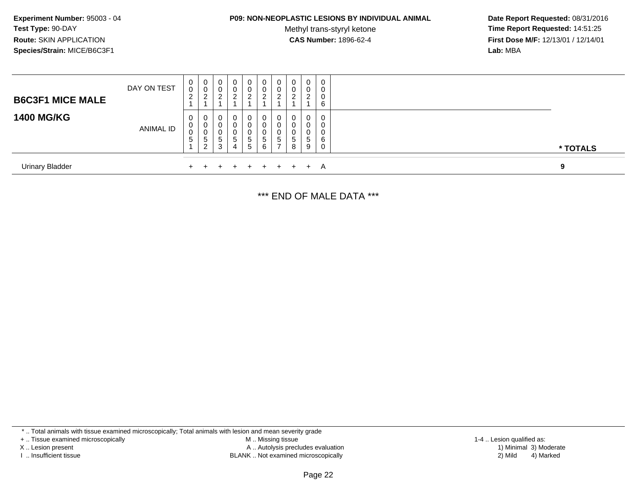# **P09: NON-NEOPLASTIC LESIONS BY INDIVIDUAL ANIMAL**

Methyl trans-styryl ketone<br>CAS Number: 1896-62-4

 **Date Report Requested:** 08/31/2016 **Time Report Requested:** 14:51:25 **First Dose M/F:** 12/13/01 / 12/14/01<br>**Lab:** MBA **Lab:** MBA

| <b>B6C3F1 MICE MALE</b> | DAY ON TEST      | 0<br>0<br>2       | <b>O</b><br>⌒   | 0<br>ົ | 0<br>U<br>ົ                      | 0<br>0<br>ົ<br><u>_</u>                          | 0<br>U<br>$\mathcal{P}$<br>∠     | 0<br>0<br>ົ       |                   | 0<br>0<br>ົ<br><u>.</u> | 0<br>0<br>0<br>6      |          |
|-------------------------|------------------|-------------------|-----------------|--------|----------------------------------|--------------------------------------------------|----------------------------------|-------------------|-------------------|-------------------------|-----------------------|----------|
| <b>1400 MG/KG</b>       | <b>ANIMAL ID</b> | 0<br>0<br>0<br>-5 | G<br>$\sqrt{2}$ | đ<br>3 | 0<br>0<br>U<br><sub>5</sub><br>4 | 0<br>0<br>0<br>$5\overline{5}$<br>5 <sup>5</sup> | 0<br>U<br>U<br>$\mathbf{p}$<br>6 | 0<br>0<br>0<br>C. | $\mathbf 0$<br>.5 | 0<br>0<br>0<br>5<br>9   | 0<br>0<br>0<br>6<br>0 | * TOTALS |
| <b>Urinary Bladder</b>  |                  |                   |                 | $+$    | $+$ $-$                          |                                                  | $+$ $+$ $+$                      |                   |                   | + + A                   |                       | 9        |

\*\*\* END OF MALE DATA \*\*\*

\* .. Total animals with tissue examined microscopically; Total animals with lesion and mean severity grade

+ .. Tissue examined microscopically

X .. Lesion present

I .. Insufficient tissue

 M .. Missing tissueA .. Autolysis precludes evaluation

BLANK .. Not examined microscopically 2) Mild 4) Marked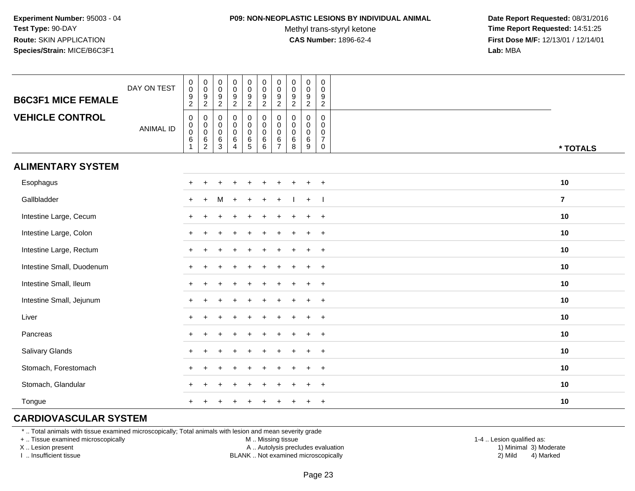#### **P09: NON-NEOPLASTIC LESIONS BY INDIVIDUAL ANIMAL**

Methyl trans-styryl ketone<br>CAS Number: 1896-62-4

 **Date Report Requested:** 08/31/2016 **Time Report Requested:** 14:51:25 **First Dose M/F:** 12/13/01 / 12/14/01<br>**Lab:** MBA **Lab:** MBA

| <b>B6C3F1 MICE FEMALE</b> | DAY ON TEST      | $\pmb{0}$<br>$\ddot{\mathbf{0}}$<br>$\frac{9}{2}$                           | $\mathbf 0$<br>$\mathbf 0$<br>$\frac{9}{2}$                     | $\pmb{0}$<br>$\mathbf 0$<br>$\boldsymbol{9}$<br>$\overline{2}$ | $\pmb{0}$<br>$\mathbf 0$<br>$\frac{9}{2}$                      | $\mathsf{O}\xspace$<br>$\overline{0}$<br>$\frac{9}{2}$     | $\mathbf 0$<br>$\ddot{\mathbf{0}}$<br>$\frac{9}{2}$           | $\pmb{0}$<br>$\overline{0}$<br>$\frac{9}{2}$                       | $\mathbf 0$<br>$\mathsf 0$<br>$\frac{9}{2}$ | $\mathbf 0$<br>$\mathbf 0$<br>$\frac{9}{2}$     | $\mathbf 0$<br>$\pmb{0}$<br>9<br>$\overline{c}$        |                |
|---------------------------|------------------|-----------------------------------------------------------------------------|-----------------------------------------------------------------|----------------------------------------------------------------|----------------------------------------------------------------|------------------------------------------------------------|---------------------------------------------------------------|--------------------------------------------------------------------|---------------------------------------------|-------------------------------------------------|--------------------------------------------------------|----------------|
| <b>VEHICLE CONTROL</b>    | <b>ANIMAL ID</b> | $\mathbf 0$<br>$\mathbf 0$<br>$\mathbf 0$<br>$6\phantom{a}$<br>$\mathbf{1}$ | 0<br>$\mathbf 0$<br>$\overline{0}$<br>$\,6\,$<br>$\overline{2}$ | $\mathbf 0$<br>$\mathbf 0$<br>$\boldsymbol{0}$<br>$\,6\,$<br>3 | $\mathbf 0$<br>$\mathbf 0$<br>$\pmb{0}$<br>6<br>$\overline{4}$ | $\mathbf 0$<br>$\mathbf 0$<br>$\mathsf{O}$<br>$\,6\,$<br>5 | $\pmb{0}$<br>$\mathbf 0$<br>$\boldsymbol{0}$<br>$\frac{6}{6}$ | $\mathbf 0$<br>$\pmb{0}$<br>$\mathbf 0$<br>$\,6$<br>$\overline{7}$ | $\mathbf 0$<br>0<br>$\mathbf 0$<br>6<br>8   | $\mathbf 0$<br>0<br>$\mathbf 0$<br>$\,6\,$<br>9 | $\mathbf 0$<br>0<br>0<br>$\overline{7}$<br>$\mathbf 0$ | * TOTALS       |
| <b>ALIMENTARY SYSTEM</b>  |                  |                                                                             |                                                                 |                                                                |                                                                |                                                            |                                                               |                                                                    |                                             |                                                 |                                                        |                |
| Esophagus                 |                  | $+$                                                                         |                                                                 |                                                                |                                                                |                                                            |                                                               |                                                                    |                                             |                                                 | $+$                                                    | 10             |
| Gallbladder               |                  | $+$                                                                         | $+$                                                             | M                                                              |                                                                |                                                            |                                                               | $\ddot{}$                                                          |                                             | $+$                                             | $\blacksquare$                                         | $\overline{7}$ |
| Intestine Large, Cecum    |                  |                                                                             |                                                                 |                                                                |                                                                |                                                            |                                                               |                                                                    |                                             |                                                 | $\overline{+}$                                         | 10             |
| Intestine Large, Colon    |                  |                                                                             |                                                                 |                                                                |                                                                |                                                            |                                                               |                                                                    |                                             |                                                 | $\ddot{}$                                              | 10             |
| Intestine Large, Rectum   |                  |                                                                             |                                                                 |                                                                |                                                                |                                                            |                                                               |                                                                    |                                             |                                                 | $+$                                                    | 10             |
| Intestine Small, Duodenum |                  |                                                                             |                                                                 |                                                                |                                                                |                                                            |                                                               |                                                                    |                                             |                                                 | $+$                                                    | 10             |
| Intestine Small, Ileum    |                  |                                                                             |                                                                 |                                                                |                                                                |                                                            |                                                               |                                                                    |                                             |                                                 | $+$                                                    | 10             |
| Intestine Small, Jejunum  |                  |                                                                             |                                                                 |                                                                |                                                                |                                                            |                                                               |                                                                    |                                             |                                                 | $+$                                                    | 10             |
| Liver                     |                  | $+$                                                                         |                                                                 |                                                                |                                                                |                                                            |                                                               |                                                                    |                                             |                                                 | $+$                                                    | 10             |
| Pancreas                  |                  |                                                                             |                                                                 |                                                                |                                                                |                                                            |                                                               |                                                                    |                                             |                                                 | $+$                                                    | 10             |
| Salivary Glands           |                  |                                                                             |                                                                 |                                                                |                                                                |                                                            |                                                               |                                                                    |                                             |                                                 | $\ddot{}$                                              | 10             |
| Stomach, Forestomach      |                  |                                                                             |                                                                 |                                                                |                                                                |                                                            |                                                               |                                                                    |                                             |                                                 | $\ddot{}$                                              | 10             |
| Stomach, Glandular        |                  |                                                                             |                                                                 |                                                                |                                                                |                                                            |                                                               |                                                                    |                                             |                                                 | $\ddot{}$                                              | 10             |
| Tongue                    |                  |                                                                             |                                                                 |                                                                |                                                                |                                                            |                                                               |                                                                    |                                             |                                                 | $\overline{+}$                                         | 10             |

# **CARDIOVASCULAR SYSTEM**

\* .. Total animals with tissue examined microscopically; Total animals with lesion and mean severity grade

+ .. Tissue examined microscopically

X .. Lesion present

I .. Insufficient tissue

M .. Missing tissue

A .. Autolysis precludes evaluation

BLANK .. Not examined microscopically 2) Mild 4) Marked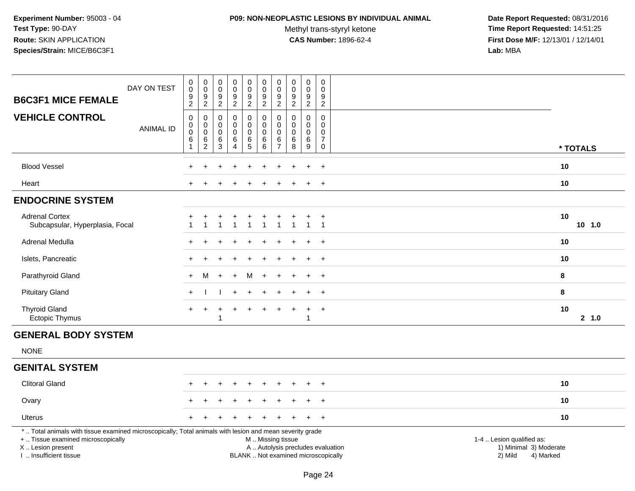### **P09: NON-NEOPLASTIC LESIONS BY INDIVIDUAL ANIMAL**

Methyl trans-styryl ketone<br>CAS Number: 1896-62-4

| <b>B6C3F1 MICE FEMALE</b>                                                                                                                                                                     | DAY ON TEST      | $\pmb{0}$<br>$\mathbf 0$<br>$\boldsymbol{9}$<br>$\overline{c}$ | $_{\rm 0}^{\rm 0}$<br>$\boldsymbol{9}$<br>$\overline{2}$ | $\pmb{0}$<br>$\pmb{0}$<br>$\boldsymbol{9}$<br>$\overline{c}$ | $\pmb{0}$<br>$\ddot{\mathbf{0}}$<br>$\boldsymbol{9}$<br>$\overline{2}$ | $\pmb{0}$<br>$\overline{0}$<br>$\frac{9}{2}$           | $\mathbf 0$<br>$\mathbf 0$<br>$\frac{9}{2}$             | $\pmb{0}$<br>$\mathbf 0$<br>9<br>$\overline{2}$     | $\pmb{0}$<br>$\ddot{\mathbf{0}}$<br>$\frac{9}{2}$                 | $\pmb{0}$<br>$\ddot{\mathbf{0}}$<br>$\boldsymbol{9}$<br>$\overline{2}$ | $\pmb{0}$<br>$\mathbf 0$<br>$\boldsymbol{9}$<br>$\overline{2}$     |                                                                                                                  |          |
|-----------------------------------------------------------------------------------------------------------------------------------------------------------------------------------------------|------------------|----------------------------------------------------------------|----------------------------------------------------------|--------------------------------------------------------------|------------------------------------------------------------------------|--------------------------------------------------------|---------------------------------------------------------|-----------------------------------------------------|-------------------------------------------------------------------|------------------------------------------------------------------------|--------------------------------------------------------------------|------------------------------------------------------------------------------------------------------------------|----------|
| <b>VEHICLE CONTROL</b>                                                                                                                                                                        | <b>ANIMAL ID</b> | $\mathbf 0$<br>$\pmb{0}$<br>$\mathbf 0$<br>6<br>1              | 0<br>$\pmb{0}$<br>$\mathbf 0$<br>$\,6\,$<br>2            | $\mathbf 0$<br>$\mathbf 0$<br>$\mathbf 0$<br>$\,6\,$<br>3    | $\mathbf 0$<br>$\pmb{0}$<br>$\pmb{0}$<br>$\,6\,$<br>$\overline{4}$     | $\mathbf 0$<br>$\pmb{0}$<br>$\pmb{0}$<br>$\frac{6}{5}$ | $\pmb{0}$<br>$\mathbf 0$<br>$\mathbf 0$<br>$\,6\,$<br>6 | 0<br>$\Omega$<br>$\mathbf 0$<br>6<br>$\overline{7}$ | $\mathbf 0$<br>$\mathbf 0$<br>$\mathsf{O}\xspace$<br>$\,6\,$<br>8 | $\mathbf 0$<br>0<br>$\mathbf 0$<br>6<br>9                              | $\mathbf 0$<br>0<br>$\mathbf 0$<br>$\boldsymbol{7}$<br>$\mathbf 0$ | * TOTALS                                                                                                         |          |
| <b>Blood Vessel</b>                                                                                                                                                                           |                  |                                                                |                                                          |                                                              |                                                                        |                                                        |                                                         |                                                     |                                                                   |                                                                        | $+$                                                                | 10                                                                                                               |          |
| Heart                                                                                                                                                                                         |                  |                                                                |                                                          |                                                              |                                                                        |                                                        |                                                         |                                                     |                                                                   | $\overline{+}$                                                         | $\overline{+}$                                                     | 10                                                                                                               |          |
| <b>ENDOCRINE SYSTEM</b>                                                                                                                                                                       |                  |                                                                |                                                          |                                                              |                                                                        |                                                        |                                                         |                                                     |                                                                   |                                                                        |                                                                    |                                                                                                                  |          |
| <b>Adrenal Cortex</b><br>Subcapsular, Hyperplasia, Focal                                                                                                                                      |                  |                                                                | $\overline{1}$                                           | $\mathbf{1}$                                                 | $\overline{1}$                                                         | $\ddot{}$<br>$\overline{1}$                            | $\ddot{}$<br>$\overline{1}$                             | $\mathbf{1}$                                        | $\overline{1}$                                                    | $\ddot{}$<br>$\mathbf{1}$                                              | $+$<br>$\overline{1}$                                              | 10                                                                                                               | $10$ 1.0 |
| Adrenal Medulla                                                                                                                                                                               |                  |                                                                |                                                          |                                                              |                                                                        |                                                        |                                                         |                                                     |                                                                   |                                                                        | $\ddot{}$                                                          | 10                                                                                                               |          |
| Islets, Pancreatic                                                                                                                                                                            |                  |                                                                |                                                          |                                                              |                                                                        |                                                        |                                                         |                                                     |                                                                   |                                                                        | $+$                                                                | 10                                                                                                               |          |
| Parathyroid Gland                                                                                                                                                                             |                  | $+$                                                            | M                                                        | $+$                                                          | $+$                                                                    | м                                                      | $\ddot{}$                                               | ÷                                                   |                                                                   | $\ddot{}$                                                              | $+$                                                                | 8                                                                                                                |          |
| <b>Pituitary Gland</b>                                                                                                                                                                        |                  | $+$                                                            |                                                          |                                                              |                                                                        |                                                        |                                                         |                                                     |                                                                   |                                                                        | $\ddot{}$                                                          | 8                                                                                                                |          |
| <b>Thyroid Gland</b><br>Ectopic Thymus                                                                                                                                                        |                  | $+$                                                            | $\ddot{}$                                                | $\ddot{}$<br>-1                                              | $\div$                                                                 | $\ddot{}$                                              |                                                         |                                                     |                                                                   | $\overline{+}$<br>$\mathbf{1}$                                         | $+$                                                                | 10                                                                                                               | 2 1.0    |
| <b>GENERAL BODY SYSTEM</b>                                                                                                                                                                    |                  |                                                                |                                                          |                                                              |                                                                        |                                                        |                                                         |                                                     |                                                                   |                                                                        |                                                                    |                                                                                                                  |          |
| <b>NONE</b>                                                                                                                                                                                   |                  |                                                                |                                                          |                                                              |                                                                        |                                                        |                                                         |                                                     |                                                                   |                                                                        |                                                                    |                                                                                                                  |          |
| <b>GENITAL SYSTEM</b>                                                                                                                                                                         |                  |                                                                |                                                          |                                                              |                                                                        |                                                        |                                                         |                                                     |                                                                   |                                                                        |                                                                    |                                                                                                                  |          |
| <b>Clitoral Gland</b>                                                                                                                                                                         |                  |                                                                |                                                          |                                                              |                                                                        |                                                        |                                                         |                                                     |                                                                   |                                                                        |                                                                    | 10                                                                                                               |          |
| Ovary                                                                                                                                                                                         |                  |                                                                |                                                          |                                                              |                                                                        |                                                        |                                                         |                                                     |                                                                   |                                                                        | $\ddot{}$                                                          | 10                                                                                                               |          |
| <b>Uterus</b>                                                                                                                                                                                 |                  |                                                                |                                                          |                                                              |                                                                        |                                                        |                                                         |                                                     |                                                                   |                                                                        | $\overline{+}$                                                     | 10                                                                                                               |          |
| *  Total animals with tissue examined microscopically; Total animals with lesion and mean severity grade<br>+  Tissue examined microscopically<br>X  Lesion present<br>I  Insufficient tissue |                  |                                                                |                                                          |                                                              |                                                                        |                                                        | M  Missing tissue                                       |                                                     |                                                                   | BLANK  Not examined microscopically                                    |                                                                    | 1-4  Lesion qualified as:<br>A  Autolysis precludes evaluation<br>1) Minimal 3) Moderate<br>2) Mild<br>4) Marked |          |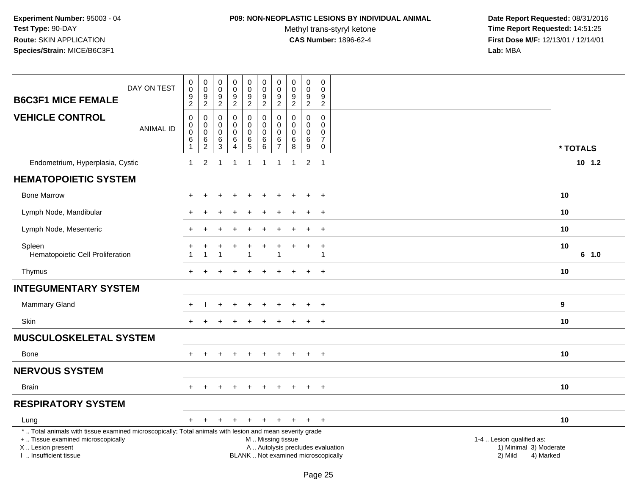### **P09: NON-NEOPLASTIC LESIONS BY INDIVIDUAL ANIMAL**

Methyl trans-styryl ketone<br>CAS Number: 1896-62-4

| DAY ON TEST<br><b>B6C3F1 MICE FEMALE</b>                                                                                                                                                      | $\pmb{0}$<br>$\mathsf{O}\xspace$<br>$\boldsymbol{9}$<br>$\overline{2}$ | $\mathbf 0$<br>$\mathbf 0$<br>$\boldsymbol{9}$<br>$\overline{a}$ | $\boldsymbol{0}$<br>$\mathsf{O}\xspace$<br>9<br>$\overline{c}$   | $\pmb{0}$<br>$\mathsf 0$<br>$\overline{9}$<br>$\overline{2}$     | $\boldsymbol{0}$<br>0<br>$9\,$<br>$\overline{2}$   | $\pmb{0}$<br>$\mathbf 0$<br>$\boldsymbol{9}$<br>$\overline{c}$ | 0<br>$\mathbf 0$<br>9<br>$\overline{2}$                        | $\pmb{0}$<br>$\mathbf 0$<br>9<br>$\overline{2}$  | $\pmb{0}$<br>$\pmb{0}$<br>$\boldsymbol{9}$<br>$\overline{2}$ | $\mathsf 0$<br>$\mathbf 0$<br>9<br>$\overline{2}$                          |                                                                                                                                                         |
|-----------------------------------------------------------------------------------------------------------------------------------------------------------------------------------------------|------------------------------------------------------------------------|------------------------------------------------------------------|------------------------------------------------------------------|------------------------------------------------------------------|----------------------------------------------------|----------------------------------------------------------------|----------------------------------------------------------------|--------------------------------------------------|--------------------------------------------------------------|----------------------------------------------------------------------------|---------------------------------------------------------------------------------------------------------------------------------------------------------|
| <b>VEHICLE CONTROL</b><br><b>ANIMAL ID</b>                                                                                                                                                    | $\boldsymbol{0}$<br>$\pmb{0}$<br>$\mathbf 0$<br>6<br>$\mathbf{1}$      | 0<br>0<br>$\pmb{0}$<br>6<br>$\overline{c}$                       | $\mathbf 0$<br>$\mathbf 0$<br>$\mathbf 0$<br>6<br>$\mathfrak{S}$ | $\mathbf 0$<br>$\mathbf 0$<br>$\mathbf 0$<br>6<br>$\overline{4}$ | 0<br>$\mathsf{O}$<br>$\mathsf{O}\xspace$<br>6<br>5 | $\mathbf 0$<br>$\pmb{0}$<br>$\mathbf 0$<br>$\,6$<br>$\,6\,$    | $\mathbf{0}$<br>$\mathbf 0$<br>$\Omega$<br>6<br>$\overline{7}$ | $\Omega$<br>$\mathbf 0$<br>$\mathbf 0$<br>6<br>8 | $\mathbf 0$<br>0<br>$\mathbf 0$<br>6<br>9                    | $\mathbf 0$<br>$\mathbf 0$<br>$\mathbf 0$<br>$\overline{7}$<br>$\mathbf 0$ | * TOTALS                                                                                                                                                |
| Endometrium, Hyperplasia, Cystic                                                                                                                                                              | $\mathbf{1}$                                                           | $\overline{2}$                                                   | -1                                                               | $\mathbf 1$                                                      | $\overline{1}$                                     | $\overline{1}$                                                 | $\overline{1}$                                                 | 1                                                | 2                                                            | $\overline{1}$                                                             | $10 \t1.2$                                                                                                                                              |
| <b>HEMATOPOIETIC SYSTEM</b>                                                                                                                                                                   |                                                                        |                                                                  |                                                                  |                                                                  |                                                    |                                                                |                                                                |                                                  |                                                              |                                                                            |                                                                                                                                                         |
| <b>Bone Marrow</b>                                                                                                                                                                            |                                                                        |                                                                  |                                                                  |                                                                  |                                                    |                                                                |                                                                |                                                  |                                                              | $+$                                                                        | 10                                                                                                                                                      |
| Lymph Node, Mandibular                                                                                                                                                                        |                                                                        |                                                                  |                                                                  |                                                                  |                                                    |                                                                |                                                                |                                                  | $\ddot{}$                                                    | $\overline{+}$                                                             | 10                                                                                                                                                      |
| Lymph Node, Mesenteric                                                                                                                                                                        |                                                                        |                                                                  |                                                                  |                                                                  |                                                    |                                                                |                                                                |                                                  |                                                              | $\div$                                                                     | 10                                                                                                                                                      |
| Spleen<br>Hematopoietic Cell Proliferation                                                                                                                                                    |                                                                        |                                                                  |                                                                  |                                                                  | $\overline{1}$                                     |                                                                | 1                                                              |                                                  | $\ddot{}$                                                    | $\ddot{}$<br>$\overline{1}$                                                | 10<br>6 1.0                                                                                                                                             |
| Thymus                                                                                                                                                                                        |                                                                        |                                                                  |                                                                  |                                                                  |                                                    |                                                                |                                                                |                                                  | $\div$                                                       | $\overline{ }$                                                             | 10                                                                                                                                                      |
| <b>INTEGUMENTARY SYSTEM</b>                                                                                                                                                                   |                                                                        |                                                                  |                                                                  |                                                                  |                                                    |                                                                |                                                                |                                                  |                                                              |                                                                            |                                                                                                                                                         |
| <b>Mammary Gland</b>                                                                                                                                                                          | $+$                                                                    |                                                                  | $\ddot{}$                                                        | $\ddot{}$                                                        | $\ddot{}$                                          | $\ddot{}$                                                      | $\pm$                                                          |                                                  | $\div$                                                       | $\overline{+}$                                                             | 9                                                                                                                                                       |
| Skin                                                                                                                                                                                          |                                                                        | ÷                                                                |                                                                  |                                                                  |                                                    |                                                                |                                                                |                                                  | ÷.                                                           | $\div$                                                                     | 10                                                                                                                                                      |
| MUSCULOSKELETAL SYSTEM                                                                                                                                                                        |                                                                        |                                                                  |                                                                  |                                                                  |                                                    |                                                                |                                                                |                                                  |                                                              |                                                                            |                                                                                                                                                         |
| Bone                                                                                                                                                                                          | +                                                                      |                                                                  |                                                                  | $\div$                                                           | $\ddot{}$                                          | $\pm$                                                          | ÷.                                                             |                                                  | $\ddot{}$                                                    | $\overline{+}$                                                             | 10                                                                                                                                                      |
| <b>NERVOUS SYSTEM</b>                                                                                                                                                                         |                                                                        |                                                                  |                                                                  |                                                                  |                                                    |                                                                |                                                                |                                                  |                                                              |                                                                            |                                                                                                                                                         |
| Brain                                                                                                                                                                                         | $+$                                                                    | $+$                                                              | $+$                                                              | $+$                                                              | $+$                                                | $+$                                                            | $\pm$                                                          | $\ddot{}$                                        | $+$                                                          | $+$                                                                        | 10                                                                                                                                                      |
| <b>RESPIRATORY SYSTEM</b>                                                                                                                                                                     |                                                                        |                                                                  |                                                                  |                                                                  |                                                    |                                                                |                                                                |                                                  |                                                              |                                                                            |                                                                                                                                                         |
| Lung                                                                                                                                                                                          | $+$                                                                    | $\ddot{}$                                                        | $\ddot{}$                                                        | $+$                                                              | $\ddot{}$                                          | $\ddot{}$                                                      | $+$                                                            | $+$                                              | $+$                                                          | $+$                                                                        | 10                                                                                                                                                      |
| *  Total animals with tissue examined microscopically; Total animals with lesion and mean severity grade<br>+  Tissue examined microscopically<br>X  Lesion present<br>I  Insufficient tissue |                                                                        |                                                                  |                                                                  |                                                                  |                                                    | M  Missing tissue                                              |                                                                |                                                  |                                                              |                                                                            | 1-4  Lesion qualified as:<br>A  Autolysis precludes evaluation<br>1) Minimal 3) Moderate<br>BLANK  Not examined microscopically<br>2) Mild<br>4) Marked |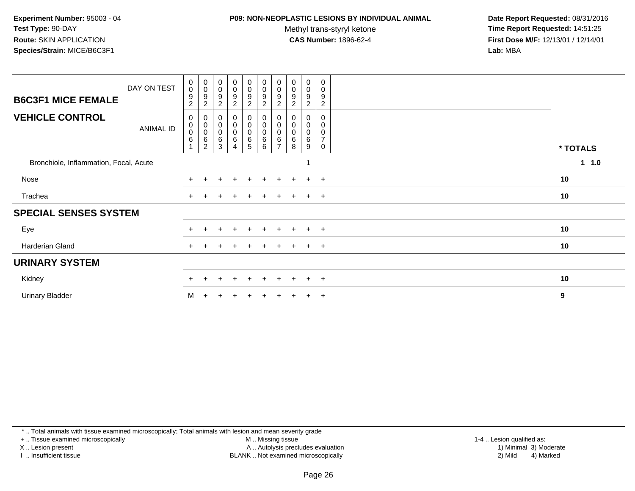#### **P09: NON-NEOPLASTIC LESIONS BY INDIVIDUAL ANIMAL**

Methyl trans-styryl ketone<br>CAS Number: 1896-62-4

 **Date Report Requested:** 08/31/2016 **Time Report Requested:** 14:51:25 **First Dose M/F:** 12/13/01 / 12/14/01<br>**Lab:** MBA **Lab:** MBA

|                                        | DAY ON TEST      | $\mathbf 0$<br>$\mathbf 0$       | $\begin{smallmatrix}0\0\0\9\end{smallmatrix}$                              | $\begin{smallmatrix}0\0\0\9\end{smallmatrix}$                     | $\begin{smallmatrix}0\0\0\end{smallmatrix}$ | $\begin{smallmatrix}0\\0\end{smallmatrix}$ | $\begin{smallmatrix}0\0\0\end{smallmatrix}$     | $_{\rm 0}^{\rm 0}$  | $\begin{smallmatrix}0\0\0\9\end{smallmatrix}$ | $\begin{smallmatrix} 0\\0 \end{smallmatrix}$ | 0<br>$\mathbf 0$                                    |               |
|----------------------------------------|------------------|----------------------------------|----------------------------------------------------------------------------|-------------------------------------------------------------------|---------------------------------------------|--------------------------------------------|-------------------------------------------------|---------------------|-----------------------------------------------|----------------------------------------------|-----------------------------------------------------|---------------|
| <b>B6C3F1 MICE FEMALE</b>              |                  | 9<br>$\overline{c}$              | $\overline{c}$                                                             | $\sqrt{2}$                                                        | 9<br>$\overline{2}$                         | $\boldsymbol{9}$<br>$\overline{c}$         | 9<br>$\overline{2}$                             | 9<br>$\overline{2}$ | 2                                             | $\boldsymbol{9}$<br>$\overline{2}$           | 9<br>$\overline{2}$                                 |               |
| <b>VEHICLE CONTROL</b>                 | <b>ANIMAL ID</b> | 0<br>$\pmb{0}$<br>$\pmb{0}$<br>6 | $\begin{smallmatrix}0\\0\\0\end{smallmatrix}$<br>$\,6\,$<br>$\overline{c}$ | $\pmb{0}$<br>$\begin{matrix} 0 \\ 0 \end{matrix}$<br>$\,6\,$<br>3 | 0<br>$\mathsf 0$<br>0<br>6<br>4             | 0<br>$\pmb{0}$<br>$\pmb{0}$<br>6<br>5      | $\mathbf 0$<br>$\pmb{0}$<br>$\pmb{0}$<br>6<br>6 | 0<br>$\pmb{0}$<br>6 | 0<br>$\pmb{0}$<br>$\pmb{0}$<br>$\,6\,$<br>8   | 0<br>$\pmb{0}$<br>$\pmb{0}$<br>$\,6\,$<br>9  | 0<br>0<br>$\mathbf 0$<br>$\overline{7}$<br>$\Omega$ | * TOTALS      |
| Bronchiole, Inflammation, Focal, Acute |                  |                                  |                                                                            |                                                                   |                                             |                                            |                                                 |                     |                                               |                                              |                                                     | $1 \quad 1.0$ |
| Nose                                   |                  |                                  |                                                                            |                                                                   |                                             |                                            |                                                 |                     |                                               | ÷.                                           | $+$                                                 | 10            |
| Trachea                                |                  |                                  |                                                                            |                                                                   |                                             |                                            |                                                 |                     |                                               | $\pm$                                        | $+$                                                 | 10            |
| <b>SPECIAL SENSES SYSTEM</b>           |                  |                                  |                                                                            |                                                                   |                                             |                                            |                                                 |                     |                                               |                                              |                                                     |               |
| Eye                                    |                  |                                  |                                                                            |                                                                   | $\ddot{}$                                   | $+$                                        | $+$                                             | $+$                 | $+$                                           | $+$                                          | $+$                                                 | 10            |
| Harderian Gland                        |                  | $\pm$                            |                                                                            |                                                                   |                                             |                                            |                                                 |                     |                                               | $\pm$                                        | $+$                                                 | 10            |
| <b>URINARY SYSTEM</b>                  |                  |                                  |                                                                            |                                                                   |                                             |                                            |                                                 |                     |                                               |                                              |                                                     |               |
| Kidney                                 |                  |                                  |                                                                            | $\div$                                                            | $\pm$                                       | $+$                                        | $+$                                             | $+$                 | $+$                                           | $+$                                          | $+$                                                 | 10            |
| <b>Urinary Bladder</b>                 |                  | м                                |                                                                            |                                                                   |                                             |                                            |                                                 |                     |                                               |                                              | $+$                                                 | 9             |

\* .. Total animals with tissue examined microscopically; Total animals with lesion and mean severity grade

+ .. Tissue examined microscopically

X .. Lesion present

I .. Insufficient tissue

M .. Missing tissue

Lesion present A .. Autolysis precludes evaluation 1) Minimal 3) Moderate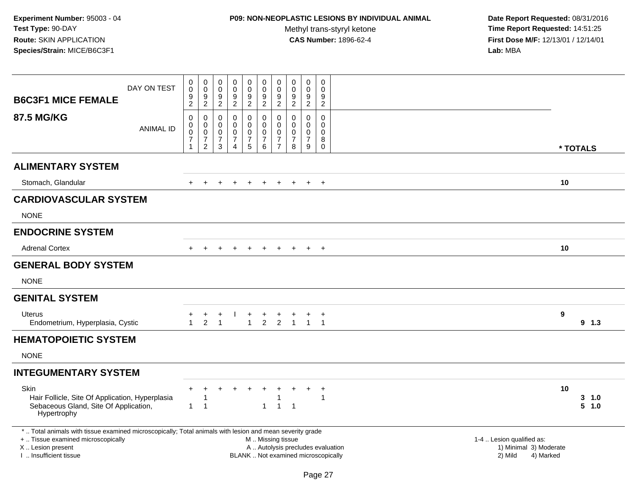# **P09: NON-NEOPLASTIC LESIONS BY INDIVIDUAL ANIMAL**

Methyl trans-styryl ketone<br>CAS Number: 1896-62-4

| <b>B6C3F1 MICE FEMALE</b>                                                                                                                                                                     | DAY ON TEST      | $\mathbf 0$<br>$\mathsf{O}\xspace$<br>$\boldsymbol{9}$<br>$\overline{2}$ | $\pmb{0}$<br>$\mathbf 0$<br>9<br>$\overline{c}$                 | $\mathbf 0$<br>$\mathbf 0$<br>9<br>$\boldsymbol{2}$               | $\pmb{0}$<br>$\mathbf 0$<br>9<br>$\overline{c}$                       | 0<br>$\mathbf 0$<br>$\overline{9}$<br>$\overline{a}$   | $\pmb{0}$<br>$\mathbf 0$<br>$\overline{9}$<br>$\overline{2}$     | $\pmb{0}$<br>$\pmb{0}$<br>9<br>$\overline{2}$                            | $\pmb{0}$<br>$\pmb{0}$<br>9<br>$\boldsymbol{2}$        | $\pmb{0}$<br>$\mathbf 0$<br>9<br>$\overline{c}$               | $\mathbf 0$<br>$\mathbf 0$<br>9<br>$\overline{c}$                  |                                                                                                                  |          |                    |
|-----------------------------------------------------------------------------------------------------------------------------------------------------------------------------------------------|------------------|--------------------------------------------------------------------------|-----------------------------------------------------------------|-------------------------------------------------------------------|-----------------------------------------------------------------------|--------------------------------------------------------|------------------------------------------------------------------|--------------------------------------------------------------------------|--------------------------------------------------------|---------------------------------------------------------------|--------------------------------------------------------------------|------------------------------------------------------------------------------------------------------------------|----------|--------------------|
| <b>87.5 MG/KG</b>                                                                                                                                                                             | <b>ANIMAL ID</b> | $\mathbf 0$<br>0<br>$\pmb{0}$<br>$\overline{7}$<br>1                     | $\mathbf 0$<br>0<br>$\mathbf 0$<br>$\overline{7}$<br>$\sqrt{2}$ | $\mathbf 0$<br>0<br>$\mathbf 0$<br>$\overline{7}$<br>$\mathbf{3}$ | 0<br>$\mathbf 0$<br>$\mathbf 0$<br>$\boldsymbol{7}$<br>$\overline{4}$ | 0<br>$\mathbf 0$<br>$\mathbf 0$<br>$\overline{7}$<br>5 | $\mathbf 0$<br>0<br>$\mathsf{O}\xspace$<br>$\boldsymbol{7}$<br>6 | $\Omega$<br>$\mathbf 0$<br>$\pmb{0}$<br>$\overline{7}$<br>$\overline{7}$ | $\mathbf 0$<br>$\mathbf 0$<br>0<br>$\overline{7}$<br>8 | $\Omega$<br>$\mathbf 0$<br>$\mathbf 0$<br>$\overline{7}$<br>9 | $\mathbf 0$<br>$\mathbf 0$<br>$\mathbf 0$<br>$\, 8$<br>$\mathbf 0$ |                                                                                                                  | * TOTALS |                    |
| <b>ALIMENTARY SYSTEM</b>                                                                                                                                                                      |                  |                                                                          |                                                                 |                                                                   |                                                                       |                                                        |                                                                  |                                                                          |                                                        |                                                               |                                                                    |                                                                                                                  |          |                    |
| Stomach, Glandular                                                                                                                                                                            |                  |                                                                          |                                                                 |                                                                   |                                                                       |                                                        | $\div$                                                           |                                                                          |                                                        | $\pm$                                                         | $+$                                                                |                                                                                                                  | 10       |                    |
| <b>CARDIOVASCULAR SYSTEM</b>                                                                                                                                                                  |                  |                                                                          |                                                                 |                                                                   |                                                                       |                                                        |                                                                  |                                                                          |                                                        |                                                               |                                                                    |                                                                                                                  |          |                    |
| <b>NONE</b>                                                                                                                                                                                   |                  |                                                                          |                                                                 |                                                                   |                                                                       |                                                        |                                                                  |                                                                          |                                                        |                                                               |                                                                    |                                                                                                                  |          |                    |
| <b>ENDOCRINE SYSTEM</b>                                                                                                                                                                       |                  |                                                                          |                                                                 |                                                                   |                                                                       |                                                        |                                                                  |                                                                          |                                                        |                                                               |                                                                    |                                                                                                                  |          |                    |
| <b>Adrenal Cortex</b>                                                                                                                                                                         |                  | $+$                                                                      |                                                                 |                                                                   |                                                                       | $\div$                                                 | $+$                                                              | $+$                                                                      | $+$                                                    | $+$                                                           | $+$                                                                |                                                                                                                  | 10       |                    |
| <b>GENERAL BODY SYSTEM</b>                                                                                                                                                                    |                  |                                                                          |                                                                 |                                                                   |                                                                       |                                                        |                                                                  |                                                                          |                                                        |                                                               |                                                                    |                                                                                                                  |          |                    |
| <b>NONE</b>                                                                                                                                                                                   |                  |                                                                          |                                                                 |                                                                   |                                                                       |                                                        |                                                                  |                                                                          |                                                        |                                                               |                                                                    |                                                                                                                  |          |                    |
| <b>GENITAL SYSTEM</b>                                                                                                                                                                         |                  |                                                                          |                                                                 |                                                                   |                                                                       |                                                        |                                                                  |                                                                          |                                                        |                                                               |                                                                    |                                                                                                                  |          |                    |
| Uterus<br>Endometrium, Hyperplasia, Cystic                                                                                                                                                    |                  | $\ddot{}$<br>$\mathbf{1}$                                                | $\ddot{}$<br>$\overline{2}$                                     | $\ddot{}$<br>$\overline{1}$                                       |                                                                       | $\ddot{}$<br>$\mathbf{1}$                              | $+$<br>$\overline{2}$                                            | $\overline{2}$                                                           | $\overline{1}$                                         | $\overline{1}$                                                | $^{+}$<br>$\overline{1}$                                           |                                                                                                                  | 9        | $9$ 1.3            |
| <b>HEMATOPOIETIC SYSTEM</b>                                                                                                                                                                   |                  |                                                                          |                                                                 |                                                                   |                                                                       |                                                        |                                                                  |                                                                          |                                                        |                                                               |                                                                    |                                                                                                                  |          |                    |
| <b>NONE</b>                                                                                                                                                                                   |                  |                                                                          |                                                                 |                                                                   |                                                                       |                                                        |                                                                  |                                                                          |                                                        |                                                               |                                                                    |                                                                                                                  |          |                    |
| <b>INTEGUMENTARY SYSTEM</b>                                                                                                                                                                   |                  |                                                                          |                                                                 |                                                                   |                                                                       |                                                        |                                                                  |                                                                          |                                                        |                                                               |                                                                    |                                                                                                                  |          |                    |
| Skin<br>Hair Follicle, Site Of Application, Hyperplasia<br>Sebaceous Gland, Site Of Application,<br>Hypertrophy                                                                               |                  | $\pm$<br>$\mathbf{1}$                                                    | $\mathbf{1}$<br>$\overline{1}$                                  |                                                                   |                                                                       |                                                        | $\mathbf{1}$                                                     | -1<br>$\overline{1}$                                                     | $\overline{1}$                                         |                                                               | $\ddot{}$<br>$\mathbf{1}$                                          |                                                                                                                  | 10       | $3 \t1.0$<br>5 1.0 |
| *  Total animals with tissue examined microscopically; Total animals with lesion and mean severity grade<br>+  Tissue examined microscopically<br>X  Lesion present<br>I. Insufficient tissue |                  |                                                                          |                                                                 |                                                                   |                                                                       |                                                        | M  Missing tissue                                                |                                                                          |                                                        |                                                               | BLANK  Not examined microscopically                                | 1-4  Lesion qualified as:<br>A  Autolysis precludes evaluation<br>1) Minimal 3) Moderate<br>2) Mild<br>4) Marked |          |                    |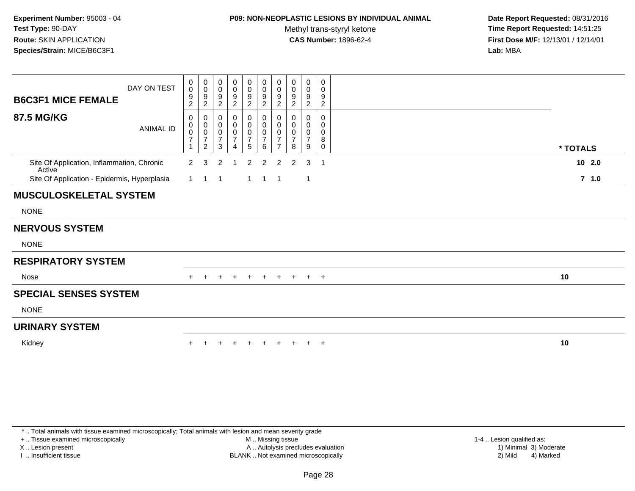### **P09: NON-NEOPLASTIC LESIONS BY INDIVIDUAL ANIMAL**

Methyl trans-styryl ketone<br>CAS Number: 1896-62-4

 **Date Report Requested:** 08/31/2016 **Time Report Requested:** 14:51:25 **First Dose M/F:** 12/13/01 / 12/14/01<br>**Lab:** MBA **Lab:** MBA

| <b>B6C3F1 MICE FEMALE</b>                              | DAY ON TEST      | $_0^0$<br>$\frac{9}{2}$                              | $_{\rm 0}^{\rm 0}$<br>$\frac{9}{2}$                                       | 0<br>$\ddot{\mathbf{0}}$<br>$\frac{9}{2}$                     | 0<br>$\pmb{0}$<br>$\boldsymbol{9}$<br>$\overline{2}$                     | 0<br>$\pmb{0}$<br>$\frac{9}{2}$      | 0<br>$\mathbf 0$<br>$\frac{9}{2}$                      | 0<br>0<br>9<br>$\overline{2}$                   | 0<br>0<br>9<br>$\overline{2}$      | 0<br>$\pmb{0}$<br>$\boldsymbol{9}$<br>$\overline{2}$ | $\mathbf 0$<br>$\mathbf 0$<br>9<br>$\overline{2}$          |          |
|--------------------------------------------------------|------------------|------------------------------------------------------|---------------------------------------------------------------------------|---------------------------------------------------------------|--------------------------------------------------------------------------|--------------------------------------|--------------------------------------------------------|-------------------------------------------------|------------------------------------|------------------------------------------------------|------------------------------------------------------------|----------|
| <b>87.5 MG/KG</b>                                      | <b>ANIMAL ID</b> | 0<br>$\pmb{0}$<br>$\mathbf 0$<br>$\overline{7}$<br>1 | $\mathbf 0$<br>$\pmb{0}$<br>$\pmb{0}$<br>$\overline{7}$<br>$\overline{c}$ | 0<br>$\boldsymbol{0}$<br>$\mathbf 0$<br>$\boldsymbol{7}$<br>3 | 0<br>$\pmb{0}$<br>$\begin{smallmatrix}0\\7\end{smallmatrix}$<br>$\Delta$ | 0<br>$\pmb{0}$<br>$\frac{0}{7}$<br>5 | 0<br>$\mathbf 0$<br>$\mathbf 0$<br>$\overline{7}$<br>6 | 0<br>0<br>0<br>$\overline{7}$<br>$\overline{ }$ | 0<br>0<br>0<br>$\overline{7}$<br>8 | $\Omega$<br>0<br>0<br>$\overline{7}$<br>9            | $\Omega$<br>$\mathbf 0$<br>$\mathbf 0$<br>8<br>$\mathbf 0$ | * TOTALS |
| Site Of Application, Inflammation, Chronic             |                  | $\overline{2}$                                       | 3                                                                         | 2                                                             |                                                                          | 2                                    | 2                                                      | $\overline{2}$                                  | $\overline{2}$                     | 3                                                    | -1                                                         | 102.0    |
| Active<br>Site Of Application - Epidermis, Hyperplasia |                  |                                                      | $1 \quad 1 \quad 1$                                                       |                                                               |                                                                          |                                      | $1 \quad 1$                                            | $\overline{1}$                                  |                                    | $\mathbf{1}$                                         |                                                            | $7 1.0$  |
| <b>MUSCULOSKELETAL SYSTEM</b>                          |                  |                                                      |                                                                           |                                                               |                                                                          |                                      |                                                        |                                                 |                                    |                                                      |                                                            |          |
| <b>NONE</b>                                            |                  |                                                      |                                                                           |                                                               |                                                                          |                                      |                                                        |                                                 |                                    |                                                      |                                                            |          |
| <b>NERVOUS SYSTEM</b>                                  |                  |                                                      |                                                                           |                                                               |                                                                          |                                      |                                                        |                                                 |                                    |                                                      |                                                            |          |
| <b>NONE</b>                                            |                  |                                                      |                                                                           |                                                               |                                                                          |                                      |                                                        |                                                 |                                    |                                                      |                                                            |          |
| <b>RESPIRATORY SYSTEM</b>                              |                  |                                                      |                                                                           |                                                               |                                                                          |                                      |                                                        |                                                 |                                    |                                                      |                                                            |          |
| Nose                                                   |                  | $+$                                                  | $+$                                                                       | $+$                                                           | $+$                                                                      | $+$                                  | + + + + +                                              |                                                 |                                    |                                                      |                                                            | 10       |
| <b>SPECIAL SENSES SYSTEM</b>                           |                  |                                                      |                                                                           |                                                               |                                                                          |                                      |                                                        |                                                 |                                    |                                                      |                                                            |          |
| <b>NONE</b>                                            |                  |                                                      |                                                                           |                                                               |                                                                          |                                      |                                                        |                                                 |                                    |                                                      |                                                            |          |
| <b>URINARY SYSTEM</b>                                  |                  |                                                      |                                                                           |                                                               |                                                                          |                                      |                                                        |                                                 |                                    |                                                      |                                                            |          |
| Kidney                                                 |                  |                                                      |                                                                           |                                                               |                                                                          |                                      |                                                        |                                                 |                                    |                                                      | $\overline{+}$                                             | 10       |

\* .. Total animals with tissue examined microscopically; Total animals with lesion and mean severity grade

+ .. Tissue examined microscopically

X .. Lesion present

I .. Insufficient tissue

 M .. Missing tissueA .. Autolysis precludes evaluation

BLANK .. Not examined microscopically 2) Mild 4) Marked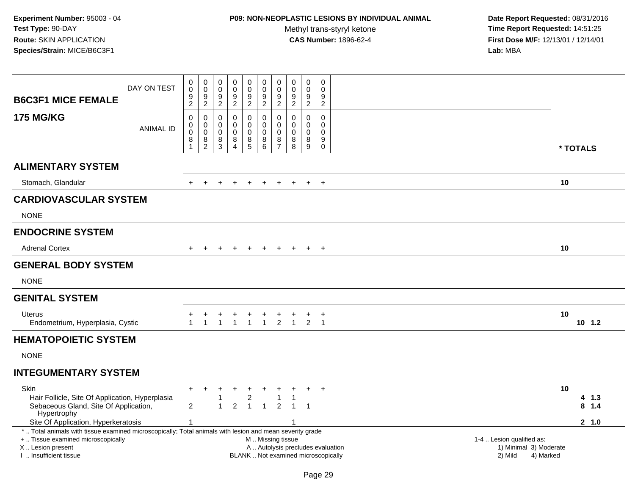# **P09: NON-NEOPLASTIC LESIONS BY INDIVIDUAL ANIMAL**

Methyl trans-styryl ketone<br>CAS Number: 1896-62-4

|                                                                                                          | DAY ON TEST      | 0<br>$\mathbf 0$    | $\mathbf 0$<br>$\overline{0}$ | 0<br>$\mathbf 0$           | 0<br>0           | 0<br>$\overline{0}$        | $\pmb{0}$<br>$\mathsf{O}\xspace$    | $\mathbf 0$<br>$\ddot{\mathbf{0}}$ | $\mathbf 0$<br>$\mathbf 0$ | $\mathbf 0$<br>$\mathbf 0$         | $\mathbf 0$<br>$\mathbf 0$         |                           |
|----------------------------------------------------------------------------------------------------------|------------------|---------------------|-------------------------------|----------------------------|------------------|----------------------------|-------------------------------------|------------------------------------|----------------------------|------------------------------------|------------------------------------|---------------------------|
| <b>B6C3F1 MICE FEMALE</b>                                                                                |                  | 9<br>$\overline{2}$ | $\frac{9}{2}$                 | 9<br>$\overline{2}$        | $\frac{9}{2}$    | 9<br>$\overline{2}$        | $\frac{9}{2}$                       | $\frac{9}{2}$                      | $\frac{9}{2}$              | $\boldsymbol{9}$<br>$\overline{2}$ | $\boldsymbol{9}$<br>$\overline{2}$ |                           |
| <b>175 MG/KG</b>                                                                                         |                  | 0                   | $\pmb{0}$                     | $\Omega$                   | 0                | 0                          | $\mathbf 0$                         | $\mathbf{0}$                       | $\mathbf 0$                | $\mathbf{0}$                       | $\pmb{0}$                          |                           |
|                                                                                                          | <b>ANIMAL ID</b> | 0<br>$\mathbf 0$    | $\mathbf 0$<br>$\overline{0}$ | $\mathbf 0$<br>$\mathbf 0$ | 0<br>$\mathbf 0$ | $\mathbf 0$<br>$\mathbf 0$ | 0<br>$\mathbf 0$                    | $\mathbf 0$<br>$\mathbf 0$         | 0<br>$\mathbf 0$           | $\Omega$<br>$\mathbf 0$            | $\Omega$<br>$\mathbf 0$            |                           |
|                                                                                                          |                  | 8                   | $\frac{8}{2}$                 | 8                          | 8                | 8                          | 8                                   | $\frac{8}{7}$                      | 8                          | 8                                  | $\boldsymbol{9}$                   |                           |
|                                                                                                          |                  | $\overline{1}$      |                               | 3                          | $\overline{4}$   | $\overline{5}$             | $6\overline{6}$                     |                                    | 8                          | 9                                  | $\boldsymbol{0}$                   | * TOTALS                  |
| <b>ALIMENTARY SYSTEM</b>                                                                                 |                  |                     |                               |                            |                  |                            |                                     |                                    |                            |                                    |                                    |                           |
| Stomach, Glandular                                                                                       |                  |                     |                               |                            |                  |                            |                                     |                                    |                            |                                    | $+$                                | 10                        |
| <b>CARDIOVASCULAR SYSTEM</b>                                                                             |                  |                     |                               |                            |                  |                            |                                     |                                    |                            |                                    |                                    |                           |
| <b>NONE</b>                                                                                              |                  |                     |                               |                            |                  |                            |                                     |                                    |                            |                                    |                                    |                           |
| <b>ENDOCRINE SYSTEM</b>                                                                                  |                  |                     |                               |                            |                  |                            |                                     |                                    |                            |                                    |                                    |                           |
| <b>Adrenal Cortex</b>                                                                                    |                  |                     |                               |                            |                  | $\ddot{}$                  | $+$                                 | $+$                                | $+$                        | $+$                                | $+$                                | 10                        |
| <b>GENERAL BODY SYSTEM</b>                                                                               |                  |                     |                               |                            |                  |                            |                                     |                                    |                            |                                    |                                    |                           |
| <b>NONE</b>                                                                                              |                  |                     |                               |                            |                  |                            |                                     |                                    |                            |                                    |                                    |                           |
| <b>GENITAL SYSTEM</b>                                                                                    |                  |                     |                               |                            |                  |                            |                                     |                                    |                            |                                    |                                    |                           |
| <b>Uterus</b>                                                                                            |                  | +                   |                               |                            |                  | $\ddot{}$                  | $\ddot{}$                           |                                    |                            |                                    | $\overline{+}$                     | 10                        |
| Endometrium, Hyperplasia, Cystic                                                                         |                  | $\mathbf{1}$        |                               |                            |                  | $\mathbf{1}$               | $\mathbf{1}$                        | $\overline{2}$                     | $\mathbf{1}$               | 2                                  | $\overline{1}$                     | $10$ 1.2                  |
| <b>HEMATOPOIETIC SYSTEM</b>                                                                              |                  |                     |                               |                            |                  |                            |                                     |                                    |                            |                                    |                                    |                           |
| <b>NONE</b>                                                                                              |                  |                     |                               |                            |                  |                            |                                     |                                    |                            |                                    |                                    |                           |
| <b>INTEGUMENTARY SYSTEM</b>                                                                              |                  |                     |                               |                            |                  |                            |                                     |                                    |                            |                                    |                                    |                           |
| <b>Skin</b>                                                                                              |                  |                     |                               |                            |                  |                            |                                     |                                    |                            |                                    | $+$                                | 10                        |
| Hair Follicle, Site Of Application, Hyperplasia                                                          |                  |                     |                               |                            |                  | $\overline{c}$             |                                     | -1                                 | 1                          |                                    |                                    | 4 1.3                     |
| Sebaceous Gland, Site Of Application,<br>Hypertrophy                                                     |                  | $\overline{2}$      |                               |                            | 2                | $\mathbf{1}$               | $\mathbf{1}$                        | $\overline{2}$                     | $\overline{1}$             | $\overline{1}$                     |                                    | $8 \t1.4$                 |
| Site Of Application, Hyperkeratosis                                                                      |                  |                     |                               |                            |                  |                            |                                     |                                    |                            |                                    |                                    | 2, 1.0                    |
| *  Total animals with tissue examined microscopically; Total animals with lesion and mean severity grade |                  |                     |                               |                            |                  |                            |                                     |                                    |                            |                                    |                                    |                           |
| +  Tissue examined microscopically                                                                       |                  |                     |                               |                            |                  |                            | M  Missing tissue                   |                                    |                            |                                    |                                    | 1-4  Lesion qualified as: |
| X  Lesion present                                                                                        |                  |                     |                               |                            |                  |                            | A  Autolysis precludes evaluation   |                                    |                            |                                    |                                    | 1) Minimal 3) Moderate    |
| I. Insufficient tissue                                                                                   |                  |                     |                               |                            |                  |                            | BLANK  Not examined microscopically |                                    |                            |                                    |                                    | 2) Mild<br>4) Marked      |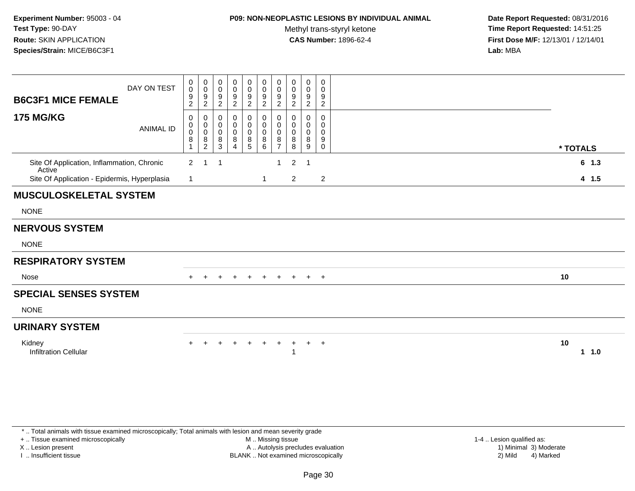### **P09: NON-NEOPLASTIC LESIONS BY INDIVIDUAL ANIMAL**

Methyl trans-styryl ketone<br>CAS Number: 1896-62-4

 **Date Report Requested:** 08/31/2016 **Time Report Requested:** 14:51:25 **First Dose M/F:** 12/13/01 / 12/14/01<br>**Lab:** MBA **Lab:** MBA

| <b>B6C3F1 MICE FEMALE</b>                              | DAY ON TEST      | 0<br>$\boldsymbol{0}$<br>$\boldsymbol{9}$<br>$\overline{c}$ | 0<br>$\mathbf 0$<br>$\boldsymbol{9}$<br>$\overline{c}$ | 0<br>0<br>9<br>$\overline{2}$                      | 0<br>$\mathbf 0$<br>$\boldsymbol{9}$<br>$\overline{c}$ | 0<br>$\pmb{0}$<br>$\boldsymbol{9}$<br>$\boldsymbol{2}$               | 0<br>$\mathbf 0$<br>9<br>$\overline{c}$ | 0<br>$\mathbf 0$<br>9<br>$\overline{2}$      | 0<br>0<br>9<br>$\overline{c}$ | 0<br>$\mathbf 0$<br>9<br>$\overline{2}$ | $\mathbf 0$<br>$\mathbf 0$<br>9<br>$\overline{2}$ |            |
|--------------------------------------------------------|------------------|-------------------------------------------------------------|--------------------------------------------------------|----------------------------------------------------|--------------------------------------------------------|----------------------------------------------------------------------|-----------------------------------------|----------------------------------------------|-------------------------------|-----------------------------------------|---------------------------------------------------|------------|
| <b>175 MG/KG</b>                                       | <b>ANIMAL ID</b> | 0<br>0<br>$\pmb{0}$<br>8                                    | 0<br>$\pmb{0}$<br>$\frac{0}{8}$<br>$\overline{2}$      | 0<br>0<br>$\mathsf{O}\xspace$<br>8<br>$\mathbf{3}$ | 0<br>$\pmb{0}$<br>$\pmb{0}$<br>8<br>$\overline{4}$     | 0<br>$\pmb{0}$<br>$\pmb{0}$<br>$\begin{array}{c} 8 \\ 5 \end{array}$ | 0<br>0<br>0<br>8<br>6                   | 0<br>0<br>$\mathbf 0$<br>8<br>$\overline{7}$ | 0<br>0<br>0<br>8<br>8         | 0<br>0<br>0<br>8<br>9                   | 0<br>0<br>$\mathbf 0$<br>9<br>$\mathbf 0$         | * TOTALS   |
| Site Of Application, Inflammation, Chronic             |                  | $\overline{2}$                                              | -1                                                     | -1                                                 |                                                        |                                                                      |                                         | -1                                           | $\overline{2}$                |                                         |                                                   | $6$ 1.3    |
| Active<br>Site Of Application - Epidermis, Hyperplasia |                  | $\mathbf 1$                                                 |                                                        |                                                    |                                                        |                                                                      | $\mathbf{1}$                            |                                              | $\overline{2}$                |                                         | $\overline{2}$                                    | 4 1.5      |
| <b>MUSCULOSKELETAL SYSTEM</b>                          |                  |                                                             |                                                        |                                                    |                                                        |                                                                      |                                         |                                              |                               |                                         |                                                   |            |
| <b>NONE</b>                                            |                  |                                                             |                                                        |                                                    |                                                        |                                                                      |                                         |                                              |                               |                                         |                                                   |            |
| <b>NERVOUS SYSTEM</b>                                  |                  |                                                             |                                                        |                                                    |                                                        |                                                                      |                                         |                                              |                               |                                         |                                                   |            |
| <b>NONE</b>                                            |                  |                                                             |                                                        |                                                    |                                                        |                                                                      |                                         |                                              |                               |                                         |                                                   |            |
| <b>RESPIRATORY SYSTEM</b>                              |                  |                                                             |                                                        |                                                    |                                                        |                                                                      |                                         |                                              |                               |                                         |                                                   |            |
| Nose                                                   |                  | $+$                                                         | $\ddot{}$                                              | $+$                                                | $+$                                                    | $+$                                                                  | $+$                                     | $+$                                          |                               | $+ + +$                                 |                                                   | 10         |
| <b>SPECIAL SENSES SYSTEM</b>                           |                  |                                                             |                                                        |                                                    |                                                        |                                                                      |                                         |                                              |                               |                                         |                                                   |            |
| <b>NONE</b>                                            |                  |                                                             |                                                        |                                                    |                                                        |                                                                      |                                         |                                              |                               |                                         |                                                   |            |
| <b>URINARY SYSTEM</b>                                  |                  |                                                             |                                                        |                                                    |                                                        |                                                                      |                                         |                                              |                               |                                         |                                                   |            |
| Kidney<br><b>Infiltration Cellular</b>                 |                  |                                                             |                                                        | $+$                                                | $+$                                                    | $+$                                                                  | $+$                                     | $\ddotmark$                                  | $+$                           | $+$                                     | $+$                                               | 10<br>11.0 |

+ .. Tissue examined microscopically

X .. Lesion present

I .. Insufficient tissue

 M .. Missing tissueA .. Autolysis precludes evaluation

BLANK .. Not examined microscopically 2) Mild 4) Marked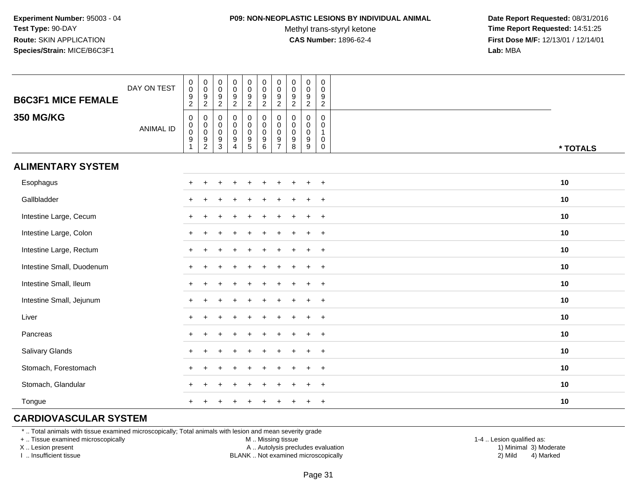#### **P09: NON-NEOPLASTIC LESIONS BY INDIVIDUAL ANIMAL**

Methyl trans-styryl ketone<br>CAS Number: 1896-62-4

 **Date Report Requested:** 08/31/2016 **Time Report Requested:** 14:51:25 **First Dose M/F:** 12/13/01 / 12/14/01<br>**Lab:** MBA **Lab:** MBA

| <b>B6C3F1 MICE FEMALE</b> | DAY ON TEST      | $\begin{smallmatrix} 0\\0 \end{smallmatrix}$<br>$\frac{9}{2}$                  | $\pmb{0}$<br>$\pmb{0}$<br>$\frac{9}{2}$                      | $\boldsymbol{0}$<br>$\mathsf{O}\xspace$<br>$\frac{9}{2}$   | $\pmb{0}$<br>$\mathbf 0$<br>$\frac{9}{2}$                                   | $\pmb{0}$<br>$\mathbf 0$<br>$\frac{9}{2}$    | $\begin{smallmatrix} 0\\0 \end{smallmatrix}$<br>$\frac{9}{2}$ | $\mathbf 0$<br>$\pmb{0}$<br>$\boldsymbol{9}$<br>$\overline{2}$        | $\pmb{0}$<br>$\pmb{0}$<br>9<br>$\overline{2}$       | $\begin{smallmatrix} 0\\0 \end{smallmatrix}$<br>$\frac{9}{2}$  | $\pmb{0}$<br>$\mathsf 0$<br>9<br>$\overline{2}$        |          |
|---------------------------|------------------|--------------------------------------------------------------------------------|--------------------------------------------------------------|------------------------------------------------------------|-----------------------------------------------------------------------------|----------------------------------------------|---------------------------------------------------------------|-----------------------------------------------------------------------|-----------------------------------------------------|----------------------------------------------------------------|--------------------------------------------------------|----------|
| <b>350 MG/KG</b>          | <b>ANIMAL ID</b> | $\mathbf 0$<br>$\begin{smallmatrix}0\0\0\9\end{smallmatrix}$<br>$\overline{1}$ | $\pmb{0}$<br>$\begin{array}{c} 0 \\ 0 \\ 9 \\ 2 \end{array}$ | $\mathbf 0$<br>$\mathbf 0$<br>$\mathbf 0$<br>$\frac{9}{3}$ | $\pmb{0}$<br>$\mathbf 0$<br>$\pmb{0}$<br>$\boldsymbol{9}$<br>$\overline{4}$ | 0<br>$\pmb{0}$<br>$\pmb{0}$<br>$\frac{9}{5}$ | $\pmb{0}$<br>$\pmb{0}$<br>$\mathsf 0$<br>$\frac{9}{6}$        | $\mathbf 0$<br>$\mathbf 0$<br>0<br>$\boldsymbol{9}$<br>$\overline{7}$ | $\Omega$<br>0<br>$\pmb{0}$<br>$\boldsymbol{9}$<br>8 | $\mathbf 0$<br>$\pmb{0}$<br>$\pmb{0}$<br>$\boldsymbol{9}$<br>9 | $\mathbf 0$<br>0<br>$\overline{1}$<br>0<br>$\mathbf 0$ | * TOTALS |
| <b>ALIMENTARY SYSTEM</b>  |                  |                                                                                |                                                              |                                                            |                                                                             |                                              |                                                               |                                                                       |                                                     |                                                                |                                                        |          |
| Esophagus                 |                  |                                                                                |                                                              |                                                            |                                                                             | $\div$                                       |                                                               |                                                                       |                                                     |                                                                | $\overline{+}$                                         | 10       |
| Gallbladder               |                  | $+$                                                                            |                                                              |                                                            |                                                                             |                                              |                                                               |                                                                       |                                                     |                                                                | $+$                                                    | 10       |
| Intestine Large, Cecum    |                  | $+$                                                                            |                                                              |                                                            |                                                                             |                                              |                                                               |                                                                       |                                                     |                                                                | $+$                                                    | 10       |
| Intestine Large, Colon    |                  | $+$                                                                            |                                                              |                                                            |                                                                             |                                              |                                                               |                                                                       |                                                     |                                                                | $+$                                                    | 10       |
| Intestine Large, Rectum   |                  |                                                                                |                                                              |                                                            |                                                                             |                                              |                                                               |                                                                       |                                                     |                                                                | $+$                                                    | 10       |
| Intestine Small, Duodenum |                  |                                                                                |                                                              |                                                            |                                                                             |                                              |                                                               |                                                                       |                                                     |                                                                | $+$                                                    | 10       |
| Intestine Small, Ileum    |                  |                                                                                |                                                              |                                                            |                                                                             |                                              |                                                               |                                                                       |                                                     |                                                                | $+$                                                    | 10       |
| Intestine Small, Jejunum  |                  | $+$                                                                            |                                                              |                                                            |                                                                             |                                              |                                                               |                                                                       |                                                     |                                                                | $+$                                                    | 10       |
| Liver                     |                  | $+$                                                                            | $\ddot{}$                                                    |                                                            |                                                                             | $\ddot{}$                                    |                                                               | $\ddot{}$                                                             |                                                     | $\ddot{}$                                                      | $+$                                                    | 10       |
| Pancreas                  |                  | $+$                                                                            | $\div$                                                       |                                                            |                                                                             |                                              |                                                               |                                                                       |                                                     | $\ddot{}$                                                      | $+$                                                    | 10       |
| Salivary Glands           |                  | $\ddot{}$                                                                      |                                                              |                                                            |                                                                             |                                              |                                                               |                                                                       |                                                     |                                                                | $+$                                                    | 10       |
| Stomach, Forestomach      |                  |                                                                                |                                                              |                                                            |                                                                             |                                              |                                                               |                                                                       |                                                     |                                                                | $\ddot{}$                                              | 10       |
| Stomach, Glandular        |                  |                                                                                |                                                              |                                                            |                                                                             |                                              |                                                               |                                                                       |                                                     |                                                                | $+$                                                    | 10       |
| Tongue                    |                  | $\pm$                                                                          |                                                              |                                                            |                                                                             |                                              |                                                               |                                                                       |                                                     |                                                                | $\overline{+}$                                         | 10       |

# **CARDIOVASCULAR SYSTEM**

\* .. Total animals with tissue examined microscopically; Total animals with lesion and mean severity grade

+ .. Tissue examined microscopically

X .. Lesion present

I .. Insufficient tissue

M .. Missing tissue

A .. Autolysis precludes evaluation

BLANK .. Not examined microscopically 2) Mild 4) Marked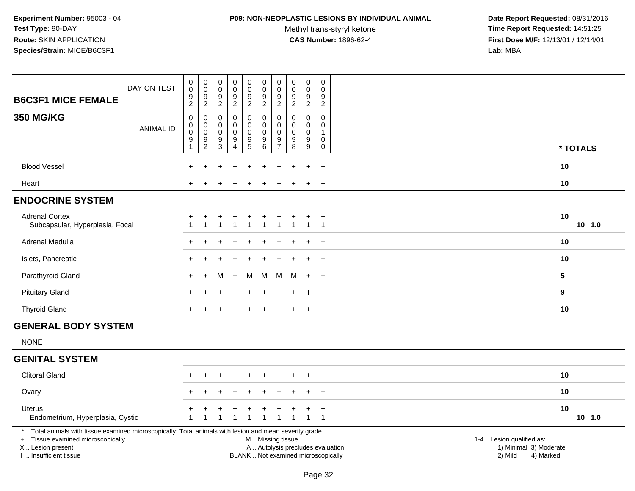### **P09: NON-NEOPLASTIC LESIONS BY INDIVIDUAL ANIMAL**

Methyl trans-styryl ketone<br>CAS Number: 1896-62-4

| DAY ON TEST<br><b>B6C3F1 MICE FEMALE</b>                                                                                                                                                      | $\mathbf 0$<br>$\mathbf 0$<br>$\boldsymbol{9}$<br>2        | $\pmb{0}$<br>$\,0\,$<br>$\boldsymbol{9}$<br>$\overline{2}$                                | 0<br>0<br>$\boldsymbol{9}$<br>$\overline{2}$   | $\mathsf{O}\xspace$<br>$\ddot{\mathbf{0}}$<br>$\boldsymbol{9}$<br>$\overline{2}$ | $\mathsf 0$<br>$\ddot{\mathbf{0}}$<br>$\frac{9}{2}$                      | $\pmb{0}$<br>$\pmb{0}$<br>$\boldsymbol{9}$<br>$\overline{2}$         | $\boldsymbol{0}$<br>$\mathbf 0$<br>$\boldsymbol{9}$<br>2              | $\pmb{0}$<br>$\mathbf 0$<br>$\boldsymbol{9}$<br>$\overline{2}$      | $\pmb{0}$<br>$\mathbf 0$<br>$\boldsymbol{9}$<br>$\overline{2}$ | $\pmb{0}$<br>$\mathbf 0$<br>$\boldsymbol{9}$<br>$\overline{2}$ |                                                                                                                                                         |          |
|-----------------------------------------------------------------------------------------------------------------------------------------------------------------------------------------------|------------------------------------------------------------|-------------------------------------------------------------------------------------------|------------------------------------------------|----------------------------------------------------------------------------------|--------------------------------------------------------------------------|----------------------------------------------------------------------|-----------------------------------------------------------------------|---------------------------------------------------------------------|----------------------------------------------------------------|----------------------------------------------------------------|---------------------------------------------------------------------------------------------------------------------------------------------------------|----------|
| <b>350 MG/KG</b><br><b>ANIMAL ID</b>                                                                                                                                                          | $\boldsymbol{0}$<br>$\pmb{0}$<br>$\mathbf 0$<br>$9\,$<br>1 | $\mathbf 0$<br>$\boldsymbol{0}$<br>$\boldsymbol{0}$<br>$\boldsymbol{9}$<br>$\overline{c}$ | 0<br>0<br>$\mathsf 0$<br>$\boldsymbol{9}$<br>3 | 0<br>0<br>$\mathsf{O}\xspace$<br>$9\,$<br>$\overline{4}$                         | $\pmb{0}$<br>$\mathsf{O}\xspace$<br>$\mathsf{O}\xspace$<br>$\frac{9}{5}$ | $\mathbf 0$<br>$\pmb{0}$<br>$\pmb{0}$<br>$\boldsymbol{9}$<br>$\,6\,$ | 0<br>$\mathbf 0$<br>$\mathbf 0$<br>$\boldsymbol{9}$<br>$\overline{7}$ | $\mathbf 0$<br>$\mathbf{0}$<br>$\mathbf 0$<br>$\boldsymbol{9}$<br>8 | $\mathbf 0$<br>0<br>$\mathbf 0$<br>$\boldsymbol{9}$<br>9       | $\mathbf 0$<br>$\pmb{0}$<br>$\mathbf{1}$<br>0<br>$\mathbf 0$   | * TOTALS                                                                                                                                                |          |
| <b>Blood Vessel</b>                                                                                                                                                                           |                                                            |                                                                                           |                                                |                                                                                  |                                                                          |                                                                      |                                                                       |                                                                     |                                                                | $\overline{+}$                                                 | 10                                                                                                                                                      |          |
| Heart                                                                                                                                                                                         |                                                            |                                                                                           |                                                |                                                                                  |                                                                          |                                                                      |                                                                       |                                                                     |                                                                | $\overline{+}$                                                 | 10                                                                                                                                                      |          |
| <b>ENDOCRINE SYSTEM</b>                                                                                                                                                                       |                                                            |                                                                                           |                                                |                                                                                  |                                                                          |                                                                      |                                                                       |                                                                     |                                                                |                                                                |                                                                                                                                                         |          |
| <b>Adrenal Cortex</b><br>Subcapsular, Hyperplasia, Focal                                                                                                                                      |                                                            | $\mathbf{1}$                                                                              |                                                | $\overline{1}$                                                                   | $\overline{1}$                                                           | $\overline{1}$                                                       | $\overline{1}$                                                        | $\overline{1}$                                                      | $\mathbf{1}$                                                   | $\overline{+}$<br>$\overline{1}$                               | 10                                                                                                                                                      | $10$ 1.0 |
| Adrenal Medulla                                                                                                                                                                               |                                                            |                                                                                           |                                                |                                                                                  |                                                                          |                                                                      |                                                                       |                                                                     |                                                                |                                                                | 10                                                                                                                                                      |          |
| Islets, Pancreatic                                                                                                                                                                            |                                                            |                                                                                           |                                                |                                                                                  |                                                                          |                                                                      |                                                                       |                                                                     |                                                                | $\ddot{}$                                                      | 10                                                                                                                                                      |          |
| Parathyroid Gland                                                                                                                                                                             |                                                            | $+$                                                                                       | м                                              | $+$                                                                              | M                                                                        | M                                                                    | М                                                                     | M                                                                   | $+$                                                            | $+$                                                            | 5                                                                                                                                                       |          |
| <b>Pituitary Gland</b>                                                                                                                                                                        |                                                            |                                                                                           |                                                |                                                                                  |                                                                          |                                                                      |                                                                       |                                                                     |                                                                | $+$                                                            | $\boldsymbol{9}$                                                                                                                                        |          |
| <b>Thyroid Gland</b>                                                                                                                                                                          |                                                            |                                                                                           |                                                |                                                                                  |                                                                          |                                                                      |                                                                       |                                                                     | $\ddot{}$                                                      | $^{+}$                                                         | 10                                                                                                                                                      |          |
| <b>GENERAL BODY SYSTEM</b>                                                                                                                                                                    |                                                            |                                                                                           |                                                |                                                                                  |                                                                          |                                                                      |                                                                       |                                                                     |                                                                |                                                                |                                                                                                                                                         |          |
| <b>NONE</b>                                                                                                                                                                                   |                                                            |                                                                                           |                                                |                                                                                  |                                                                          |                                                                      |                                                                       |                                                                     |                                                                |                                                                |                                                                                                                                                         |          |
| <b>GENITAL SYSTEM</b>                                                                                                                                                                         |                                                            |                                                                                           |                                                |                                                                                  |                                                                          |                                                                      |                                                                       |                                                                     |                                                                |                                                                |                                                                                                                                                         |          |
| <b>Clitoral Gland</b>                                                                                                                                                                         |                                                            |                                                                                           |                                                |                                                                                  |                                                                          |                                                                      |                                                                       |                                                                     |                                                                |                                                                | 10                                                                                                                                                      |          |
| Ovary                                                                                                                                                                                         |                                                            |                                                                                           |                                                |                                                                                  |                                                                          |                                                                      |                                                                       |                                                                     |                                                                | $\overline{+}$                                                 | 10                                                                                                                                                      |          |
| <b>Uterus</b><br>Endometrium, Hyperplasia, Cystic                                                                                                                                             | -1                                                         | 1                                                                                         | -1                                             | $\overline{1}$                                                                   | $\mathbf 1$                                                              | -1                                                                   | -1                                                                    | $\mathbf 1$                                                         | ÷<br>$\mathbf{1}$                                              | $\ddot{}$<br>$\overline{1}$                                    | 10                                                                                                                                                      | $10$ 1.0 |
| *  Total animals with tissue examined microscopically; Total animals with lesion and mean severity grade<br>+  Tissue examined microscopically<br>X  Lesion present<br>I  Insufficient tissue |                                                            |                                                                                           |                                                |                                                                                  |                                                                          | M  Missing tissue                                                    |                                                                       |                                                                     |                                                                |                                                                | 1-4  Lesion qualified as:<br>A  Autolysis precludes evaluation<br>1) Minimal 3) Moderate<br>BLANK  Not examined microscopically<br>2) Mild<br>4) Marked |          |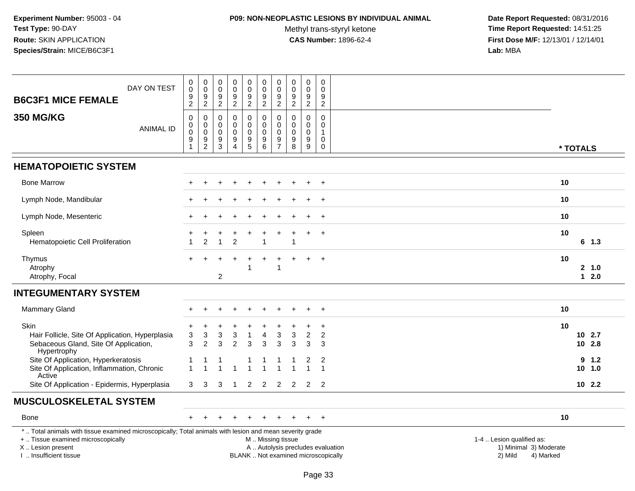## **P09: NON-NEOPLASTIC LESIONS BY INDIVIDUAL ANIMAL**

Methyl trans-styryl ketone<br>CAS Number: 1896-62-4

| DAY ON TEST<br><b>B6C3F1 MICE FEMALE</b>                                                                                                                                                                    | 0<br>$\mathsf{O}\xspace$<br>$\frac{9}{2}$                                       | $\pmb{0}$<br>$\mathbf 0$<br>$\frac{9}{2}$                                             | 0<br>0<br>9<br>$\boldsymbol{2}$           | $\mathbf 0$<br>$\mathbf 0$<br>9<br>$\overline{2}$                         | $\pmb{0}$<br>$\mathsf 0$<br>$\frac{9}{2}$        | 0<br>$\mathbf 0$<br>$\frac{9}{2}$                      | $\boldsymbol{0}$<br>$\pmb{0}$<br>$\frac{9}{2}$                        | $\pmb{0}$<br>$\pmb{0}$<br>$\frac{9}{2}$                            | 0<br>$\mathbf 0$<br>$\frac{9}{2}$                                | $\mathbf 0$<br>$\mathbf 0$<br>9<br>$\overline{c}$                      |                                                                                                                                                         |
|-------------------------------------------------------------------------------------------------------------------------------------------------------------------------------------------------------------|---------------------------------------------------------------------------------|---------------------------------------------------------------------------------------|-------------------------------------------|---------------------------------------------------------------------------|--------------------------------------------------|--------------------------------------------------------|-----------------------------------------------------------------------|--------------------------------------------------------------------|------------------------------------------------------------------|------------------------------------------------------------------------|---------------------------------------------------------------------------------------------------------------------------------------------------------|
| <b>350 MG/KG</b><br><b>ANIMAL ID</b>                                                                                                                                                                        | $\,0\,$<br>$\pmb{0}$<br>$\mathsf{O}\xspace$<br>$\boldsymbol{9}$<br>$\mathbf{1}$ | $\pmb{0}$<br>$\mathsf{O}\xspace$<br>$\mathbf 0$<br>$\boldsymbol{9}$<br>$\overline{2}$ | 0<br>$\mathbf 0$<br>$\mathbf 0$<br>9<br>3 | $\mathbf 0$<br>$\Omega$<br>$\Omega$<br>$\boldsymbol{9}$<br>$\overline{4}$ | 0<br>$\mathbf 0$<br>$\mathbf 0$<br>$\frac{9}{5}$ | $\pmb{0}$<br>$\mathbf 0$<br>0<br>$\boldsymbol{9}$<br>6 | 0<br>$\mathbf 0$<br>$\mathbf 0$<br>$\boldsymbol{9}$<br>$\overline{7}$ | $\mathbf 0$<br>$\mathbf 0$<br>$\mathbf 0$<br>$\boldsymbol{9}$<br>8 | $\pmb{0}$<br>$\mathbf 0$<br>$\mathbf 0$<br>$\boldsymbol{9}$<br>9 | $\mathbf 0$<br>$\Omega$<br>$\mathbf{1}$<br>$\mathsf{O}$<br>$\mathbf 0$ | * TOTALS                                                                                                                                                |
| <b>HEMATOPOIETIC SYSTEM</b>                                                                                                                                                                                 |                                                                                 |                                                                                       |                                           |                                                                           |                                                  |                                                        |                                                                       |                                                                    |                                                                  |                                                                        |                                                                                                                                                         |
| <b>Bone Marrow</b>                                                                                                                                                                                          |                                                                                 |                                                                                       |                                           |                                                                           |                                                  |                                                        |                                                                       |                                                                    |                                                                  | $\ddot{}$                                                              | 10                                                                                                                                                      |
| Lymph Node, Mandibular                                                                                                                                                                                      |                                                                                 |                                                                                       |                                           |                                                                           |                                                  |                                                        |                                                                       |                                                                    |                                                                  | $+$                                                                    | 10                                                                                                                                                      |
| Lymph Node, Mesenteric                                                                                                                                                                                      |                                                                                 |                                                                                       |                                           |                                                                           |                                                  |                                                        |                                                                       |                                                                    | ÷.                                                               | $+$                                                                    | 10                                                                                                                                                      |
| Spleen<br>Hematopoietic Cell Proliferation                                                                                                                                                                  |                                                                                 | 2                                                                                     |                                           | $\overline{2}$                                                            |                                                  |                                                        |                                                                       |                                                                    | ÷                                                                | $+$                                                                    | 10<br>6 <sub>1.3</sub>                                                                                                                                  |
| Thymus<br>Atrophy<br>Atrophy, Focal                                                                                                                                                                         |                                                                                 |                                                                                       | $\overline{c}$                            |                                                                           | 1                                                |                                                        | -1                                                                    |                                                                    |                                                                  | $+$                                                                    | 10<br>2, 1.0<br>$12.0$                                                                                                                                  |
| <b>INTEGUMENTARY SYSTEM</b>                                                                                                                                                                                 |                                                                                 |                                                                                       |                                           |                                                                           |                                                  |                                                        |                                                                       |                                                                    |                                                                  |                                                                        |                                                                                                                                                         |
| Mammary Gland                                                                                                                                                                                               | $\pm$                                                                           |                                                                                       | +                                         |                                                                           | $\div$                                           | $\pm$                                                  | ÷                                                                     |                                                                    | ÷                                                                | $+$                                                                    | 10                                                                                                                                                      |
| <b>Skin</b><br>Hair Follicle, Site Of Application, Hyperplasia<br>Sebaceous Gland, Site Of Application,<br>Hypertrophy<br>Site Of Application, Hyperkeratosis<br>Site Of Application, Inflammation, Chronic | 3<br>3                                                                          | 3<br>$\overline{2}$                                                                   | 3<br>3                                    | 3<br>$\overline{2}$                                                       | 1<br>3                                           | 3                                                      | 3<br>3                                                                | 3<br>3                                                             | 2<br>3<br>2                                                      | $\ddot{}$<br>$\sqrt{2}$<br>3<br>2<br>$\overline{1}$                    | 10<br>10 2.7<br>10 2.8<br>9<br>1.2<br>10, 1.0                                                                                                           |
| Active<br>Site Of Application - Epidermis, Hyperplasia                                                                                                                                                      | 3                                                                               | 3                                                                                     | 3                                         | $\mathbf{1}$                                                              | $\overline{2}$                                   | $\overline{2}$                                         | 2                                                                     | 2                                                                  |                                                                  | $2 \quad 2$                                                            | 102.2                                                                                                                                                   |
| <b>MUSCULOSKELETAL SYSTEM</b>                                                                                                                                                                               |                                                                                 |                                                                                       |                                           |                                                                           |                                                  |                                                        |                                                                       |                                                                    |                                                                  |                                                                        |                                                                                                                                                         |
| Bone                                                                                                                                                                                                        | ÷                                                                               |                                                                                       |                                           |                                                                           |                                                  |                                                        |                                                                       |                                                                    |                                                                  | $+$                                                                    | 10                                                                                                                                                      |
| *  Total animals with tissue examined microscopically; Total animals with lesion and mean severity grade<br>+  Tissue examined microscopically<br>X  Lesion present<br>I. Insufficient tissue               |                                                                                 |                                                                                       |                                           |                                                                           |                                                  | M  Missing tissue                                      |                                                                       |                                                                    |                                                                  |                                                                        | 1-4  Lesion qualified as:<br>A  Autolysis precludes evaluation<br>1) Minimal 3) Moderate<br>BLANK  Not examined microscopically<br>2) Mild<br>4) Marked |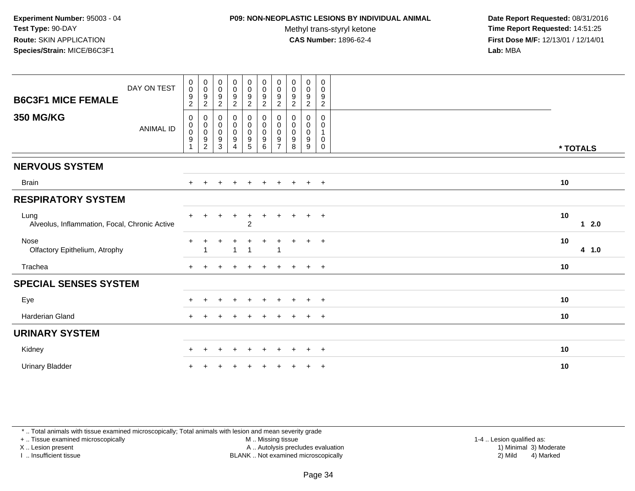## **P09: NON-NEOPLASTIC LESIONS BY INDIVIDUAL ANIMAL**

Methyl trans-styryl ketone<br>CAS Number: 1896-62-4

 **Date Report Requested:** 08/31/2016 **Time Report Requested:** 14:51:25 **First Dose M/F:** 12/13/01 / 12/14/01<br>**Lab:** MBA **Lab:** MBA

| DAY ON TEST<br><b>B6C3F1 MICE FEMALE</b>              | $\mathbf 0$<br>$\,0\,$<br>$\boldsymbol{9}$                        | $\mathbf 0$<br>$\,0\,$<br>$\frac{9}{2}$                | $\mathbf 0$<br>$\boldsymbol{0}$<br>$\boldsymbol{9}$ | $\begin{array}{c} 0 \\ 0 \\ 9 \\ 2 \end{array}$                           | $\mathbf 0$<br>$\frac{0}{9}$                                                    | $\pmb{0}$<br>$\mathbf 0$<br>$\frac{9}{2}$                      | $\pmb{0}$<br>$\pmb{0}$<br>9                  | $\mathbf 0$<br>$\pmb{0}$<br>$\boldsymbol{9}$ | $\mathbf 0$<br>$\pmb{0}$<br>$\boldsymbol{9}$ | $\pmb{0}$<br>$\mathbf 0$<br>9            |              |
|-------------------------------------------------------|-------------------------------------------------------------------|--------------------------------------------------------|-----------------------------------------------------|---------------------------------------------------------------------------|---------------------------------------------------------------------------------|----------------------------------------------------------------|----------------------------------------------|----------------------------------------------|----------------------------------------------|------------------------------------------|--------------|
|                                                       | $\sqrt{2}$                                                        |                                                        | $\sqrt{2}$                                          |                                                                           |                                                                                 |                                                                | $\boldsymbol{2}$                             | $\overline{c}$                               | $\overline{c}$                               | $\overline{2}$                           |              |
| <b>350 MG/KG</b><br><b>ANIMAL ID</b>                  | 0<br>$\pmb{0}$<br>$\mathbf 0$<br>$\boldsymbol{9}$<br>$\mathbf{1}$ | 0<br>$\pmb{0}$<br>$\mathbf 0$<br>$\boldsymbol{9}$<br>2 | 0<br>0<br>$\mathbf 0$<br>$\boldsymbol{9}$<br>3      | $\pmb{0}$<br>$\pmb{0}$<br>$\pmb{0}$<br>$\boldsymbol{9}$<br>$\overline{A}$ | $\mathbf 0$<br>$\mathbf 0$<br>$\mathbf 0$<br>$\boldsymbol{9}$<br>$\overline{5}$ | 0<br>$\mathbf 0$<br>$\mathbf 0$<br>$\boldsymbol{9}$<br>$\,6\,$ | 0<br>0<br>$\mathbf 0$<br>9<br>$\overline{ }$ | 0<br>$\pmb{0}$<br>$\mathbf 0$<br>9<br>8      | 0<br>$\mathbf 0$<br>$\pmb{0}$<br>9<br>9      | 0<br>0<br>$\mathbf{1}$<br>$\pmb{0}$<br>0 | * TOTALS     |
| <b>NERVOUS SYSTEM</b>                                 |                                                                   |                                                        |                                                     |                                                                           |                                                                                 |                                                                |                                              |                                              |                                              |                                          |              |
| <b>Brain</b>                                          |                                                                   |                                                        |                                                     |                                                                           |                                                                                 |                                                                |                                              |                                              | $\ddot{}$                                    | $+$                                      | 10           |
| <b>RESPIRATORY SYSTEM</b>                             |                                                                   |                                                        |                                                     |                                                                           |                                                                                 |                                                                |                                              |                                              |                                              |                                          |              |
| Lung<br>Alveolus, Inflammation, Focal, Chronic Active |                                                                   |                                                        |                                                     | $\ddot{}$                                                                 | $+$<br>$\overline{c}$                                                           | +                                                              |                                              |                                              | $+$                                          | $+$                                      | 10<br>$12.0$ |
| Nose<br>Olfactory Epithelium, Atrophy                 | $\pm$                                                             |                                                        |                                                     | ÷<br>$\overline{1}$                                                       | ÷<br>$\overline{1}$                                                             | +                                                              | ÷<br>$\overline{1}$                          | ÷.                                           | $+$                                          | $+$                                      | 10<br>4 1.0  |
| Trachea                                               | $+$                                                               |                                                        |                                                     | $\div$                                                                    | $\ddot{}$                                                                       |                                                                |                                              |                                              | $+$                                          | $+$                                      | 10           |
| <b>SPECIAL SENSES SYSTEM</b>                          |                                                                   |                                                        |                                                     |                                                                           |                                                                                 |                                                                |                                              |                                              |                                              |                                          |              |
| Eye                                                   |                                                                   |                                                        |                                                     | $\pm$                                                                     | $\ddot{}$                                                                       |                                                                |                                              |                                              | $\pm$                                        | $+$                                      | 10           |
| Harderian Gland                                       |                                                                   |                                                        |                                                     | $\pm$                                                                     | $\pm$                                                                           | $\pm$                                                          |                                              |                                              | $\ddot{}$                                    | $+$                                      | 10           |
| <b>URINARY SYSTEM</b>                                 |                                                                   |                                                        |                                                     |                                                                           |                                                                                 |                                                                |                                              |                                              |                                              |                                          |              |
| Kidney                                                |                                                                   |                                                        |                                                     |                                                                           |                                                                                 |                                                                |                                              |                                              | $\div$                                       | $\overline{+}$                           | 10           |
| <b>Urinary Bladder</b>                                |                                                                   |                                                        |                                                     |                                                                           |                                                                                 |                                                                |                                              |                                              | $\div$                                       | $+$                                      | 10           |

\* .. Total animals with tissue examined microscopically; Total animals with lesion and mean severity grade

+ .. Tissue examined microscopically

X .. Lesion present

I .. Insufficient tissue

M .. Missing tissue

Lesion present A .. Autolysis precludes evaluation 1) Minimal 3) Moderate

 1-4 .. Lesion qualified as: BLANK .. Not examined microscopically 2) Mild 4) Marked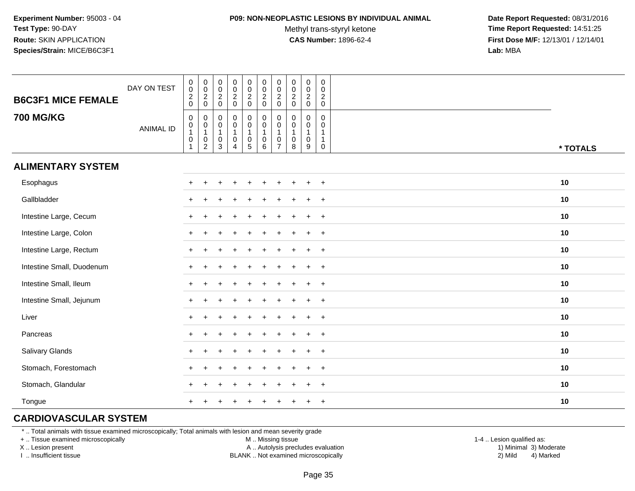#### **P09: NON-NEOPLASTIC LESIONS BY INDIVIDUAL ANIMAL**

Methyl trans-styryl ketone<br>CAS Number: 1896-62-4

 **Date Report Requested:** 08/31/2016 **Time Report Requested:** 14:51:25 **First Dose M/F:** 12/13/01 / 12/14/01<br>**Lab:** MBA **Lab:** MBA

| <b>B6C3F1 MICE FEMALE</b> | DAY ON TEST      | $\begin{matrix} 0 \\ 0 \\ 2 \\ 0 \end{matrix}$                                        | $\begin{smallmatrix} 0\\0 \end{smallmatrix}$<br>$\frac{2}{0}$                                   | $\begin{smallmatrix} 0\\0 \end{smallmatrix}$<br>$\frac{2}{0}$               | $\pmb{0}$<br>$\mathbf 0$<br>$\frac{2}{0}$                                   | $\begin{smallmatrix}0\0\0\end{smallmatrix}$<br>$\frac{2}{0}$ | $\begin{matrix} 0 \\ 0 \\ 2 \\ 0 \end{matrix}$                     | $\pmb{0}$<br>$\pmb{0}$<br>$\frac{2}{0}$                                     | 0<br>$\pmb{0}$<br>$\overline{c}$<br>$\mathbf 0$ | $_{\rm 0}^{\rm 0}$<br>$\frac{2}{0}$                                          | 0<br>$\mathbf 0$<br>$\overline{c}$<br>$\mathbf 0$     |          |
|---------------------------|------------------|---------------------------------------------------------------------------------------|-------------------------------------------------------------------------------------------------|-----------------------------------------------------------------------------|-----------------------------------------------------------------------------|--------------------------------------------------------------|--------------------------------------------------------------------|-----------------------------------------------------------------------------|-------------------------------------------------|------------------------------------------------------------------------------|-------------------------------------------------------|----------|
| <b>700 MG/KG</b>          | <b>ANIMAL ID</b> | $\mathbf 0$<br>$\begin{smallmatrix}0\1\end{smallmatrix}$<br>$\pmb{0}$<br>$\mathbf{1}$ | 0<br>$\begin{smallmatrix}0\\1\end{smallmatrix}$<br>$\begin{smallmatrix} 0\\2 \end{smallmatrix}$ | $\mathbf 0$<br>$\pmb{0}$<br>$\overline{1}$<br>$\mathbf 0$<br>$\overline{3}$ | $\mathbf 0$<br>$\pmb{0}$<br>$\overline{1}$<br>$\mathbf 0$<br>$\overline{4}$ | 0<br>$\mathsf 0$<br>$\mathsf{O}\xspace$<br>$\overline{5}$    | $\pmb{0}$<br>$\mathsf{O}\xspace$<br>$\mathbf{1}$<br>$_{6}^{\rm 0}$ | $\mathbf 0$<br>$\mathbf 0$<br>$\mathbf{1}$<br>$\mathbf 0$<br>$\overline{7}$ | $\mathbf 0$<br>0<br>$\mathbf 0$<br>8            | $\mathbf 0$<br>$\boldsymbol{0}$<br>$\mathbf{1}$<br>$\boldsymbol{0}$<br>$9\,$ | 0<br>0<br>$\mathbf{1}$<br>$\mathbf{1}$<br>$\mathbf 0$ | * TOTALS |
| <b>ALIMENTARY SYSTEM</b>  |                  |                                                                                       |                                                                                                 |                                                                             |                                                                             |                                                              |                                                                    |                                                                             |                                                 |                                                                              |                                                       |          |
| Esophagus                 |                  | $+$                                                                                   | $\overline{1}$                                                                                  |                                                                             |                                                                             |                                                              |                                                                    |                                                                             |                                                 |                                                                              | $+$                                                   | 10       |
| Gallbladder               |                  | $+$                                                                                   |                                                                                                 |                                                                             |                                                                             |                                                              |                                                                    |                                                                             |                                                 |                                                                              | $+$                                                   | 10       |
| Intestine Large, Cecum    |                  |                                                                                       |                                                                                                 |                                                                             |                                                                             |                                                              |                                                                    |                                                                             |                                                 |                                                                              | $+$                                                   | 10       |
| Intestine Large, Colon    |                  | $+$                                                                                   |                                                                                                 |                                                                             |                                                                             |                                                              |                                                                    |                                                                             |                                                 |                                                                              | $+$                                                   | 10       |
| Intestine Large, Rectum   |                  |                                                                                       |                                                                                                 |                                                                             |                                                                             |                                                              |                                                                    |                                                                             |                                                 |                                                                              | $+$                                                   | 10       |
| Intestine Small, Duodenum |                  | $+$                                                                                   |                                                                                                 |                                                                             |                                                                             |                                                              |                                                                    | ÷.                                                                          |                                                 | $\div$                                                                       | $+$                                                   | 10       |
| Intestine Small, Ileum    |                  | $\ddot{}$                                                                             |                                                                                                 |                                                                             |                                                                             |                                                              |                                                                    |                                                                             |                                                 | $\ddot{}$                                                                    | $+$                                                   | 10       |
| Intestine Small, Jejunum  |                  | $+$                                                                                   |                                                                                                 |                                                                             |                                                                             |                                                              |                                                                    |                                                                             |                                                 |                                                                              | $+$                                                   | 10       |
| Liver                     |                  | $+$                                                                                   | $\ddot{}$                                                                                       |                                                                             |                                                                             |                                                              |                                                                    |                                                                             |                                                 |                                                                              | $+$                                                   | 10       |
| Pancreas                  |                  | $+$                                                                                   | $\ddot{}$                                                                                       |                                                                             |                                                                             |                                                              |                                                                    |                                                                             |                                                 |                                                                              | $+$                                                   | 10       |
| Salivary Glands           |                  | $\ddot{}$                                                                             |                                                                                                 |                                                                             |                                                                             |                                                              |                                                                    |                                                                             |                                                 |                                                                              | $+$                                                   | 10       |
| Stomach, Forestomach      |                  |                                                                                       |                                                                                                 |                                                                             |                                                                             |                                                              |                                                                    |                                                                             |                                                 |                                                                              | $+$                                                   | 10       |
| Stomach, Glandular        |                  |                                                                                       |                                                                                                 |                                                                             |                                                                             |                                                              |                                                                    |                                                                             |                                                 |                                                                              | $+$                                                   | 10       |
| Tongue                    |                  |                                                                                       |                                                                                                 |                                                                             |                                                                             |                                                              |                                                                    |                                                                             |                                                 |                                                                              | $+$                                                   | 10       |

# **CARDIOVASCULAR SYSTEM**

\* .. Total animals with tissue examined microscopically; Total animals with lesion and mean severity grade

+ .. Tissue examined microscopically

X .. Lesion present

I .. Insufficient tissue

M .. Missing tissue

A .. Autolysis precludes evaluation

BLANK .. Not examined microscopically 2) Mild 4) Marked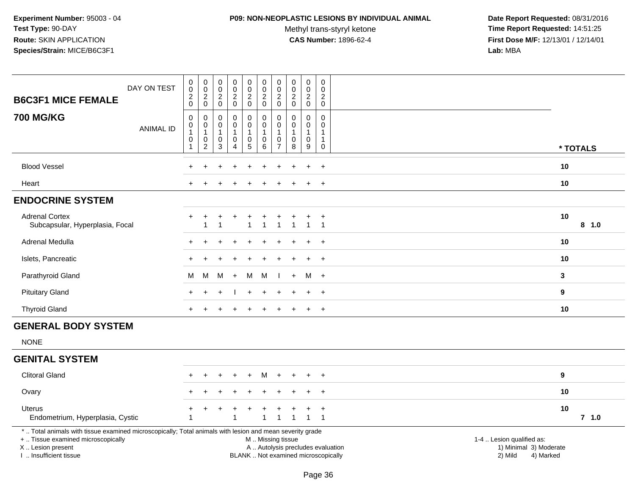### **P09: NON-NEOPLASTIC LESIONS BY INDIVIDUAL ANIMAL**

Methyl trans-styryl ketone<br>CAS Number: 1896-62-4

| <b>B6C3F1 MICE FEMALE</b>                                                                                                                                                                     | DAY ON TEST      | $\pmb{0}$<br>$\pmb{0}$<br>$\boldsymbol{2}$<br>$\Omega$                      | $\pmb{0}$<br>$\mathsf 0$<br>$\overline{c}$<br>$\mathbf 0$             | $\pmb{0}$<br>$\mathsf 0$<br>$\overline{2}$<br>$\mathbf 0$ | $\pmb{0}$<br>$\mathsf{O}\xspace$<br>$\overline{2}$<br>$\mathbf 0$ | $\pmb{0}$<br>$\mathbf 0$<br>$\overline{2}$<br>$\mathbf 0$                    | $\pmb{0}$<br>$\mathbf 0$<br>$\overline{c}$<br>$\mathbf 0$ | $\boldsymbol{0}$<br>$\mathbf 0$<br>$\overline{2}$<br>$\mathbf 0$  | $\pmb{0}$<br>$\mathbf 0$<br>$\overline{2}$<br>$\mathbf 0$ | $\pmb{0}$<br>$\mathbf 0$<br>$\overline{\mathbf{c}}$<br>$\mathbf 0$ | $\pmb{0}$<br>$\mathbf 0$<br>$\overline{c}$<br>$\mathbf 0$                 |                                                                                                                                                         |                  |         |
|-----------------------------------------------------------------------------------------------------------------------------------------------------------------------------------------------|------------------|-----------------------------------------------------------------------------|-----------------------------------------------------------------------|-----------------------------------------------------------|-------------------------------------------------------------------|------------------------------------------------------------------------------|-----------------------------------------------------------|-------------------------------------------------------------------|-----------------------------------------------------------|--------------------------------------------------------------------|---------------------------------------------------------------------------|---------------------------------------------------------------------------------------------------------------------------------------------------------|------------------|---------|
| <b>700 MG/KG</b>                                                                                                                                                                              | <b>ANIMAL ID</b> | $\boldsymbol{0}$<br>$\pmb{0}$<br>$\mathbf{1}$<br>$\mathbf 0$<br>$\mathbf 1$ | $\mathbf 0$<br>$\pmb{0}$<br>$\mathbf{1}$<br>$\mathbf 0$<br>$\sqrt{2}$ | $\mathbf 0$<br>0<br>$\mathbf{1}$<br>0<br>3                | 0<br>0<br>$\mathbf{1}$<br>0<br>4                                  | $\pmb{0}$<br>$\overline{0}$<br>$\mathbf{1}$<br>$\mathbf 0$<br>$\overline{5}$ | $\pmb{0}$<br>$\pmb{0}$<br>$\mathbf{1}$<br>0<br>$\,6\,$    | $\mathbf 0$<br>$\mathbf 0$<br>-1<br>$\mathbf 0$<br>$\overline{7}$ | $\mathbf 0$<br>$\mathbf 0$<br>$\mathbf{1}$<br>0<br>8      | $\Omega$<br>0<br>1<br>0<br>$\boldsymbol{9}$                        | $\mathbf 0$<br>$\mathbf 0$<br>$\mathbf{1}$<br>$\mathbf{1}$<br>$\mathbf 0$ |                                                                                                                                                         | * TOTALS         |         |
| <b>Blood Vessel</b>                                                                                                                                                                           |                  |                                                                             |                                                                       |                                                           |                                                                   |                                                                              |                                                           |                                                                   |                                                           | ÷                                                                  | $\ddot{}$                                                                 |                                                                                                                                                         | 10               |         |
| Heart                                                                                                                                                                                         |                  |                                                                             |                                                                       |                                                           |                                                                   |                                                                              |                                                           |                                                                   |                                                           |                                                                    | $\overline{+}$                                                            |                                                                                                                                                         | 10               |         |
| <b>ENDOCRINE SYSTEM</b>                                                                                                                                                                       |                  |                                                                             |                                                                       |                                                           |                                                                   |                                                                              |                                                           |                                                                   |                                                           |                                                                    |                                                                           |                                                                                                                                                         |                  |         |
| <b>Adrenal Cortex</b><br>Subcapsular, Hyperplasia, Focal                                                                                                                                      |                  |                                                                             | +<br>1                                                                |                                                           | $\ddot{}$                                                         | $\ddot{}$<br>$\overline{1}$                                                  | $\ddot{}$                                                 |                                                                   | $\overline{1}$                                            | $\ddot{}$<br>$\overline{1}$                                        | $\overline{1}$<br>$\overline{1}$                                          |                                                                                                                                                         | 10               | 8 1.0   |
| Adrenal Medulla                                                                                                                                                                               |                  |                                                                             |                                                                       |                                                           |                                                                   |                                                                              |                                                           |                                                                   |                                                           |                                                                    |                                                                           |                                                                                                                                                         | 10               |         |
| Islets, Pancreatic                                                                                                                                                                            |                  |                                                                             |                                                                       |                                                           |                                                                   |                                                                              |                                                           |                                                                   |                                                           |                                                                    | $\overline{+}$                                                            |                                                                                                                                                         | 10               |         |
| Parathyroid Gland                                                                                                                                                                             |                  | м                                                                           | M                                                                     | M                                                         | $+$                                                               | M                                                                            | M                                                         |                                                                   | $\ddot{}$                                                 | М                                                                  | $+$                                                                       |                                                                                                                                                         | 3                |         |
| <b>Pituitary Gland</b>                                                                                                                                                                        |                  |                                                                             |                                                                       |                                                           |                                                                   |                                                                              |                                                           |                                                                   |                                                           |                                                                    | $\ddot{}$                                                                 |                                                                                                                                                         | $\boldsymbol{9}$ |         |
| <b>Thyroid Gland</b>                                                                                                                                                                          |                  |                                                                             |                                                                       |                                                           |                                                                   |                                                                              |                                                           |                                                                   |                                                           | $\ddot{}$                                                          | $^{+}$                                                                    |                                                                                                                                                         | 10               |         |
| <b>GENERAL BODY SYSTEM</b>                                                                                                                                                                    |                  |                                                                             |                                                                       |                                                           |                                                                   |                                                                              |                                                           |                                                                   |                                                           |                                                                    |                                                                           |                                                                                                                                                         |                  |         |
| <b>NONE</b>                                                                                                                                                                                   |                  |                                                                             |                                                                       |                                                           |                                                                   |                                                                              |                                                           |                                                                   |                                                           |                                                                    |                                                                           |                                                                                                                                                         |                  |         |
| <b>GENITAL SYSTEM</b>                                                                                                                                                                         |                  |                                                                             |                                                                       |                                                           |                                                                   |                                                                              |                                                           |                                                                   |                                                           |                                                                    |                                                                           |                                                                                                                                                         |                  |         |
| <b>Clitoral Gland</b>                                                                                                                                                                         |                  |                                                                             |                                                                       |                                                           |                                                                   |                                                                              | м                                                         |                                                                   |                                                           | ÷                                                                  | $\ddot{}$                                                                 |                                                                                                                                                         | 9                |         |
| Ovary                                                                                                                                                                                         |                  |                                                                             |                                                                       |                                                           |                                                                   |                                                                              |                                                           |                                                                   |                                                           |                                                                    | $\overline{+}$                                                            |                                                                                                                                                         | 10               |         |
| <b>Uterus</b><br>Endometrium, Hyperplasia, Cystic                                                                                                                                             |                  | -1                                                                          |                                                                       |                                                           | $\overline{1}$                                                    |                                                                              | 1                                                         | 1                                                                 | $\mathbf{1}$                                              | ÷<br>$\overline{1}$                                                | $\ddot{}$<br>$\overline{1}$                                               |                                                                                                                                                         | 10               | $7$ 1.0 |
| *  Total animals with tissue examined microscopically; Total animals with lesion and mean severity grade<br>+  Tissue examined microscopically<br>X  Lesion present<br>I  Insufficient tissue |                  |                                                                             |                                                                       |                                                           |                                                                   |                                                                              | M  Missing tissue                                         |                                                                   |                                                           |                                                                    |                                                                           | 1-4  Lesion qualified as:<br>A  Autolysis precludes evaluation<br>1) Minimal 3) Moderate<br>BLANK  Not examined microscopically<br>2) Mild<br>4) Marked |                  |         |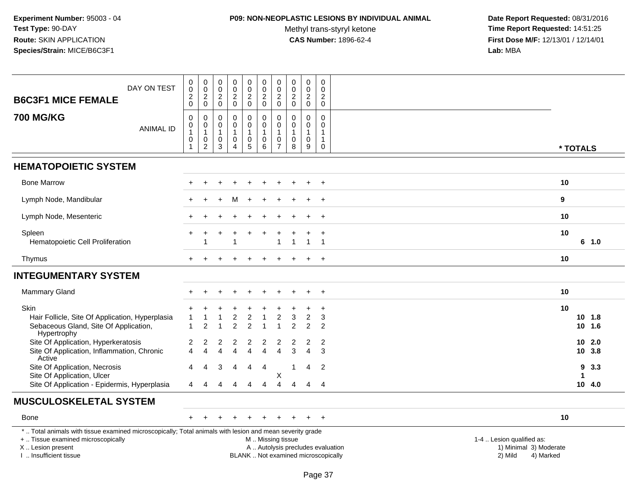### **P09: NON-NEOPLASTIC LESIONS BY INDIVIDUAL ANIMAL**

Methyl trans-styryl ketone<br>CAS Number: 1896-62-4

| DAY ON TEST<br><b>B6C3F1 MICE FEMALE</b>                                                                                                                                                      | $\begin{smallmatrix}0\0\0\end{smallmatrix}$<br>$\frac{2}{0}$ | $_{\rm 0}^{\rm 0}$<br>$\frac{2}{0}$                                 | $\mathbf 0$<br>$\ddot{\mathbf{0}}$<br>$\frac{2}{0}$  | $\mathbf 0$<br>$\overline{0}$<br>$\boldsymbol{2}$<br>$\pmb{0}$            | $\pmb{0}$<br>$\ddot{\mathbf{0}}$<br>$\frac{2}{0}$           | $\pmb{0}$<br>$\ddot{\mathbf{0}}$<br>$^2_{\rm 0}$         | $\pmb{0}$<br>$\ddot{\mathbf{0}}$<br>$^2_{\rm 0}$        | $\pmb{0}$<br>$\overline{0}$<br>$\frac{2}{0}$      | $\pmb{0}$<br>$\ddot{\mathbf{0}}$<br>$\boldsymbol{2}$<br>$\pmb{0}$ | $\mathbf 0$<br>$\mathbf 0$<br>$\boldsymbol{2}$<br>$\mathsf 0$             |                                                                                                                  |  |
|-----------------------------------------------------------------------------------------------------------------------------------------------------------------------------------------------|--------------------------------------------------------------|---------------------------------------------------------------------|------------------------------------------------------|---------------------------------------------------------------------------|-------------------------------------------------------------|----------------------------------------------------------|---------------------------------------------------------|---------------------------------------------------|-------------------------------------------------------------------|---------------------------------------------------------------------------|------------------------------------------------------------------------------------------------------------------|--|
| <b>700 MG/KG</b><br><b>ANIMAL ID</b>                                                                                                                                                          | $\mathbf 0$<br>0<br>$\mathbf{1}$<br>0<br>$\mathbf{1}$        | $\pmb{0}$<br>$\pmb{0}$<br>$\mathbf{1}$<br>$\,0\,$<br>$\overline{c}$ | $\mathbf 0$<br>$\mathbf 0$<br>$\mathbf{1}$<br>0<br>3 | $\mathbf 0$<br>$\mathbf 0$<br>$\mathbf{1}$<br>$\pmb{0}$<br>$\overline{4}$ | 0<br>$\mathbf 0$<br>$\mathbf{1}$<br>$\pmb{0}$<br>$\sqrt{5}$ | $\mathbf 0$<br>0<br>$\mathbf{1}$<br>$\pmb{0}$<br>6       | $\mathbf 0$<br>0<br>$\mathbf{1}$<br>0<br>$\overline{7}$ | $\Omega$<br>0<br>$\mathbf{1}$<br>$\mathbf 0$<br>8 | $\mathbf 0$<br>0<br>$\mathbf{1}$<br>$\pmb{0}$<br>$9\,$            | $\mathbf 0$<br>$\mathbf{0}$<br>$\mathbf 1$<br>$\mathbf{1}$<br>$\mathbf 0$ | * TOTALS                                                                                                         |  |
| <b>HEMATOPOIETIC SYSTEM</b>                                                                                                                                                                   |                                                              |                                                                     |                                                      |                                                                           |                                                             |                                                          |                                                         |                                                   |                                                                   |                                                                           |                                                                                                                  |  |
| <b>Bone Marrow</b>                                                                                                                                                                            |                                                              |                                                                     |                                                      |                                                                           |                                                             |                                                          |                                                         |                                                   |                                                                   |                                                                           | 10                                                                                                               |  |
| Lymph Node, Mandibular                                                                                                                                                                        |                                                              |                                                                     |                                                      |                                                                           |                                                             |                                                          |                                                         |                                                   |                                                                   | $\ddot{}$                                                                 | $\bf{9}$                                                                                                         |  |
| Lymph Node, Mesenteric                                                                                                                                                                        |                                                              |                                                                     |                                                      |                                                                           |                                                             |                                                          |                                                         |                                                   |                                                                   | $\ddot{}$                                                                 | 10                                                                                                               |  |
| Spleen<br>Hematopoietic Cell Proliferation                                                                                                                                                    |                                                              | $\overline{1}$                                                      |                                                      | -1                                                                        |                                                             |                                                          | $\mathbf{1}$                                            | $\mathbf{1}$                                      | $\overline{1}$                                                    | $\overline{+}$<br>$\overline{1}$                                          | 10<br>6 1.0                                                                                                      |  |
| Thymus                                                                                                                                                                                        | $+$                                                          | <b>+</b>                                                            |                                                      |                                                                           |                                                             |                                                          |                                                         |                                                   | $\ddot{}$                                                         | $+$                                                                       | 10                                                                                                               |  |
| <b>INTEGUMENTARY SYSTEM</b>                                                                                                                                                                   |                                                              |                                                                     |                                                      |                                                                           |                                                             |                                                          |                                                         |                                                   |                                                                   |                                                                           |                                                                                                                  |  |
| <b>Mammary Gland</b>                                                                                                                                                                          |                                                              |                                                                     |                                                      |                                                                           |                                                             |                                                          |                                                         |                                                   |                                                                   | $\ddot{}$                                                                 | 10                                                                                                               |  |
| Skin<br>Hair Follicle, Site Of Application, Hyperplasia<br>Sebaceous Gland, Site Of Application,<br>Hypertrophy                                                                               |                                                              | $\overline{2}$                                                      |                                                      | $\overline{2}$<br>$\overline{2}$                                          | $\overline{\mathbf{c}}$<br>$\overline{2}$                   | $\overline{1}$                                           | $\overline{2}$<br>1                                     | 3<br>2                                            | $\overline{c}$<br>2                                               | $\ddot{}$<br>3<br>2                                                       | 10<br>$10 \t1.8$<br>$10$ $1.6$                                                                                   |  |
| Site Of Application, Hyperkeratosis                                                                                                                                                           | 2<br>4                                                       | 2<br>$\Delta$                                                       | 2<br>4                                               | 2<br>$\boldsymbol{\Lambda}$                                               | 2<br>$\overline{\mathbf{A}}$                                | 2<br>$\overline{4}$                                      | 2                                                       | 2                                                 | $\overline{c}$<br>$\boldsymbol{\Lambda}$                          | $\overline{2}$                                                            | 10, 2.0                                                                                                          |  |
| Site Of Application, Inflammation, Chronic<br>Active<br>Site Of Application, Necrosis<br>Site Of Application, Ulcer                                                                           | 4                                                            | Δ                                                                   | 3                                                    | 4                                                                         | 4                                                           | 4                                                        | $\overline{4}$<br>Х                                     | 3                                                 | $\overline{4}$                                                    | 3<br>2                                                                    | 10 3.8<br>9<br>3.3<br>1                                                                                          |  |
| Site Of Application - Epidermis, Hyperplasia                                                                                                                                                  | 4                                                            | Δ                                                                   |                                                      | Δ                                                                         | 4                                                           |                                                          | $\overline{A}$                                          |                                                   | Δ                                                                 | $\boldsymbol{\Lambda}$                                                    | 10, 4.0                                                                                                          |  |
| <b>MUSCULOSKELETAL SYSTEM</b>                                                                                                                                                                 |                                                              |                                                                     |                                                      |                                                                           |                                                             |                                                          |                                                         |                                                   |                                                                   |                                                                           |                                                                                                                  |  |
| Bone                                                                                                                                                                                          | $+$                                                          |                                                                     |                                                      |                                                                           |                                                             |                                                          |                                                         |                                                   | $\div$                                                            | $+$                                                                       | 10                                                                                                               |  |
| *  Total animals with tissue examined microscopically; Total animals with lesion and mean severity grade<br>+  Tissue examined microscopically<br>X  Lesion present<br>I  Insufficient tissue |                                                              |                                                                     |                                                      |                                                                           |                                                             | M  Missing tissue<br>BLANK  Not examined microscopically |                                                         |                                                   |                                                                   |                                                                           | 1-4  Lesion qualified as:<br>A  Autolysis precludes evaluation<br>1) Minimal 3) Moderate<br>2) Mild<br>4) Marked |  |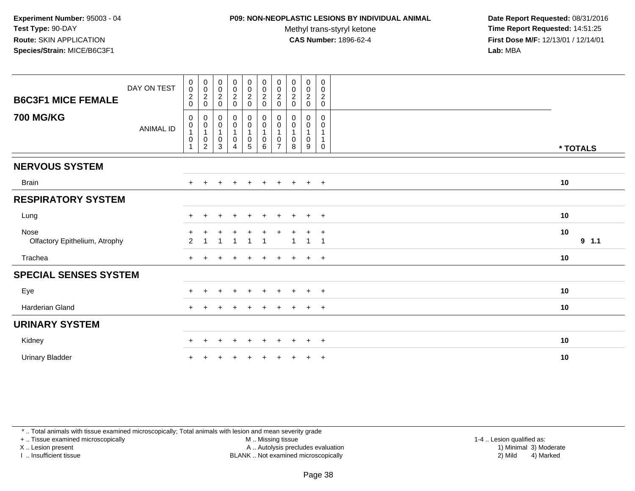## **P09: NON-NEOPLASTIC LESIONS BY INDIVIDUAL ANIMAL**

Methyl trans-styryl ketone<br>CAS Number: 1896-62-4

 **Date Report Requested:** 08/31/2016 **Time Report Requested:** 14:51:25 **First Dose M/F:** 12/13/01 / 12/14/01<br>**Lab:** MBA **Lab:** MBA

| <b>B6C3F1 MICE FEMALE</b>             | DAY ON TEST      | $_{\rm 0}^{\rm 0}$<br>$\boldsymbol{2}$<br>$\mathbf 0$ | $\begin{matrix} 0 \\ 0 \\ 2 \\ 0 \end{matrix}$                       | $\begin{matrix} 0 \\ 0 \\ 2 \\ 0 \end{matrix}$  | $\begin{matrix} 0 \\ 0 \\ 2 \\ 0 \end{matrix}$     | $\begin{matrix} 0 \\ 0 \\ 2 \\ 0 \end{matrix}$                                      | $\begin{matrix} 0 \\ 0 \\ 2 \\ 0 \end{matrix}$          | $_{\rm 0}^{\rm 0}$<br>$\boldsymbol{2}$<br>$\mathbf 0$ | $_{\rm 0}^{\rm 0}$<br>$\overline{\mathbf{c}}$<br>$\pmb{0}$ | $\mathbf 0$<br>$\pmb{0}$<br>$\overline{\mathbf{c}}$<br>0 | $\pmb{0}$<br>$\pmb{0}$<br>$\overline{c}$<br>$\mathbf 0$ |             |
|---------------------------------------|------------------|-------------------------------------------------------|----------------------------------------------------------------------|-------------------------------------------------|----------------------------------------------------|-------------------------------------------------------------------------------------|---------------------------------------------------------|-------------------------------------------------------|------------------------------------------------------------|----------------------------------------------------------|---------------------------------------------------------|-------------|
| <b>700 MG/KG</b>                      | <b>ANIMAL ID</b> | 0<br>$\pmb{0}$<br>$\mathbf{1}$<br>$\pmb{0}$<br>1      | 0<br>$\boldsymbol{0}$<br>$\mathbf{1}$<br>$\pmb{0}$<br>$\overline{c}$ | 0<br>0<br>$\mathbf{1}$<br>$\boldsymbol{0}$<br>3 | 0<br>$\pmb{0}$<br>1<br>$\pmb{0}$<br>$\overline{4}$ | $\mathbf 0$<br>$\mathsf 0$<br>$\mathbf{1}$<br>$\begin{array}{c} 0 \\ 5 \end{array}$ | $\pmb{0}$<br>$\pmb{0}$<br>$\mathbf 1$<br>$\pmb{0}$<br>6 | 0<br>0<br>$\mathbf{1}$<br>0<br>$\overline{7}$         | 0<br>$\mathbf 0$<br>1<br>$\pmb{0}$<br>8                    | 0<br>0<br>$\mathbf{1}$<br>$\pmb{0}$<br>9                 | 0<br>$\mathbf 0$<br>$\mathbf{1}$<br>$\mathbf{1}$<br>0   | * TOTALS    |
| <b>NERVOUS SYSTEM</b>                 |                  |                                                       |                                                                      |                                                 |                                                    |                                                                                     |                                                         |                                                       |                                                            |                                                          |                                                         |             |
| <b>Brain</b>                          |                  | $+$                                                   |                                                                      |                                                 | $\div$                                             | $\overline{+}$                                                                      | $\ddot{}$                                               | $\ddot{}$                                             | $\pm$                                                      | $+$                                                      | $+$                                                     | 10          |
| <b>RESPIRATORY SYSTEM</b>             |                  |                                                       |                                                                      |                                                 |                                                    |                                                                                     |                                                         |                                                       |                                                            |                                                          |                                                         |             |
| Lung                                  |                  |                                                       |                                                                      | $\div$                                          | $\div$                                             | $\pm$                                                                               | $\pm$                                                   | +                                                     |                                                            | $+$                                                      | $+$                                                     | 10          |
| Nose<br>Olfactory Epithelium, Atrophy |                  | 2                                                     |                                                                      |                                                 |                                                    |                                                                                     | $\overline{1}$                                          |                                                       | -1                                                         | -1                                                       | $^{+}$<br>$\overline{1}$                                | 10<br>9 1.1 |
| Trachea                               |                  |                                                       |                                                                      |                                                 |                                                    |                                                                                     |                                                         |                                                       |                                                            | $\ddot{}$                                                | $+$                                                     | 10          |
| <b>SPECIAL SENSES SYSTEM</b>          |                  |                                                       |                                                                      |                                                 |                                                    |                                                                                     |                                                         |                                                       |                                                            |                                                          |                                                         |             |
| Eye                                   |                  | ÷.                                                    |                                                                      | $\pm$                                           | $\div$                                             | $\pm$                                                                               | $\ddot{}$                                               | $\ddot{}$                                             | $\div$                                                     | $\ddot{}$                                                | $+$                                                     | 10          |
| Harderian Gland                       |                  | $+$                                                   |                                                                      |                                                 |                                                    |                                                                                     |                                                         |                                                       |                                                            | $\ddot{}$                                                | $+$                                                     | 10          |
| <b>URINARY SYSTEM</b>                 |                  |                                                       |                                                                      |                                                 |                                                    |                                                                                     |                                                         |                                                       |                                                            |                                                          |                                                         |             |
| Kidney                                |                  | $+$                                                   | $\div$                                                               | $\pm$                                           | $\pm$                                              | $+$                                                                                 | $\pm$                                                   | $\pm$                                                 | ٠                                                          | $+$                                                      | $+$                                                     | 10          |
| <b>Urinary Bladder</b>                |                  |                                                       |                                                                      |                                                 |                                                    |                                                                                     |                                                         |                                                       |                                                            | $\ddot{}$                                                | $+$                                                     | 10          |

\* .. Total animals with tissue examined microscopically; Total animals with lesion and mean severity grade

+ .. Tissue examined microscopically

X .. Lesion present

I .. Insufficient tissue

M .. Missing tissue

Lesion present A .. Autolysis precludes evaluation 1) Minimal 3) Moderate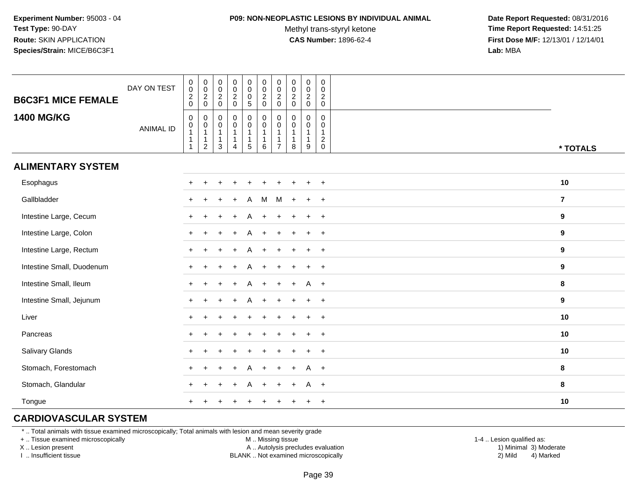#### **P09: NON-NEOPLASTIC LESIONS BY INDIVIDUAL ANIMAL**

Methyl trans-styryl ketone<br>CAS Number: 1896-62-4

 **Date Report Requested:** 08/31/2016 **Time Report Requested:** 14:51:25 **First Dose M/F:** 12/13/01 / 12/14/01<br>**Lab:** MBA **Lab:** MBA

| <b>B6C3F1 MICE FEMALE</b><br><b>1400 MG/KG</b> | DAY ON TEST      | $\begin{smallmatrix} 0\\0\\2 \end{smallmatrix}$<br>$\mathbf 0$<br>$\mathsf{O}\xspace$ | $\pmb{0}$<br>$\mathbf 0$<br>$\frac{2}{0}$<br>0             | $\boldsymbol{0}$<br>$\mathbf 0$<br>$\frac{2}{0}$<br>$\mathbf 0$ | $\pmb{0}$<br>$\mathbf 0$<br>$\sqrt{2}$<br>$\mathbf 0$<br>$\pmb{0}$ | 0<br>$\mathsf{O}\xspace$<br>$\pmb{0}$<br>5<br>0<br>$\boldsymbol{0}$ | $\begin{smallmatrix} 0\\0 \end{smallmatrix}$<br>$\overline{2}$<br>$\mathbf 0$<br>$\pmb{0}$<br>$\overline{0}$ | $\mathbf 0$<br>$\mathsf{O}\xspace$<br>$\sqrt{2}$<br>$\mathbf 0$<br>$\mathbf 0$<br>0 | $\pmb{0}$<br>$\mathbf 0$<br>$\overline{a}$<br>$\mathbf 0$<br>$\Omega$<br>0 | $\begin{smallmatrix} 0\\0 \end{smallmatrix}$<br>$\overline{2}$<br>$\mathbf 0$<br>$\mathbf 0$ | $\pmb{0}$<br>$\mathsf 0$<br>$\overline{c}$<br>$\mathbf 0$<br>$\mathbf 0$<br>$\Omega$ |                         |
|------------------------------------------------|------------------|---------------------------------------------------------------------------------------|------------------------------------------------------------|-----------------------------------------------------------------|--------------------------------------------------------------------|---------------------------------------------------------------------|--------------------------------------------------------------------------------------------------------------|-------------------------------------------------------------------------------------|----------------------------------------------------------------------------|----------------------------------------------------------------------------------------------|--------------------------------------------------------------------------------------|-------------------------|
|                                                | <b>ANIMAL ID</b> | $\begin{smallmatrix}0\1\end{smallmatrix}$<br>$\mathbf{1}$<br>$\mathbf{1}$             | $\pmb{0}$<br>$\mathbf{1}$<br>$\mathbf 1$<br>$\overline{2}$ | $\pmb{0}$<br>$\overline{1}$<br>$\overline{1}$<br>$\mathbf{3}$   | $\pmb{0}$<br>$\mathbf{1}$<br>$\mathbf{1}$<br>$\overline{4}$        | 1<br>$\mathbf{1}$<br>5                                              | $\mathbf{1}$<br>$\mathbf{1}$<br>6                                                                            | $\mathbf{1}$<br>$\mathbf{1}$<br>$\overline{7}$                                      | 8                                                                          | 0<br>$\mathbf{1}$<br>$\mathbf{1}$<br>9                                                       | -1<br>$\sqrt{2}$<br>$\mathbf 0$                                                      | * TOTALS                |
| <b>ALIMENTARY SYSTEM</b>                       |                  |                                                                                       |                                                            |                                                                 |                                                                    |                                                                     |                                                                                                              |                                                                                     |                                                                            |                                                                                              |                                                                                      |                         |
| Esophagus                                      |                  | $\pm$                                                                                 |                                                            |                                                                 |                                                                    |                                                                     |                                                                                                              |                                                                                     |                                                                            |                                                                                              | $\overline{+}$                                                                       | 10                      |
| Gallbladder                                    |                  | $+$                                                                                   | $\ddot{}$                                                  |                                                                 | $\ddot{}$                                                          | Α                                                                   | M                                                                                                            | M                                                                                   | $\ddot{}$                                                                  | $+$                                                                                          | $+$                                                                                  | $\overline{\mathbf{r}}$ |
| Intestine Large, Cecum                         |                  |                                                                                       |                                                            |                                                                 |                                                                    |                                                                     |                                                                                                              |                                                                                     |                                                                            |                                                                                              | $+$                                                                                  | 9                       |
| Intestine Large, Colon                         |                  | $+$                                                                                   |                                                            |                                                                 |                                                                    |                                                                     |                                                                                                              |                                                                                     |                                                                            |                                                                                              | $\ddot{}$                                                                            | 9                       |
| Intestine Large, Rectum                        |                  |                                                                                       |                                                            |                                                                 |                                                                    |                                                                     |                                                                                                              |                                                                                     |                                                                            |                                                                                              | $+$                                                                                  | 9                       |
| Intestine Small, Duodenum                      |                  | $+$                                                                                   |                                                            |                                                                 |                                                                    | Α                                                                   |                                                                                                              | $\ddot{}$                                                                           | $\pm$                                                                      | $\ddot{}$                                                                                    | $+$                                                                                  | $\boldsymbol{9}$        |
| Intestine Small, Ileum                         |                  | $+$                                                                                   |                                                            |                                                                 |                                                                    |                                                                     |                                                                                                              | $\pm$                                                                               | $+$                                                                        | $A +$                                                                                        |                                                                                      | 8                       |
| Intestine Small, Jejunum                       |                  | $+$                                                                                   |                                                            |                                                                 |                                                                    | А                                                                   |                                                                                                              | $\ddot{}$                                                                           |                                                                            |                                                                                              | $+$                                                                                  | $\boldsymbol{9}$        |
| Liver                                          |                  | $+$                                                                                   |                                                            |                                                                 |                                                                    |                                                                     |                                                                                                              |                                                                                     |                                                                            |                                                                                              | $+$                                                                                  | 10                      |
| Pancreas                                       |                  | $+$                                                                                   | $\div$                                                     |                                                                 |                                                                    |                                                                     |                                                                                                              |                                                                                     |                                                                            |                                                                                              | $+$                                                                                  | 10                      |
| Salivary Glands                                |                  | $\ddot{}$                                                                             |                                                            |                                                                 |                                                                    |                                                                     |                                                                                                              |                                                                                     |                                                                            |                                                                                              | $+$                                                                                  | 10                      |
| Stomach, Forestomach                           |                  |                                                                                       |                                                            |                                                                 |                                                                    |                                                                     |                                                                                                              |                                                                                     |                                                                            | A                                                                                            | $+$                                                                                  | 8                       |
| Stomach, Glandular                             |                  |                                                                                       |                                                            |                                                                 |                                                                    | Α                                                                   | $\ddot{}$                                                                                                    | $\ddot{}$                                                                           | $+$                                                                        | A                                                                                            | $+$                                                                                  | 8                       |
| Tongue                                         |                  |                                                                                       |                                                            |                                                                 |                                                                    |                                                                     |                                                                                                              |                                                                                     |                                                                            |                                                                                              | $\overline{+}$                                                                       | 10                      |

# **CARDIOVASCULAR SYSTEM**

\* .. Total animals with tissue examined microscopically; Total animals with lesion and mean severity grade

+ .. Tissue examined microscopically

X .. Lesion present

I .. Insufficient tissue

M .. Missing tissue

A .. Autolysis precludes evaluation

BLANK .. Not examined microscopically 2) Mild 4) Marked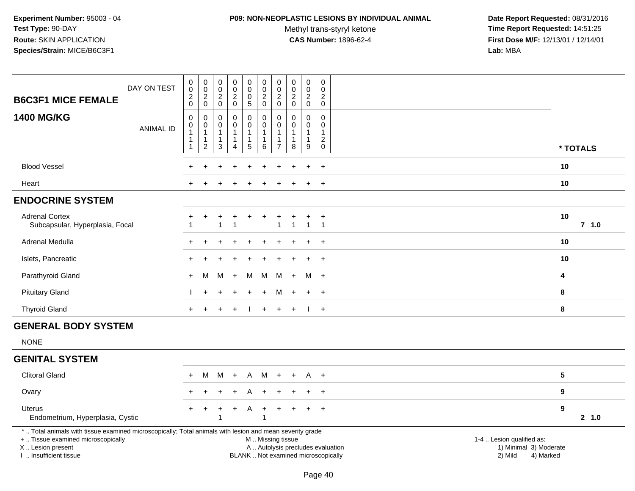### **P09: NON-NEOPLASTIC LESIONS BY INDIVIDUAL ANIMAL**

Methyl trans-styryl ketone<br>CAS Number: 1896-62-4

| DAY ON TEST<br><b>B6C3F1 MICE FEMALE</b>                                                                                                                                                      | $\pmb{0}$<br>$\mathsf 0$<br>$\boldsymbol{2}$<br>$\mathbf 0$ | $\pmb{0}$<br>$\mathsf{O}\xspace$<br>$\boldsymbol{2}$<br>$\mathbf 0$              | $\pmb{0}$<br>$\mathbf 0$<br>$\overline{2}$<br>$\mathbf 0$                    | $\pmb{0}$<br>$\mathbf 0$<br>$\overline{c}$<br>$\mathbf 0$ | $\mathsf{O}\xspace$<br>$\mathbf 0$<br>$\mathsf{O}\xspace$<br>5               | $\pmb{0}$<br>$\pmb{0}$<br>$\boldsymbol{2}$<br>$\mathsf{O}\xspace$ | $\mathbf 0$<br>$\mathbf 0$<br>$\overline{c}$<br>$\mathbf 0$ | $\pmb{0}$<br>$\mathbf 0$<br>$\boldsymbol{2}$<br>$\mathbf 0$ | $\pmb{0}$<br>$\mathsf{O}\xspace$<br>$\overline{c}$<br>$\mathbf 0$ | $\pmb{0}$<br>$\mathbf 0$<br>$\overline{c}$<br>$\mathbf 0$                   |                                                                                                                  |          |         |
|-----------------------------------------------------------------------------------------------------------------------------------------------------------------------------------------------|-------------------------------------------------------------|----------------------------------------------------------------------------------|------------------------------------------------------------------------------|-----------------------------------------------------------|------------------------------------------------------------------------------|-------------------------------------------------------------------|-------------------------------------------------------------|-------------------------------------------------------------|-------------------------------------------------------------------|-----------------------------------------------------------------------------|------------------------------------------------------------------------------------------------------------------|----------|---------|
| <b>1400 MG/KG</b><br><b>ANIMAL ID</b>                                                                                                                                                         | $\mathsf 0$<br>$\pmb{0}$<br>1<br>$\overline{1}$             | $\mathbf 0$<br>$\pmb{0}$<br>$\overline{1}$<br>$\overline{1}$<br>$\boldsymbol{2}$ | $\mathbf 0$<br>$\mathbf 0$<br>$\overline{1}$<br>$\mathbf{1}$<br>$\mathbf{3}$ | $\mathbf 0$<br>$\mathbf 0$<br>$\mathbf 1$<br>4            | 0<br>$\ddot{\mathbf{0}}$<br>$\overline{1}$<br>$\mathbf{1}$<br>$\overline{5}$ | $\mathbf 0$<br>$\mathbf 0$<br>$\overline{1}$<br>1<br>$\,6\,$      | $\mathbf{0}$<br>$\mathbf 0$<br>$\overline{7}$               | $\Omega$<br>0<br>$\mathbf{1}$<br>$\mathbf{1}$<br>8          | $\mathbf 0$<br>0<br>$\mathbf{1}$<br>1<br>$\mathsf g$              | $\mathbf 0$<br>$\mathbf 0$<br>$\mathbf{1}$<br>$\overline{c}$<br>$\mathbf 0$ |                                                                                                                  | * TOTALS |         |
| <b>Blood Vessel</b>                                                                                                                                                                           |                                                             |                                                                                  |                                                                              |                                                           |                                                                              |                                                                   |                                                             |                                                             | $\ddot{}$                                                         | $\ddot{}$                                                                   |                                                                                                                  | 10       |         |
| Heart                                                                                                                                                                                         |                                                             |                                                                                  |                                                                              |                                                           |                                                                              |                                                                   |                                                             |                                                             | $\ddot{}$                                                         | $\ddot{}$                                                                   |                                                                                                                  | 10       |         |
| <b>ENDOCRINE SYSTEM</b>                                                                                                                                                                       |                                                             |                                                                                  |                                                                              |                                                           |                                                                              |                                                                   |                                                             |                                                             |                                                                   |                                                                             |                                                                                                                  |          |         |
| <b>Adrenal Cortex</b><br>Subcapsular, Hyperplasia, Focal                                                                                                                                      |                                                             | +                                                                                | $\overline{1}$                                                               | $\ddot{}$<br>1                                            | $\ddot{}$                                                                    | $\ddot{}$                                                         | 1                                                           | $\overline{1}$                                              | +<br>$\mathbf{1}$                                                 | $^{+}$<br>$\overline{1}$                                                    |                                                                                                                  | 10       | $7$ 1.0 |
| Adrenal Medulla                                                                                                                                                                               |                                                             |                                                                                  |                                                                              |                                                           |                                                                              |                                                                   |                                                             |                                                             |                                                                   |                                                                             |                                                                                                                  | 10       |         |
| Islets, Pancreatic                                                                                                                                                                            |                                                             |                                                                                  |                                                                              |                                                           |                                                                              |                                                                   |                                                             |                                                             |                                                                   | $^{+}$                                                                      |                                                                                                                  | 10       |         |
| Parathyroid Gland                                                                                                                                                                             | $\ddot{}$                                                   | M                                                                                | M                                                                            | $+$                                                       | M                                                                            | M                                                                 | M                                                           | $+$                                                         | M +                                                               |                                                                             |                                                                                                                  | 4        |         |
| <b>Pituitary Gland</b>                                                                                                                                                                        |                                                             |                                                                                  |                                                                              |                                                           |                                                                              |                                                                   | м                                                           |                                                             | $\ddot{}$                                                         | $+$                                                                         |                                                                                                                  | 8        |         |
| <b>Thyroid Gland</b>                                                                                                                                                                          | $\ddot{}$                                                   |                                                                                  |                                                                              | $\overline{ }$                                            |                                                                              | $+$                                                               | $\ddot{}$                                                   | $\ddot{}$                                                   | $\mathbf{I}$                                                      | $+$                                                                         |                                                                                                                  | 8        |         |
| <b>GENERAL BODY SYSTEM</b>                                                                                                                                                                    |                                                             |                                                                                  |                                                                              |                                                           |                                                                              |                                                                   |                                                             |                                                             |                                                                   |                                                                             |                                                                                                                  |          |         |
| <b>NONE</b>                                                                                                                                                                                   |                                                             |                                                                                  |                                                                              |                                                           |                                                                              |                                                                   |                                                             |                                                             |                                                                   |                                                                             |                                                                                                                  |          |         |
| <b>GENITAL SYSTEM</b>                                                                                                                                                                         |                                                             |                                                                                  |                                                                              |                                                           |                                                                              |                                                                   |                                                             |                                                             |                                                                   |                                                                             |                                                                                                                  |          |         |
| <b>Clitoral Gland</b>                                                                                                                                                                         | $+$                                                         | M                                                                                | M                                                                            | $+$                                                       | A                                                                            | M                                                                 | $+$                                                         | $\ddot{}$                                                   | A                                                                 | $^{+}$                                                                      |                                                                                                                  | 5        |         |
| Ovary                                                                                                                                                                                         |                                                             |                                                                                  |                                                                              |                                                           |                                                                              |                                                                   |                                                             |                                                             |                                                                   | $^{+}$                                                                      |                                                                                                                  | 9        |         |
| <b>Uterus</b><br>Endometrium, Hyperplasia, Cystic                                                                                                                                             |                                                             |                                                                                  | 1                                                                            | ÷                                                         | A                                                                            | $\ddot{}$<br>$\overline{1}$                                       |                                                             |                                                             | $+$                                                               | $+$                                                                         |                                                                                                                  | 9        | 2 1.0   |
| *  Total animals with tissue examined microscopically; Total animals with lesion and mean severity grade<br>+  Tissue examined microscopically<br>X  Lesion present<br>I  Insufficient tissue |                                                             |                                                                                  |                                                                              |                                                           |                                                                              | M  Missing tissue<br>BLANK  Not examined microscopically          |                                                             |                                                             |                                                                   |                                                                             | 1-4  Lesion qualified as:<br>A  Autolysis precludes evaluation<br>1) Minimal 3) Moderate<br>2) Mild<br>4) Marked |          |         |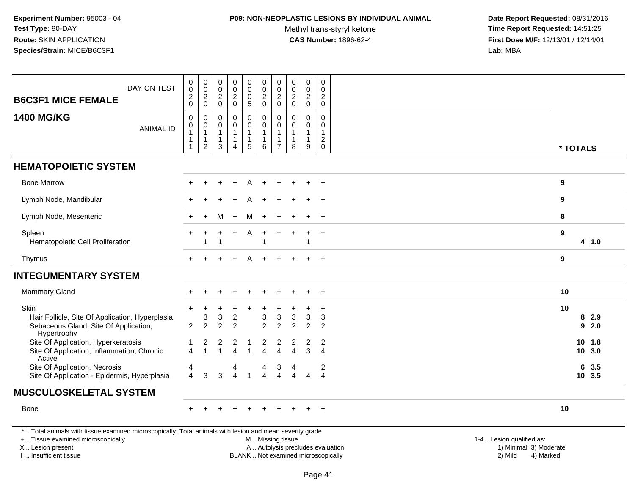### **P09: NON-NEOPLASTIC LESIONS BY INDIVIDUAL ANIMAL**

Methyl trans-styryl ketone<br>CAS Number: 1896-62-4

| DAY ON TEST                                                                                                                                                                                   | $\pmb{0}$<br>$\overline{0}$                                      | $\pmb{0}$<br>$\ddot{\mathbf{0}}$                                   | $\begin{smallmatrix}0\0\0\end{smallmatrix}$                       | $\pmb{0}$<br>$\ddot{\mathbf{0}}$                                  | $\mathbf 0$<br>$\ddot{\mathbf{0}}$<br>$\mathbf 0$                          | $\pmb{0}$<br>$\ddot{\mathbf{0}}$<br>$\boldsymbol{2}$                  | $\mathbf 0$<br>$\pmb{0}$<br>$\sqrt{2}$                             | $\begin{matrix} 0 \\ 0 \\ 2 \\ 0 \end{matrix}$                  | $\mathbf 0$<br>$\ddot{\mathbf{0}}$<br>$\overline{c}$            | $\pmb{0}$<br>$\mathbf 0$                                                            |                                                                                                                  |  |
|-----------------------------------------------------------------------------------------------------------------------------------------------------------------------------------------------|------------------------------------------------------------------|--------------------------------------------------------------------|-------------------------------------------------------------------|-------------------------------------------------------------------|----------------------------------------------------------------------------|-----------------------------------------------------------------------|--------------------------------------------------------------------|-----------------------------------------------------------------|-----------------------------------------------------------------|-------------------------------------------------------------------------------------|------------------------------------------------------------------------------------------------------------------|--|
| <b>B6C3F1 MICE FEMALE</b>                                                                                                                                                                     | $^2_{\rm 0}$                                                     | $^2_{\rm 0}$                                                       | $\frac{2}{0}$                                                     | $^2_{\rm 0}$                                                      | $\sqrt{5}$                                                                 | $\pmb{0}$                                                             | $\pmb{0}$                                                          |                                                                 | $\pmb{0}$                                                       | $^2_{\rm 0}$                                                                        |                                                                                                                  |  |
| <b>1400 MG/KG</b><br><b>ANIMAL ID</b>                                                                                                                                                         | $\mathbf 0$<br>0<br>$\mathbf{1}$<br>$\mathbf{1}$<br>$\mathbf{1}$ | $\mathbf 0$<br>0<br>$\mathbf{1}$<br>$\mathbf{1}$<br>$\overline{c}$ | $\mathbf 0$<br>$\mathbf 0$<br>$\overline{1}$<br>$\mathbf{1}$<br>3 | $\mathbf 0$<br>$\mathbf 0$<br>$\mathbf{1}$<br>1<br>$\overline{4}$ | $\mathbf 0$<br>$\mathbf 0$<br>$\overline{1}$<br>$\mathbf{1}$<br>$\sqrt{5}$ | $\mathbf 0$<br>$\mathbf 0$<br>$\mathbf{1}$<br>$\mathbf{1}$<br>$\,6\,$ | 0<br>$\mathbf 0$<br>$\mathbf{1}$<br>$\mathbf{1}$<br>$\overline{7}$ | $\mathbf 0$<br>$\mathbf 0$<br>$\mathbf{1}$<br>$\mathbf{1}$<br>8 | $\mathbf 0$<br>$\mathbf 0$<br>$\mathbf{1}$<br>$\mathbf{1}$<br>9 | $\mathbf 0$<br>$\mathbf 0$<br>$\mathbf{1}$<br>$\overline{c}$<br>$\mathsf{O}\xspace$ | * TOTALS                                                                                                         |  |
| <b>HEMATOPOIETIC SYSTEM</b>                                                                                                                                                                   |                                                                  |                                                                    |                                                                   |                                                                   |                                                                            |                                                                       |                                                                    |                                                                 |                                                                 |                                                                                     |                                                                                                                  |  |
| <b>Bone Marrow</b>                                                                                                                                                                            |                                                                  |                                                                    |                                                                   |                                                                   |                                                                            |                                                                       |                                                                    |                                                                 |                                                                 | $\ddot{}$                                                                           | 9                                                                                                                |  |
| Lymph Node, Mandibular                                                                                                                                                                        |                                                                  |                                                                    |                                                                   |                                                                   |                                                                            |                                                                       |                                                                    |                                                                 |                                                                 | $\ddot{}$                                                                           | 9                                                                                                                |  |
| Lymph Node, Mesenteric                                                                                                                                                                        |                                                                  |                                                                    | м                                                                 |                                                                   | м                                                                          |                                                                       |                                                                    |                                                                 |                                                                 | $+$                                                                                 | 8                                                                                                                |  |
| Spleen<br>Hematopoietic Cell Proliferation                                                                                                                                                    |                                                                  | $\overline{1}$                                                     |                                                                   |                                                                   | A                                                                          | -1                                                                    |                                                                    |                                                                 | -1                                                              | $\ddot{}$                                                                           | 9<br>4 1.0                                                                                                       |  |
| Thymus                                                                                                                                                                                        |                                                                  | $\div$                                                             |                                                                   | $\ddot{+}$                                                        | A                                                                          | $+$                                                                   | $\ddot{}$                                                          |                                                                 | $\ddot{}$                                                       | $+$                                                                                 | 9                                                                                                                |  |
| <b>INTEGUMENTARY SYSTEM</b>                                                                                                                                                                   |                                                                  |                                                                    |                                                                   |                                                                   |                                                                            |                                                                       |                                                                    |                                                                 |                                                                 |                                                                                     |                                                                                                                  |  |
| <b>Mammary Gland</b>                                                                                                                                                                          |                                                                  |                                                                    |                                                                   | ÷                                                                 | +                                                                          |                                                                       |                                                                    |                                                                 | $\ddot{}$                                                       | $\overline{+}$                                                                      | 10                                                                                                               |  |
| <b>Skin</b><br>Hair Follicle, Site Of Application, Hyperplasia<br>Sebaceous Gland, Site Of Application,<br>Hypertrophy                                                                        | ÷<br>$\overline{2}$                                              | 3<br>$\overline{2}$                                                | $\ddot{}$<br>3<br>$\overline{2}$                                  | $\div$<br>$\overline{c}$<br>$\overline{2}$                        | +                                                                          | 3<br>$\overline{2}$                                                   | 3<br>$\overline{2}$                                                | 3<br>$\overline{2}$                                             | $\ddot{}$<br>3<br>$\overline{2}$                                | $\ddot{}$<br>3<br>$\overline{2}$                                                    | 10<br>82.9<br>9<br>2.0                                                                                           |  |
| Site Of Application, Hyperkeratosis<br>Site Of Application, Inflammation, Chronic<br>Active                                                                                                   | 4                                                                | 2<br>$\overline{1}$                                                | 2                                                                 | $\overline{\mathbf{c}}$<br>$\Delta$                               | -1<br>-1                                                                   | 2<br>$\overline{4}$                                                   | 2<br>$\boldsymbol{\Lambda}$                                        | 2<br>4                                                          | $\boldsymbol{2}$<br>3                                           | $\overline{c}$<br>$\overline{4}$                                                    | $10 \t1.8$<br>10 3.0                                                                                             |  |
| Site Of Application, Necrosis<br>Site Of Application - Epidermis, Hyperplasia                                                                                                                 | 4<br>$\overline{4}$                                              | 3                                                                  | 3                                                                 | 4<br>$\overline{4}$                                               | $\overline{1}$                                                             | 4<br>4                                                                | 3<br>$\overline{4}$                                                | $\boldsymbol{\Lambda}$                                          | $\overline{4}$                                                  | 2<br>$\overline{4}$                                                                 | 6 3.5<br>10 3.5                                                                                                  |  |
| <b>MUSCULOSKELETAL SYSTEM</b>                                                                                                                                                                 |                                                                  |                                                                    |                                                                   |                                                                   |                                                                            |                                                                       |                                                                    |                                                                 |                                                                 |                                                                                     |                                                                                                                  |  |
| Bone                                                                                                                                                                                          |                                                                  |                                                                    |                                                                   |                                                                   |                                                                            |                                                                       |                                                                    |                                                                 |                                                                 | $\ddot{}$                                                                           | 10                                                                                                               |  |
| *  Total animals with tissue examined microscopically; Total animals with lesion and mean severity grade<br>+  Tissue examined microscopically<br>X  Lesion present<br>I  Insufficient tissue |                                                                  |                                                                    |                                                                   |                                                                   |                                                                            | M  Missing tissue<br>BLANK  Not examined microscopically              |                                                                    |                                                                 |                                                                 |                                                                                     | 1-4  Lesion qualified as:<br>A  Autolysis precludes evaluation<br>1) Minimal 3) Moderate<br>2) Mild<br>4) Marked |  |